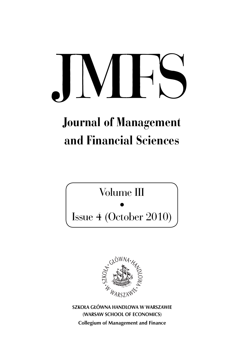# $\mathbf{V}$

# Journal of Management and Financial Sciences

Volume III

• Issue 4 (October 2010)



**SZKOŁA GŁÓWNA HANDLOWA W WARSZAWIE (WARSAW SCHOOL OF ECONOMICS) Collegium of Management and Finance**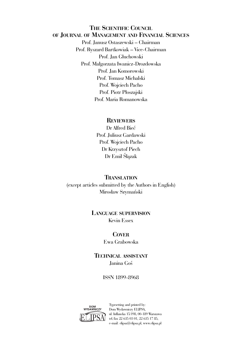#### **THE SCIENTIFIC COUNCIL OF JOURNAL OF MANAGEMENT AND FINANCIAL SCIENCES**

Prof. Janusz Ostaszewski – Chairman Prof. Ryszard Bartkowiak – Vice-Chairman Prof. Jan Głuchowski Prof. Małgorzata Iwanicz-Drozdowska Prof. Jan Komorowski Prof. Tomasz Michalski Prof. Wojciech Pacho Prof. Piotr Płoszajski Prof. Maria Romanowska

#### **REVIEWERS**

Dr Alfred Bieć Prof. Juliusz Gardawski Prof. Wojciech Pacho Dr Krzysztof Piech Dr Emil Ślązak

#### **TRANSLATION**

(except articles submitted by the Authors in English) Mirosław Szymański

#### **LANGUAGE SUPERVISION**

Kevin Essex

#### **COVER**

Ewa Grabowska

#### **TECHNICAL ASSISTANT** Janina Goś

ISSN 1899-8968



Typesetting and printed by: Dom Wydawniczy ELIPSA, ul. Inflancka 15/198, 00-189 Warszawa tel./fax 22 635 03 01, 22 635 17 85, e-mail: elipsa@elipsa.pl, www.elipsa.pl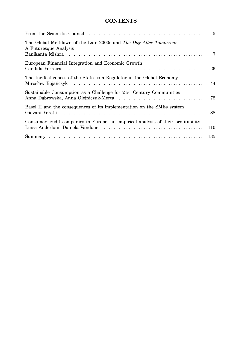#### **CONTENTS**

|                                                                                            | $\overline{5}$ |
|--------------------------------------------------------------------------------------------|----------------|
| The Global Meltdown of the Late 2000s and The Day After Tomorrow:<br>A Futuresque Analysis | $\overline{7}$ |
| European Financial Integration and Economic Growth                                         | 26             |
| The Ineffectiveness of the State as a Regulator in the Global Economy                      | 44             |
| Sustainable Consumption as a Challenge for 21st Century Communities                        | 72             |
| Basel II and the consequences of its implementation on the SMEs system                     | 88             |
| Consumer credit companies in Europe: an empirical analysis of their profitability          | 110            |
|                                                                                            | 135            |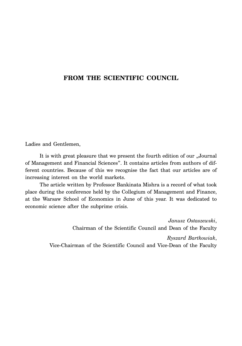#### **FROM THE SCIENTIFIC COUNCIL**

Ladies and Gentlemen,

It is with great pleasure that we present the fourth edition of our "Journal" of Management and Financial Sciences". It contains articles from authors of different countries. Because of this we recognise the fact that our articles are of increasing interest on the world markets.

The article written by Professor Bankinata Mishra is a record of what took place during the conference held by the Collegium of Management and Finance, at the Warsaw School of Economics in June of this year. It was dedicated to economic science after the subprime crisis.

> *Janusz Ostaszewski*, Chairman of the Scientific Council and Dean of the Faculty

*Ryszard Bartkowiak*, Vice-Chairman of the Scientific Council and Vice-Dean of the Faculty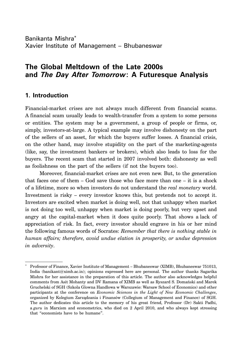Banikanta Mishra\* Xavier Institute of Management – Bhubaneswar

# **The Global Meltdown of the Late 2000s and** *The Day After Tomorrow***: A Futuresque Analysis**

#### **1. Introduction**

Financial-market crises are not always much different from financial scams. A financial scam usually leads to wealth-transfer from a system to some persons or entities. The system may be a government, a group of people or firms, or, simply, investors-at-large. A typical example may involve dishonesty on the part of the sellers of an asset, for which the buyers suffer losses. A financial crisis, on the other hand, may involve stupidity on the part of the marketing-agents (like, say, the investment bankers or brokers), which also leads to loss for the buyers. The recent scam that started in 2007 involved both: dishonesty as well as foolishness on the part of the sellers (if not the buyers too).

Moreover, financial-market crises are not even new. But, to the generation that faces one of them  $-$  God save those who face more than one  $-$  it is a shock of a lifetime, more so when investors do not understand the *real monetary* world. Investment is risky – every investor knows this, but pretends not to accept it. Investors are excited when market is doing well, not that unhappy when market is not doing too well, unhappy when market is doing poorly, but very upset and angry at the capital-market when it does quite poorly. That shows a lack of appreciation of risk. In fact, every investor should engrave in his or her mind the following famous words of Socrates: *Remember that there is nothing stable in human affairs; therefore, avoid undue elation in prosperity, or undue depression in adversity*.

<sup>\*</sup> Professor of Finance, Xavier Institute of Management – Bhubaneswar (XIMB), Bhubaneswar 751013, India (banikant@ximb.ac.in); opinions expressed here are personal. The author thanks Sagarika Mishra for her assistance in the preparation of this article. The author also acknowledges helpful comments from Asit Mohanty and DV Ramana of XIMB as well as Ryszard S. Domański and Marek Gruchelski of SGH (Szkola Glowna Handlowa w Warszawie: Warsaw School of Economics) and other participants at the conference on *Economic Sciences in the Light of New Economic Challenges*, organized by Kolegium Zarządzania i Finansów (Collegium of Management and Finance) of SGH. The author dedicates this article to the memory of his great friend, Professor (Dr) Sakti Padhi, a *guru* in Marxism and econometrics, who died on 2 April 2010, and who always kept stressing that "economists have to be humane".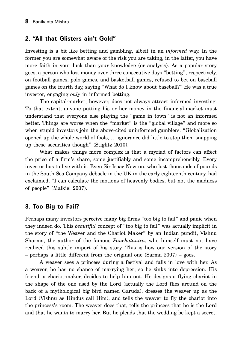#### **2. "All that Glisters ain't Gold"**

Investing is a bit like betting and gambling, albeit in an *informed* way. In the former you are somewhat aware of the risk you are taking, in the latter, you have more faith in your luck than your knowledge (or analysis). As a popular story goes, a person who lost money over three consecutive days "betting", respectively, on football games, polo games, and basketball games, refused to bet on baseball games on the fourth day, saying "What do I know about baseball?" He was a true investor, engaging *only* in informed betting.

The capital-market, however, does not always attract informed investing. To that extent, anyone putting his or her money in the financial-market must understand that everyone else playing the "game in town" is not an informed better. Things are worse when the "market" is the "global village" and more so when stupid investors join the above-cited uninformed gamblers. "Globalization opened up the whole world of fools, … ignorance did little to stop them snapping up these securities though" (Stiglitz 2010).

What makes things more complex is that a myriad of factors can affect the price of a firm's share, some justifiably and some incomprehensibly. Every investor has to live with it. Even Sir Isaac Newton, who lost thousands of pounds in the South Sea Company debacle in the UK in the early eighteenth century, had exclaimed, "I can calculate the motions of heavenly bodies, but not the madness of people" (Malkiel 2007).

#### **3. Too Big to Fail?**

Perhaps many investors perceive many big firms "too big to fail" and panic when they indeed do. This *beautiful* concept of "too big to fail" was actually implicit in the story of "the Weaver and the Chariot Maker" by an Indian pundit, Vishnu Sharma, the author of the famous *Panchatantra*, who himself must not have realized this subtle import of his story. This is how our version of the story – perhaps a little different from the original one (Sarma 2007) – goes.

A weaver sees a princess during a festival and falls in love with her. As a weaver, he has no chance of marrying her; so he sinks into depression. His friend, a chariot-maker, decides to help him out. He designs a flying chariot in the shape of the one used by the Lord (actually the Lord flies around on the back of a mythological big bird named Garuda), dresses the weaver up as the Lord (Vishnu as Hindus call Him), and tells the weaver to fly the chariot into the princess's room. The weaver does that, tells the princess that he is the Lord and that he wants to marry her. But he pleads that the wedding be kept a secret.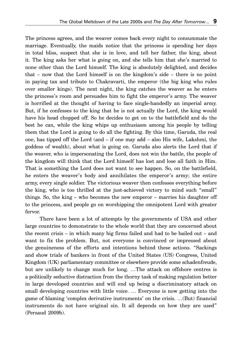The princess agrees, and the weaver comes back every night to consummate the marriage. Eventually, the maids notice that the princess is spending her days in total bliss, suspect that she is in love, and tell her father, the king, about it. The king asks her what is going on, and she tells him that she's married to none other than the Lord himself. The king is absolutely delighted, and decides that – now that the Lord himself is on the kingdom's side – there is no point in paying tax and tribute to Chakravarti, the emperor (the big king who rules over smaller kings). The next night, the king catches the weaver as he enters the princess's room and persuades him to fight the emperor's army. The weaver is horrified at the thought of having to face single-handedly an imperial army. But, if he confesses to the king that he is not actually the Lord, the king would have his head chopped off. So he decides to get on to the battlefield and do the best he can, while the king whips up enthusiasm among his people by telling them that the Lord is going to do all the fighting. By this time, Garuda, the real one, has tipped off the Lord (and – if one may add – also His wife, Lakshmi, the goddess of wealth), about what is going on. Garuda also alerts the Lord that if the weaver, who is impersonating the Lord, does not win the battle, the people of the kingdom will think that the Lord himself has lost and lose all faith in Him. That is something the Lord does not want to see happen. So, on the battlefield, he enters the weaver's body and annihilates the emperor's army; the entire army, every single soldier. The victorious weaver then confesses everything before the king, who is too thrilled at the just-achieved victory to mind such "small" things. So, the king – who becomes the new emperor – marries his daughter off to the princess, and people go on worshipping the omnipotent Lord with greater fervor.

There have been a lot of attempts by the governments of USA and other large countries to demonstrate to the whole world that they are concerned about the recent crisis – in which many big firms failed and had to be bailed out – and want to fix the problem. But, not everyone is convinced or impressed about the genuineness of the efforts and intentions behind these actions. "Sackings and show trials of bankers in front of the United States (US) Congress, United Kingdom (UK) parliamentary committee or elsewhere provide some schadenfreude, but are unlikely to change much for long. …The attack on offshore centres is a politically seductive distraction from the thorny task of making regulation better in large developed countries and will end up being a discriminatory attack on small developing countries with little voice. … Everyone is now getting into the game of blaming 'complex derivative instruments' on the crisis. …(But) financial instruments do not have original sin. It all depends on how they are used" (Persaud 2009b).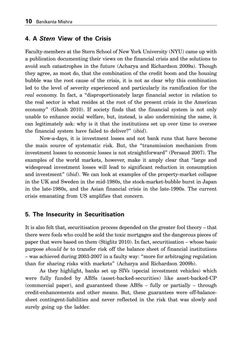#### **4. A** *Stern* **View of the Crisis**

Faculty-members at the Stern School of New York University (NYU) came up with a publication documenting their views on the financial crisis and the solutions to avoid such catastrophes in the future (Acharya and Richardson 2009a). Though they agree, as most do, that the combination of the credit boom and the housing bubble was the root cause of the crisis, it is not as clear why this combination led to the level of severity experienced and particularly its ramification for the *real* economy. In fact, a "disproportionately large financial sector in relation to the real sector is what resides at the root of the present crisis in the American economy" (Ghosh 2010). If society finds that the financial system is not only unable to enhance social welfare, but, instead, is also undermining the same, it can legitimately ask: why is it that the institutions set up over time to oversee the financial system have failed to deliver?" (*ibid*).

Now-a-days, it is investment losses and not bank runs that have become the main source of systematic risk. But, the "transmission mechanism from investment losses to economic losses is not straightforward" (Persaud 2007). The examples of the world markets, however, make it amply clear that "large and widespread investment losses will lead to significant reduction in consumption and investment" (*ibid*). We can look at examples of the property-market collapse in the UK and Sweden in the mid-1980s, the stock-market-bubble burst in Japan in the late-1980s, and the Asian financial crisis in the late-1990s. The current crisis emanating from US amplifies that concern.

#### **5. The Insecurity in Securitisation**

It is also felt that, securitisation process depended on the greater fool theory – that there were fools who could be sold the toxic mortgages and the dangerous pieces of paper that were based on them (Stiglitz 2010). In fact, securitisation – whose basic purpose *should be* to transfer risk off the balance sheet of financial institutions – was achieved during 2003-2007 in a faulty way: "more for arbitraging regulation than for sharing risks with markets" (Acharya and Richardson 2009b).

As they highlight, banks set up SIVs (special investment vehicles) which were fully funded by ABSs (asset-backed-securities) like asset-backed-CP (commercial paper), and guaranteed these ABSs – fully or partially – through credit-enhancements and other means. But, these guarantees were off-balancesheet contingent-liabilities and never reflected in the risk that was slowly and surely going up the ladder.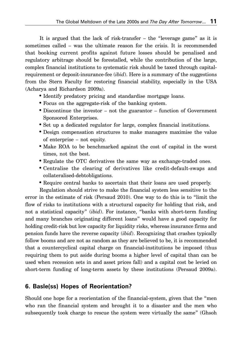It is argued that the lack of risk-transfer – the "leverage game" as it is sometimes called – was the ultimate reason for the crisis. It is recommended that booking current profits against future losses should be penalised and regulatory arbitrage should be forestalled, while the contribution of the large, complex financial institutions to systematic risk should be taxed through capitalrequirement or deposit-insurance-fee (*ibid*). Here is a summary of the suggestions from the Stern Faculty for restoring financial stability, especially in the USA (Acharya and Richardson 2009a).

- Identify predatory pricing and standardise mortgage loans.
- Focus on the aggregate-risk of the banking system.
- Discontinue the investor not the guarantor function of Government Sponsored Enterprises.
- Set up a dedicated regulator for large, complex financial institutions.
- Design compensation structures to make managers maximise the value of enterprise – not equity.
- Make ROA to be benchmarked against the cost of capital in the worst times, not the best.
- Regulate the OTC derivatives the same way as exchange-traded ones.
- Centralise the clearing of derivatives like credit-default-swaps and collateralised-debtobligations.
- Require central banks to ascertain that their loans are used properly.

Regulation should strive to make the financial system less sensitive to the error in the estimate of risk (Persaud 2010). One way to do this is to "limit the flow of risks to institutions with a structural capacity for holding that risk, and not a statistical capacity" (*ibid*). For instance, "banks with short-term funding and many branches originating different loans" would have a good capacity for holding credit-risk but low capacity for liquidity risks, whereas insurance firms and pension funds have the reverse capacity (*ibid*). Recognizing that crashes typically follow booms and are not as random as they are believed to be, it is recommended that a countercyclical capital charge on financial-institutions be imposed (thus requiring them to put aside during booms a higher level of capital than can be used when recession sets in and asset prices fall) and a capital cost be levied on short-term funding of long-term assets by these institutions (Persaud 2009a).

#### **6. Basle(ss) Hopes of Reorientation?**

Should one hope for a reorientation of the financial-system, given that the "men who ran the financial system and brought it to a disaster and the men who subsequently took charge to rescue the system were virtually the same" (Ghsoh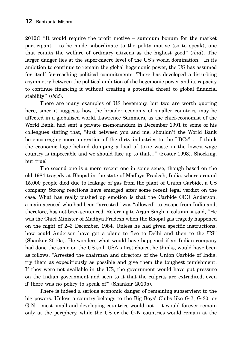$2010$ ? "It would require the profit motive – summum bonum for the market participant – to be made subordinate to the polity motive (so to speak), one that counts the welfare of ordinary citizens as the highest good" (*ibid*). The larger danger lies at the super-macro level of the US's world domination. "In its ambition to continue to remain the global hegemonic power, the US has assumed for itself far-reaching political commitments. There has developed a disturbing asymmetry between the political ambition of the hegemonic power and its capacity to continue financing it without creating a potential threat to global financial stability" (*ibid*).

There are many examples of US hegemony, but two are worth quoting here, since it suggests how the broader economy of smaller countries may be affected in a globalised world. Lawrence Summers, as the chief-economist of the World Bank, had sent a private memorandum in December 1991 to some of his colleagues stating that, "Just between you and me, shouldn't the World Bank be encouraging more migration of the dirty industries to the LDCs? … I think the economic logic behind dumping a load of toxic waste in the lowest-wage country is impeccable and we should face up to that…" (Foster 1993). Shocking, but true!

The second one is a more recent one in some sense, though based on the old 1984 tragedy at Bhopal in the state of Madhya Pradesh, India, where around 15,000 people died due to leakage of gas from the plant of Union Carbide, a US company. Strong reactions have emerged after some recent legal verdict on the case. What has really pushed up emotion is that the Carbide CEO Anderson, a main accused who had been "arrested" was "allowed" to escape from India and, therefore, has not been sentenced. Referring to Arjun Singh, a columnist said, "He was the Chief Minister of Madhya Pradesh when the Bhopal gas tragedy happened on the night of 2–3 December, 1984. Unless he had given specific instructions, how could Anderson have got a plane to flee to Delhi and then to the US" (Shankar 2010a). He wonders what would have happened if an Indian company had done the same on the US soil. USA's first choice, he thinks, would have been as follows. "Arrested the chairman and directors of the Union Carbide of India, try them as expeditiously as possible and give them the toughest punishment. If they were not available in the US, the government would have put pressure on the Indian government and seen to it that the culprits are extradited, even if there was no policy to speak of" (Shankar 2010b).

There is indeed a serious economic danger of remaining subservient to the big powers. Unless a country belongs to the Big Boys' Clubs like G-7, G-30, or G-N – most small and developing countries would not – it would forever remain only at the periphery, while the US or the G-N countries would remain at the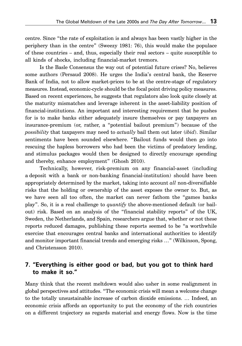centre. Since "the rate of exploitation is and always has been vastly higher in the periphery than in the centre" (Sweezy 1981: 76), this would make the populace of these countries – and, thus, especially their real sectors – quite susceptible to all kinds of shocks, including financial-market tremors.

Is the Basle Consensus the way out of potential future crises? No, believes some authors (Persaud 2008). He urges the India's central bank, the Reserve Bank of India, not to allow market-prices to be at the centre-stage of regulatory measures. Instead, economic-cycle should be the focal point driving policy measures. Based on recent experiences, he suggests that regulators also look quite closely at the maturity mismatches and leverage inherent in the asset-liability position of financial-institutions. An important and interesting requirement that he pushes for is to make banks either adequately insure themselves or pay taxpayers an insurance-premium (or, rather, a "potential bailout premium") because of the *possibility* that taxpayers may need to *actually* bail them out later (*ibid*). Similar sentiments have been sounded elsewhere. "Bailout funds would then go into rescuing the hapless borrowers who had been the victims of predatory lending, and stimulus packages would then be designed to directly encourage spending and thereby, enhance employment" (Ghosh 2010).

Technically, however, risk-premium on any financial-asset (including a deposit with a bank or non-banking financial-institution) should have been appropriately determined by the market, taking into account *all* non-diversifiable risks that the holding or ownership of the asset exposes the owner to. But, as we have seen all too often, the market can never fathom the "games banks play". So, it is a real challenge to *quantify* the above-mentioned default (or bailout) risk. Based on an analysis of the "financial stability reports" of the UK, Sweden, the Netherlands, and Spain, researchers argue that, whether or not these reports reduced damages, publishing these reports seemed to be "a worthwhile exercise that encourages central banks and international authorities to identify and monitor important financial trends and emerging risks …" (Wilkinson, Spong, and Christensson 2010).

#### **7. "Everything is either good or bad, but you got to think hard to make it so."**

Many think that the recent meltdown would also usher in some realignment in global perspectives and attitudes. "The economic crisis will mean a welcome change to the totally unsustainable increase of carbon dioxide emissions. … Indeed, an economic crisis affords an opportunity to put the economy of the rich countries on a different trajectory as regards material and energy flows. Now is the time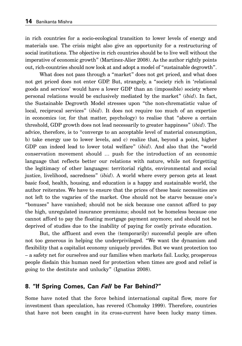in rich countries for a socio-ecological transition to lower levels of energy and materials use. The crisis might also give an opportunity for a restructuring of social institutions. The objective in rich countries should be to live well without the imperative of economic growth" (Martinez-Alier 2008). As the author rightly points out, rich-countries should now look at and adopt a model of "sustainable degrowth".

What does not pass through a "market" does not get priced, and what does not get priced does not enter GDP. But, strangely, a "society rich in 'relational goods and services' would have a lower GDP than an (impossible) society where personal relations would be exclusively mediated by the market" (*ibid*). In fact, the Sustainable Degrowth Model stresses upon "the non-chrematistic value of local, reciprocal services" (*ibid*). It does not require too much of an expertise in economics (or, for that matter, psychology) to realise that "above a certain threshold, GDP growth does not lead necessarily to greater happiness" (*ibid*). The advice, therefore, is to "converge to an acceptable level of material consumption, b) take energy use to lower levels, and c) realize that, beyond a point, higher GDP can indeed lead to lower total welfare" (*ibid*). And also that the "world conservation movement should … push for the introduction of an economic language that reflects better our relations with nature, while not forgetting the legitimacy of other languages: territorial rights, environmental and social justice, livelihood, sacredness" (*ibid*). A world where every person gets at least basic food, health, housing, and education is a happy and sustainable world, the author reiterates. We have to ensure that the prices of these basic necessities are not left to the vagaries of the market. One should not be starve because one's "bonuses" have vanished; should not be sick because one cannot afford to pay the high, unregulated insurance premiums; should not be homeless because one cannot afford to pay the floating mortgage payment anymore; and should not be deprived of studies due to the inability of paying for costly private education.

But, the affluent and even the (temporarily) successful people are often not too generous in helping the underprivileged. "We want the dynamism and flexibility that a capitalist economy uniquely provides. But we want protection too – a safety net for ourselves and our families when markets fail. Lucky, prosperous people disdain this human need for protection when times are good and relief is going to the destitute and unlucky" (Ignatius 2008).

#### **8. "If Spring Comes, Can** *Fall* **be Far Behind?"**

Some have noted that the force behind international capital flow, more for investment than speculation, has revered (Chomsky 1999). Therefore, countries that have not been caught in its cross-current have been lucky many times.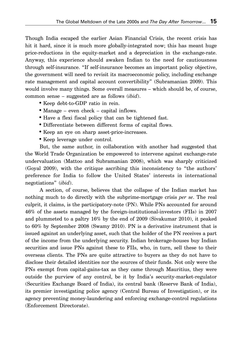Though India escaped the earlier Asian Financial Crisis, the recent crisis has hit it hard, since it is much more globally-integrated now; this has meant huge price-reductions in the equity-market and a depreciation in the exchange-rate. Anyway, this experience should awaken Indian to the need for cautiousness through self-insurance. "If self-insurance becomes an important policy objective, the government will need to revisit its macroeconomic policy, including exchange rate management and capital account convertibility" (Subramanian 2009). This would involve many things. Some overall measures – which should be, of course, common sense – suggested are as follows (*ibid*).

- Keep debt-to-GDP ratio in rein.
- Manage even check capital inflows.
- Have a flexi fiscal policy that can be tightened fast.
- Differentiate between different forms of capital flows.
- Keep an eye on sharp asset-price-increases.
- Keep leverage under control.

But, the same author, in collaboration with another had suggested that the World Trade Organization be empowered to intervene against exchange-rate undervaluation (Mattoo and Subramanian 2008), which was sharply criticized (Goyal 2009), with the critique ascribing this inconsistency to "the authors' preference for India to follow the United States' interests in international negotiations" (*ibid*).

A section, of course, believes that the collapse of the Indian market has nothing much to do directly with the subprime-mortgage crisis *per se*. The real culprit, it claims, is the participatory-note (PN). While PNs accounted for around 46% of the assets managed by the foreign-institutional-investors (FIIs) in 2007 and plummeted to a paltry 16% by the end of 2009 (Sivakumar 2010), it peaked to 60% by September 2008 (Swamy 2010). PN is a derivative instrument that is issued against an underlying asset, such that the holder of the PN receives a part of the income from the underlying security. Indian brokerage-houses buy Indian securities and issue PNs against these to FIIs, who, in turn, sell these to their overseas clients. The PNs are quite attractive to buyers as they do not have to disclose their detailed identities nor the sources of their funds. Not only were the PNs exempt from capital-gains-tax as they came through Mauritius, they were outside the purview of any control, be it by India's security-market-regulator (Securities Exchange Board of India), its central bank (Reserve Bank of India), its premier investigating police agency (Central Bureau of Investigation), or its agency preventing money-laundering and enforcing exchange-control regulations (Enforcement Directorate).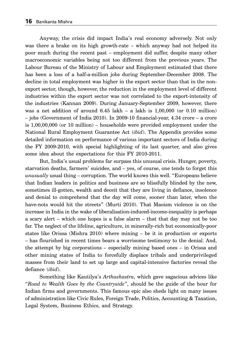Anyway, the crisis did impact India's real economy adversely. Not only was there a brake on its high growth-rate – which anyway had not helped its poor much during the recent past – employment did suffer, despite many other macroeconomic variables being not too different from the previous years. The Labour Bureau of the Ministry of Labour and Employment estimated that there has been a loss of a half-a-million jobs during September-December 2008. The decline in total employment was higher in the export sector than that in the nonexport sector, though, however, the reduction in the employment level of different industries within the export sector was not correlated to the export-intensity of the industries (Kannan 2009). During January-September 2009, however, there was a net addition of around 6.45 lakh – a lakh is 1,00,000 (or 0.10 million) – jobs (Government of India 2010). In 2009-10 financial-year, 4.34 crore – a crore is 1,00,00,000 (or 10 million) – households were provided employment under the National Rural Employment Guarantee Act (*ibid*). The Appendix provides some detailed information on performance of various important sectors of India during the FY 2009-2010, with special highlighting of its last quarter, and also gives some idea about the expectations for this FY 2010-2011.

But, India's usual problems far surpass this unusual crisis. Hunger, poverty, starvation deaths, farmers' suicides, and – yes, of course, one tends to forget this *unusually* usual thing – corruption. The world knows this well. "Europeans believe that Indian leaders in politics and business are so blissfully blinded by the new, sometimes ill-gotten, wealth and deceit that they are living in defiance, insolence and denial to comprehend that the day will come, sooner than later, when the have-nots would hit the streets" (Murti 2010). That Maoism violence is on the increase in India in the wake of liberalisation-induced-income-inequality is perhaps a scary alert – which one hopes is a false alarm – that that day may not be too far. The neglect of the lifeline, agriculture, in minerally-rich but economically-poor states like Orissa (Mishra 2010) where mining – be it in production or exports – has flourished in recent times bears a worrisome testimony to the denial. And, the attempt by big corporations – especially mining based ones – in Orissa and other mining states of India to forcefully displace tribals and underprivileged masses from their land to set up large and capital-intensive factories reveal the defiance (*ibid*).

Something like Kautilya's *Arthashastra*, which gave sagacious advices like "*Road to Wealth Goes by the Countryside*", should be the guide of the hour for Indian firms and governments. This famous epic also sheds light on many issues of administration like Civic Rules, Foreign Trade, Politics, Accounting & Taxation, Legal System, Business Ethics, and Strategy.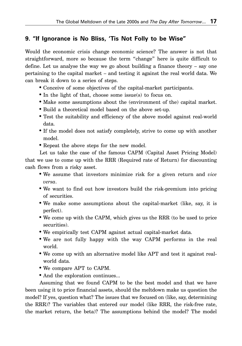# **9. "If Ignorance is No Bliss, 'Tis Not Folly to be Wise"**

Would the economic crisis change economic science? The answer is not that straightforward, more so because the term "change" here is quite difficult to define. Let us analyse the way we go about building a finance theory – say one pertaining to the capital market – and testing it against the real world data. We can break it down to a series of steps.

- Conceive of some objectives of the capital-market participants.
- In the light of that, choose some issue(s) to focus on.
- Make some assumptions about the (environment of the) capital market.
- Build a theoretical model based on the above set-up.
- Test the suitability and efficiency of the above model against real-world data.
- If the model does not satisfy completely, strive to come up with another model.
- Repeat the above steps for the new model.

Let us take the case of the famous CAPM (Capital Asset Pricing Model) that we use to come up with the RRR (Required rate of Return) for discounting cash flows from a risky asset.

- We assume that investors minimize risk for a given return and *vice versa*.
- We want to find out how investors build the risk-premium into pricing of securities.
- We make some assumptions about the capital-market (like, say, it is perfect).
- We come up with the CAPM, which gives us the RRR (to be used to price securities).
- We empirically test CAPM against actual capital-market data.
- We are not fully happy with the way CAPM performs in the real world.
- We come up with an alternative model like APT and test it against realworld data.
- We compare APT to CAPM.
- And the exploration continues...

Assuming that we found CAPM to be the best model and that we have been using it to price financial assets, should the meltdown make us question the model? If yes, question what? The issues that we focused on (like, say, determining the RRR)? The variables that entered our model (like RRR, the risk-free rate, the market return, the beta)? The assumptions behind the model? The model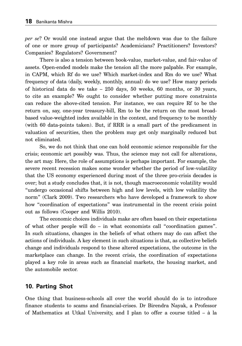*per se*? Or would one instead argue that the meltdown was due to the failure of one or more group of participants? Academicians? Practitioners? Investors? Companies? Regulators? Government?

There is also a tension between book-value, market-value, and fair-value of assets. Open-ended models make the tension all the more palpable. For example, in CAPM, which Rf do we use? Which market-index and Rm do we use? What frequency of data (daily, weekly, monthly, annual) do we use? How many periods of historical data do we take – 250 days, 50 weeks, 60 months, or 30 years, to cite an example? We ought to consider whether putting more constraints can reduce the above-cited tension. For instance, we can require Rf to be the return on, say, one-year treasury-bill, Rm to be the return on the most broadbased value-weighted index available in the context, and frequency to be monthly (with 60 data-points taken). But, if RRR is a small part of the predicament in valuation of securities, then the problem may get only marginally reduced but not eliminated.

So, we do not think that one can hold economic science responsible for the crisis; economic art possibly was. Thus, the science may not call for alterations, the art may. Here, the role of assumptions is perhaps important. For example, the severe recent recession makes some wonder whether the period of low-volatility that the US economy experienced during most of the three pro-crisis decades is over; but a study concludes that, it is not, though macroeconomic volatility would "undergo occasional shifts between high and low levels, with low volatility the norm" (Clark 2009). Two researchers who have developed a framework to show how "coordination of expectations" was instrumental in the recent crisis point out as follows (Cooper and Willis 2010).

The economic choices individuals make are often based on their expectations of what other people will do – in what economists call "coordination games". In such situations, changes in the beliefs of what others may do can affect the actions of individuals. A key element in such situations is that, as collective beliefs change and individuals respond to these altered expectations, the outcome in the marketplace can change. In the recent crisis, the coordination of expectations played a key role in areas such as financial markets, the housing market, and the automobile sector.

#### **10. Parting Shot**

One thing that business-schools all over the world should do is to introduce finance students to scams and financial-crises. Dr Birendra Nayak, a Professor of Mathematics at Utkal University, and I plan to offer a course titled – à la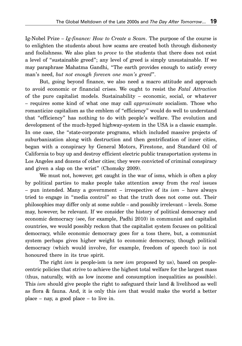Ig-Nobel Prize – *Ig-finance: How to Create a Scam*. The purpose of the course is to enlighten the students about how scams are created both through dishonesty and foolishness. We also plan to *prove* to the students that there does not exist a level of "sustainable greed"; any level of greed is simply unsustainable. If we may paraphrase Mahatma Gandhi, "The earth provides enough to satisfy every man's need, *but not enough foreven one man's greed*".

But, going beyond finance, we also need a macro attitude and approach to avoid economic or financial crises. We ought to resist the *Fatal Attraction* of the pure capitalist models. Sustainability – economic, social, or whatever – requires some kind of what one may call *approximate* socialism. Those who romanticize capitalism as the emblem of "efficiency" would do well to understand that "efficiency" has nothing to do with people's welfare. The evolution and development of the much-hyped highway-system in the USA is a classic example. In one case, the "state-corporate programs, which included massive projects of suburbanization along with destruction and then gentrification of inner cities, began with a conspiracy by General Motors, Firestone, and Standard Oil of California to buy up and destroy efficient electric public transportation systems in Los Angeles and dozens of other cities; they were convicted of criminal conspiracy and given a slap on the wrist" (Chomsky 2009).

We must not, however, get caught in the war of isms, which is often a ploy by political parties to make people take attention away from the *real* issues – pun intended. Many a government – irrespective of its *ism* – have always tried to engage in "media control" so that the truth does not come out. Their philosophies may differ only at some subtle – and possibly irrelevant – levels. Some may, however, be relevant. If we consider the history of political democracy and economic democracy (see, for example, Padhi 2010) in communist and capitalist countries, we would possibly reckon that the capitalist system focuses on political democracy, while economic democracy goes for a toss there, but, a communist system perhaps gives higher weight to economic democracy, though political democracy (which would involve, for example, freedom of speech too) is not honoured there in its true spirit.

The right *ism* is people-ism (a new *ism* proposed by us), based on peoplecentric policies that strive to achieve the highest total welfare for the largest mass (thus, naturally, with as low income and consumption inequalities as possible). This *ism* should give people the right to safeguard their land & livelihood as well as flora & fauna. And, it is only this *ism* that would make the world a better place – nay, a good place – to live in.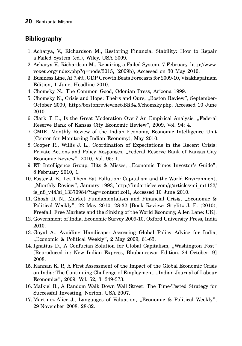# **Bibliography**

- 1. Acharya, V., Richardson M., Restoring Financial Stability: How to Repair a Failed System (ed.), Wiley, USA 2009.
- 2. Acharya V., Richardson M., Repairing a Failed System, 7 February, http://www. voxeu.org/index.php?q=node/3015, (2009b), Accessed on 30 May 2010.
- 3. Business Line, At 7.4%, GDP Growth Beats Forecasts for 2009-10, Visakhapatnam Edition, 1 June, Headline 2010.
- 4. Chomsky N., The Common Good, Odonian Press, Arizona 1999.
- 5. Chomsky N., Crisis and Hope: Theirs and Ours, "Boston Review", September-October 2009, http://bostonreview.net/BR34.5/chomsky.php, Accessed 10 June 2010.
- 6. Clark T. E., Is the Great Moderation Over? An Empirical Analysis, "Federal Reserve Bank of Kansas City Economic Review", 2009, Vol. 94: 4.
- 7. CMIE, Monthly Review of the Indian Economy, Economic Intelligence Unit (Center for Monitoring Indian Economy), May 2010.
- 8. Cooper R., Willis J. L., Coordination of Expectations in the Recent Crisis: Private Actions and Policy Responses, "Federal Reserve Bank of Kansas City Economic Review", 2010, Vol. 95: 1.
- 9. ET Intelligence Group, Hits & Misses, "Economic Times Investor's Guide", 8 February 2010, 1.
- 10. Foster J. B., Let Them Eat Pollution: Capitalism and the World Environment, "Monthly Review", January 1993, http://findarticles.com/p/articles/mi\_m1132/ is\_n8\_v44/ai\_13370984/?tag=content;col1, Accessed 10 June 2010.
- 11. Ghosh D. N., Market Fundamentalism and Financial Crisis, "Economic & Political Weekly", 22 May 2010, 28-32 [Book Review: Stiglitz J. E. (2010), Freefall: Free Markets and the Sinking of the World Economy, Allen Lane: UK].
- 12. Government of India, Economic Survey 2009-10, Oxford University Press, India 2010.
- 13. Goyal A., Avoiding Handicaps: Assessing Global Policy Advice for India, "Economic & Political Weekly", 2 May 2009, 61-63.
- 14. Ignatius D., A Confucian Solution for Global Capitalism, "Washington Post" [Reproduced in: New Indian Express, Bhubaneswar Edition, 24 October: 9] 2008.
- 15. Kannan K. P., A First Assessment of the Impact of the Global Economic Crisis on India: The Continuing Challenge of Employment, "Indian Journal of Labour Economics", 2009, Vol. 52, 3, 349-373.
- 16. Malkiel B., A Random Walk Down Wall Street: The Time-Tested Strategy for Successful Investing, Norton, USA 2007.
- 17. Martinez-Alier J., Languages of Valuation, "Economic & Political Weekly", 29 November 2008, 28-32.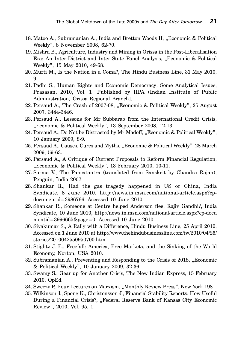- 18. Matoo A., Subramanian A., India and Bretton Woods II, "Economic & Political Weekly", 8 November 2008, 62-70.
- 19. Mishra B., Agriculture, Industry and Mining in Orissa in the Post-Liberalisation Era: An Inter-District and Inter-State Panel Analysis, "Economic & Political Weekly", 15 May 2010, 49-68.
- 20. Murti M., Is the Nation in a Coma?, The Hindu Business Line, 31 May 2010, 9.
- 21. Padhi S., Human Rights and Economic Democracy: Some Analytical Issues, Prasasan, 2010, Vol. 1 [Published by IIPA (Indian Institute of Public Administration) Orissa Regional Branch].
- 22. Persaud A., The Crash of 2007-08, "Economic & Political Weekly", 25 August 2007, 3444-3446.
- 23. Persaud A., Lessons for Mr Subbarao from the International Credit Crisis, "Economic & Political Weekly", 13 September 2008, 12-13.
- 24. Persaud A., Do Not be Distracted by Mr Madoff, "Economic & Political Weekly", 10 January 2009, 8-9.
- 25. Persaud A., Causes, Cures and Myths, "Economic & Political Weekly", 28 March 2009, 59-63.
- 26. Persaud A., A Critique of Current Proposals to Reform Financial Regulation, "Economic & Political Weekly", 13 February 2010, 10-11.
- 27. Sarma V., The Pancatantra (translated from Sanskrit by Chandra Rajan), Penguin, India 2007.
- 28. Shankar R., Had the gas tragedy happened in US or China, India Syndicate, 8 June 2010, http://news.in.msn.com/national/article.aspx?cpdocumentid=3986766, Accessed 10 June 2010.
- 29. Shankar R., Someone at Centre helped Anderson flee; Rajiv Gandhi?, India Syndicate, 10 June 2010, http://news.in.msn.com/national/article.aspx?cp-docu mentid=3996665&page=0, Accessed 10 June 2010.
- 30. Sivakumar S., A Rally with a Difference, Hindu Business Line, 25 April 2010, Accessed on 1 June 2010 at http://www.thehindubusinessline.com/iw/2010/04/25/ stories/2010042550950700.htm
- 31. Stiglitz J. E., Freefall: America, Free Markets, and the Sinking of the World Economy, Norton, USA 2010.
- 32. Subramanian A., Preventing and Responding to the Crisis of 2018, "Economic & Political Weekly", 10 January 2009, 32-36.
- 33. Swamy S., Gear up for Another Crisis, The New Indian Express, 15 February 2010, OpEd.
- 34. Sweezy P., Four Lectures on Marxism, "Monthly Review Press", New York 1981.
- 35. Wilkinson J., Spong K., Christensson J., Financial Stability Reports: How Useful During a Financial Crisis?, "Federal Reserve Bank of Kansas City Economic Review", 2010, Vol. 95, 1.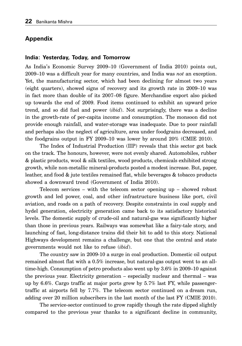# **Appendix**

#### **India: Yesterday, Today, and Tomorrow**

As India's Economic Survey 2009–10 (Government of India 2010) points out, 2009–10 was a difficult year for many countries, and India was *not* an exception. Yet, the manufacturing sector, which had been declining for almost two years (eight quarters), showed signs of recovery and its growth rate in 2009–10 was in fact more than double of its 2007–08 figure. Merchandise export also picked up towards the end of 2009. Food items continued to exhibit an upward price trend, and so did fuel and power (*ibid*). Not surprisingly, there was a decline in the growth-rate of per-capita income and consumption. The monsoon did not provide enough rainfall, and water-storage was inadequate. Due to poor rainfall and perhaps also the neglect of agriculture, area under foodgrains decreased, and the foodgrains output in FY 2009–10 was lower by around 20% (CMIE 2010).

The Index of Industrial Production (IIP) reveals that this sector got back on the track. The honours, however, were not evenly shared. Automobiles, rubber & plastic products, wool & silk textiles, wood products, chemicals exhibited strong growth, while non-metallic mineral-products posted a modest increase. But, paper, leather, and food & jute textiles remained flat, while beverages & tobacco products showed a downward trend (Government of India 2010).

Telecom services – with the telecom sector opening up – showed robust growth and led power, coal, and other infrastructure business like port, civil aviation, and roads on a path of recovery. Despite constraints in coal supply and hydel generation, electricity generation came back to its satisfactory historical levels. The domestic supply of crude-oil and natural-gas was significantly higher than those in previous years. Railways was somewhat like a fairy-tale story, and launching of fast, long-distance trains did their bit to add to this story. National Highways development remains a challenge, but one that the central and state governments would not like to refuse (*ibid*).

The country saw in 2009-10 a surge in coal production. Domestic oil output remained almost flat with a 0.5% increase, but natural-gas output went to an alltime-high. Consumption of petro products also went up by 3.6% in 2009–10 against the previous year. Electricity generation – especially nuclear and thermal – was up by 6.6%. Cargo traffic at major ports grew by 5.7% last FY, while passengertraffic at airports fell by 7.7%. The telecom sector continued on a dream run, adding over 20 million subscribers in the last month of the last FY (CMIE 2010).

The service-sector continued to grow rapidly though the rate dipped slightly compared to the previous year thanks to a significant decline in community,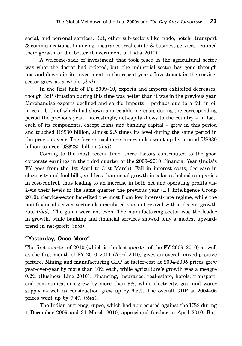social, and personal services. But, other sub-sectors like trade, hotels, transport & communications, financing, insurance, real estate & business services retained their growth or did better (Government of India 2010).

A welcome-back of investment that took place in the agricultural sector was what the doctor had ordered, but, the industrial sector has gone through ups and downs in its investment in the recent years. Investment in the servicesector grew as a whole (*ibid*).

In the first half of FY 2009–10, exports and imports exhibited decreases, though BoP situation during this time was better than it was in the previous year. Merchandise exports declined and so did imports – perhaps due to a fall in oil prices – both of which had shown appreciable increases during the corresponding period the previous year. Interestingly, net-capital-flows to the country – in fact, each of its components, except loans and banking capital – grew in this period and touched US\$30 billion, almost 2.5 times its level during the same period in the previous year. The foreign-exchange reserve also went up by around US\$30 billion to over US\$280 billion (*ibid*).

Coming to the most recent time, three factors contributed to the good corporate earnings in the third quarter of the 2009–2010 Financial Year (India's FY goes from the 1st April to 31st March). Fall in interest costs, decrease in electricity and fuel bills, and less than usual growth in salaries helped companies in cost-control, thus leading to an increase in both net and operating profits visà-vis their levels in the same quarter the previous year (ET Intelligence Group 2010). Service-sector benefited the most from low interest-rate regime, while the non-financial service-sector also exhibited signs of revival with a decent growth rate (*ibid*). The gains were not even. The manufacturing sector was the leader in growth, while banking and financial services showed only a modest upwardtrend in net-profit (*ibid*).

#### **"Yesterday, Once More"**

The first quarter of 2010 (which is the last quarter of the FY 2009–2010) as well as the first month of FY 2010–2011 (April 2010) gives an overall mixed-positive picture. Mining and manufacturing GDP at factor-cost at 2004-2005 prices grew year-over-year by more than 10% each, while agriculture's growth was a meagre 0.2% (Business Line 2010). Financing, insurance, real-estate, hotels, transport, and communications grew by more than 9%, while electricity, gas, and water supply as well as construction grew up by 6.5%. The overall GDP at 2004–05 prices went up by 7.4% (*ibid*).

The Indian currency, rupee, which had appreciated against the US\$ during 1 December 2009 and 31 March 2010, appreciated further in April 2010. But,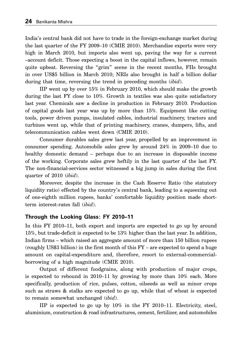India's central bank did not have to trade in the foreign-exchange market during the last quarter of the FY 2009–10 (CMIE 2010). Merchandise exports were very high in March 2010, but imports also went up, paving the way for a current –account deficit. Those expecting a boost in the capital inflows, however, remain quite upbeat. Reversing the "grim" scene in the recent months, FIIs brought in over US\$5 billion in March 2010; NRIs also brought in half a billion dollar during that time, reversing the trend in preceding months (*ibid*).

IIP went up by over 15% in February 2010, which should make the growth during the last FY close to 10%. Growth in textiles was also quite satisfactory last year. Chemicals saw a decline in production in February 2010. Production of capital goods last year was up by more than 15%. Equipment like cutting tools, power driven pumps, insulated cables, industrial machinery, tractors and turbines went up, while that of printing machinery, cranes, dumpers, lifts, and telecommunication cables went down (CMIE 2010).

Consumer durables sales grew last year, propelled by an improvement in consumer spending. Automobile sales grew by around 24% in 2009–10 due to healthy domestic demand – perhaps due to an increase in disposable income of the working. Corporate sales grew heftily in the last quarter of the last FY. The non-financial-services sector witnessed a big jump in sales during the first quarter of 2010 (*ibid*).

Moreover, despite the increase in the Cash Reserve Ratio (the statutory liquidity ratio) effected by the country's central bank, leading to a squeezing out of one-eighth million rupees, banks' comfortable liquidity position made shortterm interest-rates fall (*ibid*).

#### **Through the Looking Glass: FY 2010–11**

In this FY 2010–11, both export and imports are expected to go up by around 15%, but trade-deficit is expected to be 13% higher than the last year. In addition, Indian firms – which raised an aggregate amount of more than 150 billion rupees (roughly US\$3 billion) in the first month of this FY – are expected to spend a huge amount on capital-expenditure and, therefore, resort to external-commercialborrowing of a high magnitude (CMIE 2010).

Output of different foodgrains, along with production of major crops, is expected to rebound in 2010–11 by growing by more than 10% each. More specifically, production of rice, pulses, cotton, oilseeds as well as minor crops such as straws & stalks are expected to go up, while that of wheat is expected to remain somewhat unchanged (*ibid*).

IIP is expected to go up by 10% in the FY 2010–11. Electricity, steel, aluminium, construction & road infrastructures, cement, fertilizer, and automobiles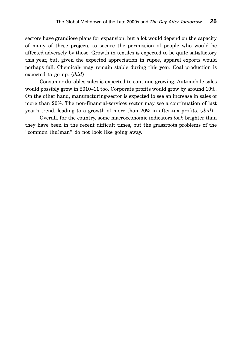sectors have grandiose plans for expansion, but a lot would depend on the capacity of many of these projects to secure the permission of people who would be affected adversely by those. Growth in textiles is expected to be quite satisfactory this year, but, given the expected appreciation in rupee, apparel exports would perhaps fall. Chemicals may remain stable during this year. Coal production is expected to go up. (*ibid*)

Consumer durables sales is expected to continue growing. Automobile sales would possibly grow in 2010–11 too. Corporate profits would grow by around 10%. On the other hand, manufacturing-sector is expected to see an increase in sales of more than 20%. The non-financial-services sector may see a continuation of last year's trend, leading to a growth of more than 20% in after-tax profits. (*ibid*)

Overall, for the country, some macroeconomic indicators *look* brighter than they have been in the recent difficult times, but the grassroots problems of the "common (hu)man" do not look like going away.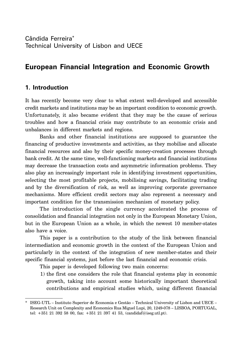Cândida Ferreira\* Technical University of Lisbon and UECE

# **European Financial Integration and Economic Growth**

#### **1. Introduction**

It has recently become very clear to what extent well-developed and accessible credit markets and institutions may be an important condition to economic growth. Unfortunately, it also became evident that they may be the cause of serious troubles and how a financial crisis may contribute to an economic crisis and unbalances in different markets and regions.

Banks and other financial institutions are supposed to guarantee the financing of productive investments and activities, as they mobilise and allocate financial resources and also by their specific money-creation processes through bank credit. At the same time, well-functioning markets and financial institutions may decrease the transaction costs and asymmetric information problems. They also play an increasingly important role in identifying investment opportunities, selecting the most profitable projects, mobilising savings, facilitating trading and by the diversification of risk, as well as improving corporate governance mechanisms. More efficient credit sectors may also represent a necessary and important condition for the transmission mechanism of monetary policy.

The introduction of the single currency accelerated the process of consolidation and financial integration not only in the European Monetary Union, but in the European Union as a whole, in which the newest 10 member-states also have a voice.

This paper is a contribution to the study of the link between financial intermediation and economic growth in the context of the European Union and particularly in the context of the integration of new member-states and their specific financial systems, just before the last financial and economic crisis.

This paper is developed following two main concerns:

 1) the first one considers the role that financial systems play in economic growth, taking into account some historically important theoretical contributions and empirical studies which, using different financial

<sup>\*</sup> ISEG-UTL – Instituto Superior de Economia e Gestão – Technical University of Lisbon and UECE – Research Unit on Complexity and Economics Rua Miguel Lupi, 20, 1249-078 – LISBOA, PORTUGAL, tel:  $+351$  21 392 58 00, fax:  $+351$  21 397 41 53, (candidaf@iseg.utl.pt).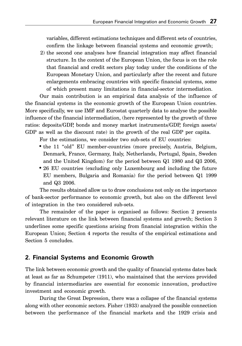variables, different estimations techniques and different sets of countries, confirm the linkage between financial systems and economic growth;

 2) the second one analyses how financial integration may affect financial structure. In the context of the European Union, the focus is on the role that financial and credit sectors play today under the conditions of the European Monetary Union, and particularly after the recent and future enlargements embracing countries with specific financial systems, some of which present many limitations in financial-sector intermediation.

Our main contribution is an empirical data analysis of the influence of the financial systems in the economic growth of the European Union countries. More specifically, we use IMF and Eurostat quarterly data to analyse the possible influence of the financial intermediation, (here represented by the growth of three ratios: deposits/GDP, bonds and money market instruments/GDP, foreign assets/ GDP as well as the discount rate) in the growth of the real GDP per capita.

For the estimations, we consider two sub-sets of EU countries:

- the 11 "old" EU member-countries (more precisely, Austria, Belgium, Denmark, France, Germany, Italy, Netherlands, Portugal, Spain, Sweden and the United Kingdom) for the period between Q1 1980 and Q3 2006,
- 26 EU countries (excluding only Luxembourg and including the future EU members, Bulgaria and Romania) for the period between Q1 1999 and Q3 2006.

The results obtained allow us to draw conclusions not only on the importance of bank-sector performance to economic growth, but also on the different level of integration in the two considered sub-sets.

The remainder of the paper is organised as follows: Section 2 presents relevant literature on the link between financial systems and growth; Section 3 underlines some specific questions arising from financial integration within the European Union; Section 4 reports the results of the empirical estimations and Section 5 concludes.

#### **2. Financial Systems and Economic Growth**

The link between economic growth and the quality of financial systems dates back at least as far as Schumpeter (1911), who maintained that the services provided by financial intermediaries are essential for economic innovation, productive investment and economic growth.

During the Great Depression, there was a collapse of the financial systems along with other economic sectors. Fisher (1933) analyzed the possible connection between the performance of the financial markets and the 1929 crisis and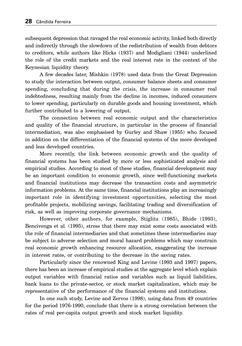subsequent depression that ravaged the real economic activity, linked both directly and indirectly through the slowdown of the redistribution of wealth from debtors to creditors, while authors like Hicks (1937) and Modigliani (1944) underlined the role of the credit markets and the real interest rate in the context of the Keynesian liquidity theory.

A few decades later, Mishkin (1978) used data from the Great Depression to study the interaction between output, consumer balance sheets and consumer spending, concluding that during the crisis, the increase in consumer real indebtedness, resulting mainly from the decline in incomes, induced consumers to lower spending, particularly on durable goods and housing investment, which further contributed to a lowering of output.

The connection between real economic output and the characteristics and quality of the financial structure, in particular in the process of financial intermediation, was also emphasised by Gurley and Shaw (1955) who focused in addition on the differentiation of the financial systems of the more developed and less developed countries.

More recently, the link between economic growth and the quality of financial systems has been studied by more or less sophisticated analysis and empirical studies. According to most of these studies, financial development may be an important condition to economic growth, since well-functioning markets and financial institutions may decrease the transaction costs and asymmetric information problems. At the same time, financial institutions play an increasingly important role in identifying investment opportunities, selecting the most profitable projects, mobilizing savings, facilitating trading and diversification of risk, as well as improving corporate governance mechanisms.

However, other authors, for example, Stiglitz (1985), Bhide (1993), Bencivenga et al. (1995), stress that there may exist some costs associated with the role of financial intermediaries and that sometimes these intermediaries may be subject to adverse selection and moral hazard problems which may constrain real economic growth enhancing resource allocation, exaggerating the increase in interest rates, or contributing to the decrease in the saving rates.

Particularly since the renowned King and Levine (1993 and 1997) papers, there has been an increase of empirical studies at the aggregate level which explain output variables with financial ratios and variables such as liquid liabilities, bank loans to the private-sector, or stock market capitalization, which may be representative of the performance of the financial systems and institutions.

In one such study, Levine and Zervos (1998), using data from 49 countries for the period 1976-1990, conclude that there is a strong correlation between the rates of real per-capita output growth and stock market liquidity.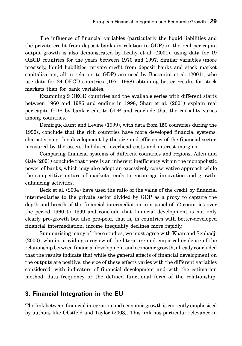The influence of financial variables (particularly the liquid liabilities and the private credit from deposit banks in relation to GDP) in the real per-capita output growth is also demonstrated by Leahy et al. (2001), using data for 19 OECD countries for the years between 1970 and 1997. Similar variables (more precisely, liquid liabilities, private credit from deposit banks and stock market capitalisation, all in relation to GDP) are used by Bassanini et al. (2001), who use data for 24 OECD countries (1971-1998) obtaining better results for stock markets than for bank variables.

Examining 9 OECD countries and the available series with different starts between 1960 and 1986 and ending in 1998, Shan et al. (2001) explain real per-capita GDP by bank credit to GDP and conclude that the causality varies among countries.

Demirguç-Kunt and Levine (1999), with data from 150 countries during the 1990s, conclude that the rich countries have more developed financial systems, characterising this development by the size and efficiency of the financial sector, measured by the assets, liabilities, overhead costs and interest margins.

Comparing financial systems of different countries and regions, Allen and Gale  $(2001)$  conclude that there is an inherent inefficiency within the monopolistic power of banks, which may also adopt an excessively conservative approach while the competitive nature of markets tends to encourage innovation and growthenhancing activities.

Beck et al. (2004) have used the ratio of the value of the credit by financial intermediaries to the private sector divided by GDP as a proxy to capture the depth and breath of the financial intermediation in a panel of 52 countries over the period 1960 to 1999 and conclude that financial development is not only clearly pro-growth but also pro-poor, that is, in countries with better-developed financial intermediation, income inequality declines more rapidly.

Summarising many of these studies, we must agree with Khan and Senhadji (2000), who in providing a review of the literature and empirical evidence of the relationship between financial development and economic growth, already concluded that the results indicate that while the general effects of financial development on the outputs are positive, the size of these effects varies with the different variables considered, with indicators of financial development and with the estimation method, data frequency or the defined functional form of the relationship.

#### **3. Financial Integration in the EU**

The link between financial integration and economic growth is currently emphasised by authors like Obstfeld and Taylor (2003). This link has particular relevance in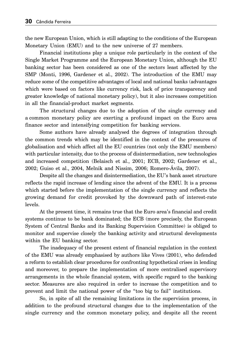the new European Union, which is still adapting to the conditions of the European Monetary Union (EMU) and to the new universe of 27 members.

Financial institutions play a unique role particularly in the context of the Single Market Programme and the European Monetary Union, although the EU banking sector has been considered as one of the sectors least affected by the SMP (Monti, 1996, Gardener et al., 2002). The introduction of the EMU may reduce some of the competitive advantages of local and national banks (advantages which were based on factors like currency risk, lack of price transparency and greater knowledge of national monetary policy), but it also increases competition in all the financial-product market segments.

The structural changes due to the adoption of the single currency and a common monetary policy are exerting a profound impact on the Euro area finance sector and intensifying competition for banking services.

Some authors have already analysed the degrees of integration through the common trends which may be identified in the context of the pressures of globalisation and which affect all the EU countries (not only the EMU members) with particular intensity, due to the process of disintermediation, new technologies and increased competition (Belaisch et al., 2001; ECB, 2002; Gardener et al., 2002; Guiso et al., 2004, Melnik and Nissim, 2006; Romero-Ávila, 2007).

Despite all the changes and disintermediation, the EU's bank asset structure reflects the rapid increase of lending since the advent of the EMU. It is a process which started before the implementation of the single currency and reflects the growing demand for credit provoked by the downward path of interest-rate levels.

At the present time, it remains true that the Euro area's financial and credit systems continue to be bank dominated; the ECB (more precisely, the European System of Central Banks and its Banking Supervision Committee) is obliged to monitor and supervise closely the banking activity and structural developments within the EU banking sector.

The inadequacy of the present extent of financial regulation in the context of the EMU was already emphasised by authors like Vives (2001), who defended a reform to establish clear procedures for confronting hypothetical crises in lending and moreover, to prepare the implementation of more centralised supervisory arrangements in the whole financial system, with specific regard to the banking sector. Measures are also required in order to increase the competition and to prevent and limit the national power of the "too big to fail" institutions.

So, in spite of all the remaining limitations in the supervision process, in addition to the profound structural changes due to the implementation of the single currency and the common monetary policy, and despite all the recent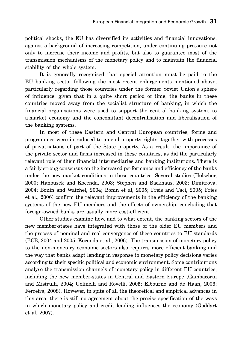political shocks, the EU has diversified its activities and financial innovations, against a background of increasing competition, under continuing pressure not only to increase their income and profits, but also to guarantee most of the transmission mechanisms of the monetary policy and to maintain the financial stability of the whole system.

It is generally recognised that special attention must be paid to the EU banking sector following the most recent enlargements mentioned above, particularly regarding those countries under the former Soviet Union's sphere of influence, given that in a quite short period of time, the banks in these countries moved away from the socialist structure of banking, in which the financial organisations were used to support the central banking system, to a market economy and the concomitant decentralisation and liberalisation of the banking systems.

In most of these Eastern and Central European countries, forms and programmes were introduced to amend property rights, together with processes of privatisations of part of the State property. As a result, the importance of the private sector and firms increased in these countries, as did the particularly relevant role of their financial intermediaries and banking institutions. There is a fairly strong consensus on the increased performance and efficiency of the banks under the new market conditions in these countries. Several studies (Holscher, 2000; Hanousek and Kocenda, 2003; Stephen and Backhaus, 2003; Dimitrova, 2004; Bonin and Watchel, 2004; Bonin et al, 2005; Freis and Taci, 2005; Fries et al., 2006) confirm the relevant improvements in the efficiency of the banking systems of the new EU members and the effects of ownership, concluding that foreign-owned banks are usually more cost-efficient.

Other studies examine how, and to what extent, the banking sectors of the new member-states have integrated with those of the older EU members and the process of nominal and real convergence of these countries to EU standards (ECB, 2004 and 2005; Kocenda et al., 2006). The transmission of monetary policy to the non-monetary economic sectors also requires more efficient banking and the way that banks adapt lending in response to monetary policy decisions varies according to their specific political and economic environment. Some contributions analyse the transmission channels of monetary policy in different EU countries, including the new member-states in Central and Eastern Europe (Gambacorta and Mistrulli, 2004; Golinelli and Rovelli, 2005; Elbourne and de Haan, 2006; Ferreira, 2008). However, in spite of all the theoretical and empirical advances in this area, there is still no agreement about the precise specification of the ways in which monetary policy and credit lending influences the economy (Goddart et al. 2007).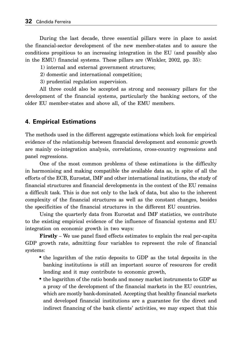During the last decade, three essential pillars were in place to assist the financial-sector development of the new member-states and to assure the conditions propitious to an increasing integration in the EU (and possibly also in the EMU) financial systems. These pillars are (Winkler, 2002, pp. 35):

1) internal and external government structures;

2) domestic and international competition;

3) prudential regulation supervision.

All three could also be accepted as strong and necessary pillars for the development of the financial systems, particularly the banking sectors, of the older EU member-states and above all, of the EMU members.

# **4. Empirical Estimations**

The methods used in the different aggregate estimations which look for empirical evidence of the relationship between financial development and economic growth are mainly co-integration analysis, correlations, cross-country regressions and panel regressions.

One of the most common problems of these estimations is the difficulty in harmonising and making compatible the available data as, in spite of all the efforts of the ECB, Eurostat, IMF and other international institutions, the study of financial structures and financial developments in the context of the EU remains a difficult task. This is due not only to the lack of data, but also to the inherent complexity of the financial structures as well as the constant changes, besides the specificities of the financial structures in the different EU countries.

Using the quarterly data from Eurostat and IMF statistics, we contribute to the existing empirical evidence of the influence of financial systems and EU integration on economic growth in two ways:

**Firstly** – We use panel fixed effects estimates to explain the real per-capita GDP growth rate, admitting four variables to represent the role of financial systems:

- the logarithm of the ratio deposits to GDP as the total deposits in the banking institutions is still an important source of resources for credit lending and it may contribute to economic growth,
- the logarithm of the ratio bonds and money market instruments to GDP as a proxy of the development of the financial markets in the EU countries, which are mostly bank-dominated. Accepting that healthy financial markets and developed financial institutions are a guarantee for the direct and indirect financing of the bank clients' activities, we may expect that this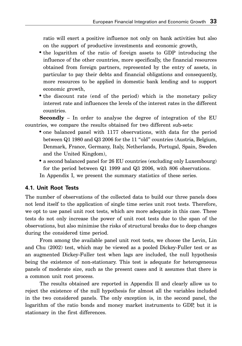ratio will exert a positive influence not only on bank activities but also on the support of productive investments and economic growth,

- the logarithm of the ratio of foreign assets to GDP introducing the influence of the other countries, more specifically, the financial resources obtained from foreign partners, represented by the entry of assets, in particular to pay their debts and financial obligations and consequently, more resources to be applied in domestic bank lending and to support economic growth,
- the discount rate (end of the period) which is the monetary policy interest rate and influences the levels of the interest rates in the different countries.

**Secondly** – In order to analyse the degree of integration of the EU countries, we compare the results obtained for two different sub-sets:

- one balanced panel with 1177 observations, with data for the period between Q1 1980 and Q3 2006 for the 11 "old" countries (Austria, Belgium, Denmark, France, Germany, Italy, Netherlands, Portugal, Spain, Sweden and the United Kingdom),
- a second balanced panel for 26 EU countries (excluding only Luxembourg) for the period between Q1 1999 and Q3 2006, with 806 observations. In Appendix I, we present the summary statistics of these series.

#### **4.1. Unit Root Tests**

The number of observations of the collected data to build our three panels does not lend itself to the application of single time series unit root tests. Therefore, we opt to use panel unit root tests, which are more adequate in this case. These tests do not only increase the power of unit root tests due to the span of the observations, but also minimise the risks of structural breaks due to deep changes during the considered time period.

From among the available panel unit root tests, we choose the Levin, Lin and Chu (2002) test, which may be viewed as a pooled Dickey-Fuller test or as an augmented Dickey-Fuller test when lags are included, the null hypothesis being the existence of non-stationary. This test is adequate for heterogeneous panels of moderate size, such as the present cases and it assumes that there is a common unit root process.

The results obtained are reported in Appendix II and clearly allow us to reject the existence of the null hypothesis for almost all the variables included in the two considered panels. The only exception is, in the second panel, the logarithm of the ratio bonds and money market instruments to GDP, but it is stationary in the first differences.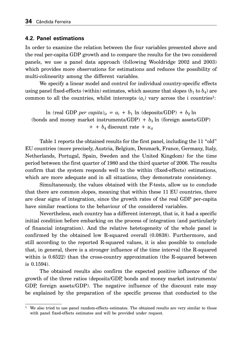#### **4.2. Panel estimations**

In order to examine the relation between the four variables presented above and the real per-capita GDP growth and to compare the results for the two considered panels, we use a panel data approach (following Wooldridge 2002 and 2003) which provides more observations for estimations and reduces the possibility of multi-colinearity among the different variables.

We specify a linear model and control for individual country-specific effects using panel fixed-effects (within) estimates, which assume that slopes  $(b_1$  to  $b_4$ ) are common to all the countries, whilst intercepts  $(a_i)$  vary across the i countries<sup>1</sup>:

ln (real GDP *per capita*)<sub>*it*</sub> =  $a_i + b_1$  ln (deposits/GDP) +  $b_2$  ln (bonds and money market instruments/GDP) +  $b_3$  ln (foreign assets/GDP)  $+ + b_4$  discount rate  $+ u_{it}$ 

Table 1 reports the obtained results for the first panel, including the 11 "old" EU countries (more precisely, Austria, Belgium, Denmark, France, Germany, Italy, Netherlands, Portugal, Spain, Sweden and the United Kingdom) for the time period between the first quarter of 1980 and the third quarter of 2006. The results confirm that the system responds well to the within (fixed-effects) estimations, which are more adequate and in all situations, they demonstrate consistency.

Simultaneously, the values obtained with the F-tests, allow us to conclude that there are common slopes, meaning that within these 11 EU countries, there are clear signs of integration, since the growth rates of the real GDP per-capita have similar reactions to the behaviour of the considered variables.

Nevertheless, each country has a different intercept, that is, it had a specific initial condition before embarking on the process of integration (and particularly of financial integration). And the relative hetetogeneity of the whole panel is confirmed by the obtained low R-squared overall (0.0838). Furthermore, and still according to the reported R-squared values, it is also possible to conclude that, in general, there is a stronger influence of the time interval (the R-squared within is 0.6522) than the cross-country approximation (the R-squared between is 0.1594).

The obtained results also confirm the expected positive influence of the growth of the three ratios (deposits/GDP, bonds and money market instruments/ GDP, foreign assets/GDP). The negative influence of the discount rate may be explained by the preparation of the specific process that conducted to the

<sup>&</sup>lt;sup>1</sup> We also tried to use panel random-effects estimates. The obtained results are very similar to those with panel fixed-effects estimates and will be provided under request.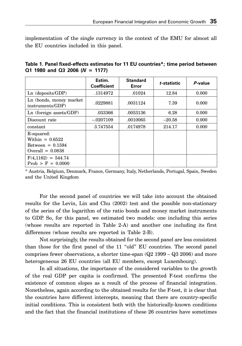implementation of the single currency in the context of the EMU for almost all the EU countries included in this panel.

|                                                                             | Estim.<br><b>Coefficient</b> | <b>Standard</b><br>Error | t-statistic | P-value |
|-----------------------------------------------------------------------------|------------------------------|--------------------------|-------------|---------|
| $Ln$ (deposits/ $GDP$ )                                                     | .1314972                     | .01024                   | 12.84       | 0.000   |
| Ln (bonds, money market)<br>instruments/GDP)                                | .0229881                     | .0031124                 | 7.39        | 0.000   |
| $Ln$ (foreign assets/ $GDP$ )                                               | .033366                      | .0053136                 | 6.28        | 0.000   |
| Discount rate                                                               | $-.0207109$                  | .0010065                 | $-20.58$    | 0.000   |
| constant                                                                    | 3.747554                     | .0174978                 | 214.17      | 0.000   |
| R-squared:<br>Within $= 0.6522$<br>$Between = 0.1594$<br>$Overall = 0.0838$ |                              |                          |             |         |
| $F(4,1162) = 544.74$<br>$Prob > F = 0.0000$                                 |                              |                          |             |         |

**Table 1. Panel fixed-effects estimates for 11 EU countries\*; time period between Q1 1980 and Q3 2006 (***N* **= 1177)**

\* Austria, Belgium, Denmark, France, Germany, Italy, Netherlands, Portugal, Spain, Sweden and the United Kingdom

For the second panel of countries we will take into account the obtained results for the Levin, Lin and Chu (2002) test and the possible non-stationary of the series of the logarithm of the ratio bonds and money market instruments to GDP. So, for this panel, we estimated two models: one including this series (whose results are reported in Table 2-A) and another one including its first differences (whose results are reported in Table 2-B).

Not surprisingly, the results obtained for the second panel are less consistent than those for the first panel of the 11 "old" EU countries. The second panel comprises fewer observations, a shorter time-span  $(Q2 1999 - Q3 2006)$  and more heterogeneous 26 EU countries (all EU members, except Luxembourg).

In all situations, the importance of the considered variables to the growth of the real GDP per capita is confirmed. The presented F-test confirms the existence of common slopes as a result of the process of financial integration. Nonetheless, again according to the obtained results for the F-test, it is clear that the countries have different intercepts, meaning that there are country-specific initial conditions. This is consistent both with the historically-known conditions and the fact that the financial institutions of these 26 countries have sometimes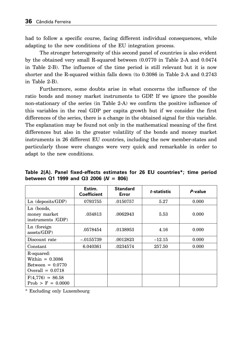had to follow a specific course, facing different individual consequences, while adapting to the new conditions of the EU integration process.

The stronger heterogeneity of this second panel of countries is also evident by the obtained very small R-squared between (0.0770 in Table 2-A and 0.0474 in Table 2-B). The influence of the time period is still relevant but it is now shorter and the R-squared within falls down (to 0.3086 in Table 2-A and 0.2743 in Table 2-B).

Furthermore, some doubts arise in what concerns the influence of the ratio bonds and money market instruments to GDP. If we ignore the possible non-stationary of the series (in Table 2-A) we confirm the positive influence of this variables in the real GDP per capita growth but if we consider the first differences of the series, there is a change in the obtained signal for this variable. The explanation may be found not only in the mathematical meaning of the first differences but also in the greater volatility of the bonds and money market instruments in 26 different EU countries, including the new member-states and particularly those were changes were very quick and remarkable in order to adapt to the new conditions.

**Table 2(A). Panel fixed-effects estimates for 26 EU countries\*; time period between Q1 1999 and Q3 2006 (***N* **= 806)**

|                                                                             | Estim.<br><b>Coefficient</b> | <b>Standard</b><br>Error | <i>t</i> -statistic | P-value |
|-----------------------------------------------------------------------------|------------------------------|--------------------------|---------------------|---------|
| $Ln$ (deposits/ $GDP$ )                                                     | 0793755                      | .0150757                 | 5.27                | 0.000   |
| Ln (bonds,<br>money market<br>instruments /GDP)                             | .034813                      | .0062943                 | 5.53                | 0.000   |
| Ln (foreign)<br>assets/GDP)                                                 | .0578454                     | .0138953                 | 4.16                | 0.000   |
| Discount rate                                                               | $-.0155739$                  | .0012823                 | $-12.15$            | 0.000   |
| Constant                                                                    | 6.040361                     | .0234574                 | 257.50              | 0.000   |
| R-squared:<br>Within $= 0.3086$<br>Between $= 0.0770$<br>Overall $= 0.0718$ |                              |                          |                     |         |
| $F(4,776) = 86.58$<br>$Prob > F = 0.0000$                                   |                              |                          |                     |         |

\* Excluding only Luxembourg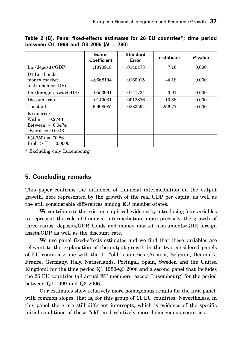|                                                                             | Estim.<br><b>Coefficient</b> | <b>Standard</b><br>Error | t-statistic | P-value |
|-----------------------------------------------------------------------------|------------------------------|--------------------------|-------------|---------|
| Ln (deposits/GDP)                                                           | .1070918                     | .0149473                 | 7.16        | 0.000   |
| D1.Ln (bonds,<br>money market<br>instruments/GDP)                           | $-.0668194$                  | .0160015                 | $-4.18$     | 0.000   |
| $Ln$ (foreign assets/ $GDP$ )                                               | .0553991                     | .0141734                 | 3.91        | 0.000   |
| Discount rate                                                               | $-.0140031$                  | .0012876                 | $-10.88$    | 0.000   |
| Constant                                                                    | 5.998085                     | .0233594                 | 256.77      | 0.000   |
| R-squared:<br>Within $= 0.2743$<br>Between $= 0.0474$<br>Overall $= 0.0443$ |                              |                          |             |         |
| $F(4,750) = 70.86$<br>$Prob > F = 0.0000$                                   |                              |                          |             |         |

**Table 2 (B). Panel fixed-effects estimates for 26 EU countries\*; time period between Q1 1999 and Q3 2006 (***N* **= 780)**

\* Excluding only Luxembourg

## **5. Concluding remarks**

This paper confirms the influence of financial intermediation on the output growth, here represented by the growth of the real GDP per capita, as well as the still considerable differences among EU member-states.

We contribute to the existing empirical evidence by introducing four variables to represent the role of financial intermediation, more precisely, the growth of three ratios: deposits/GDP, bonds and money market instruments/GDP, foreign assets/GDP as well as the discount rate.

We use panel fixed-effects estimates and we find that these variables are relevant to the explanation of the output growth in the two considered panels of EU countries: one with the 11 "old" countries (Austria, Belgium, Denmark, France, Germany, Italy, Netherlands, Portugal, Spain, Sweden and the United Kingdom) for the time period Q1 1980-Q3 2006 and a second panel that includes the 26 EU countries (all actual EU members, except Luxembourg) for the period between Q1 1999 and Q3 2006.

Our estimates show relatively more homogenous results for the first panel, with common slopes, that is, for this group of 11 EU countries. Nevertheless, in this panel there are still different intercepts, which is evidence of the specific initial conditions of these "old" and relatively more homogenous countries.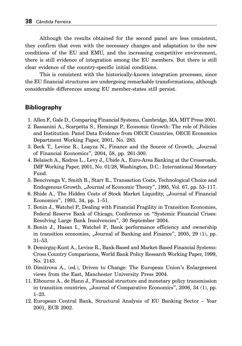Although the results obtained for the second panel are less consistent, they confirm that even with the necessary changes and adaptation to the new conditions of the EU and EMU, and the increasing competitive environment, there is still evidence of integration among the EU members. But there is still clear evidence of the country-specific initial conditions.

This is consistent with the historically-known integration processes, since the EU financial structures are undergoing remarkable transformations, although considerable differences among EU member-states still persist.

## **Bibliography**

- 1. Allen F., Gale D., Comparing Financial Systems, Cambridge, MA, MIT Press 2001.
- 2. Bassanini A., Scarpetta S., Hemings P., Economic Growth: The role of Policies and Institution. Panel Data Evidence from OECE Countries, OECE Economics Department Working Paper, 2001, No. 283.
- 3. Beck T., Levine R., Loayza N., Finance and the Source of Growth, "Journal of Financial Economics", 2004, 58, pp. 261-300.
- 4. Belaisch A., Kodres L., Levy J., Ubide A., Euro-Area Banking at the Crossroads, IMF Working Paper, 2001, No. 01/28, Washington, D.C.: International Monetary Fund.
- 5. Bencivenga V., Smith B., Starr R., Transaction Costs, Technological Choice and Endogenous Growth, "Journal of Economic Theory", 1995, Vol. 67, pp. 53–117.
- 6. Bhide A., The Hidden Costs of Stock Market Liquidity, "Journal of Financial Economics", 1993, 34, pp. 1–51.
- 7. Bonin J., Watchel P., Dealing with Financial Fragility in Transition Economies, Federal Reserve Bank of Chicago, Conference on "Systemic Financial Crises: Resolving Large Bank Insolvencies", 30 September 2004.
- 8. Bonin J., Hasan I., Watchel P., Bank performance efficiency and ownership in transition economies, "Journal of Banking and Finance", 2005, 29 (1), pp. 31–53.
- 9. Demirguç-Kunt A., Levine R., Bank-Based and Market-Based Financial Systems: Cross Country Comparisons, World Bank Policy Research Working Paper, 1999, No. 2143.
- 10. Dimitrova A., (ed.), Driven to Change: The European Union's Enlargement views from the East, Manchester University Press 2004.
- 11. Elbourne A., de Hann J., Financial structure and monetary policy transmission in transition countries, "Journal of Comparative Economics", 2006, 34 (1), pp. 1–23.
- 12. European Central Bank, Structural Analysis of EU Banking Sector Year 2001, ECB 2002.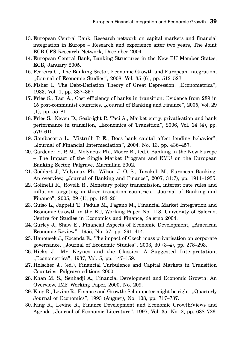- 13. European Central Bank, Research network on capital markets and financial integration in Europe – Research and experience after two years, The Joint ECB-CFS Research Network, December 2004.
- 14. European Central Bank, Banking Structures in the New EU Member States, ECB, January 2005.
- 15. Ferreira C., The Banking Sector, Economic Growth and European Integration, "Journal of Economic Studies", 2008, Vol. 35 (6), pp. 512–527.
- 16. Fisher I., The Debt-Deflation Theory of Great Depression, "Econometrica", 1933, Vol. 1, pp. 337–357.
- 17. Fries S., Taci A., Cost efficiency of banks in transition: Evidence from 289 in 15 post-communist countries, "Journal of Banking and Finance", 2005, Vol. 29 (1), pp. 55–81.
- 18. Fries S., Neven D., Seabright P., Taci A., Market entry, privatisation and bank performance in transition, "Economics of Transition", 2006, Vol. 14 (4), pp. 579–610.
- 19. Gambacorta L., Mistrulli P. E., Does bank capital affect lending behavior?, "Journal of Financial Intermediation", 2004, No. 13, pp. 436–457.
- 20. Gardener E. P. M., Molyneux Ph., Moore B., (ed.), Banking in the New Europe – The Impact of the Single Market Program and EMU on the European Banking Sector, Palgrave, Macmillan 2002.
- 21. Goddart J., Molyneux Ph., Wilson J. O. S., Tavakoli M., European Banking: An overview, "Journal of Banking and Finance", 2007, 31(7), pp. 1911–1935.
- 22. Golinelli R., Rovelli R., Monetary policy transmission, interest rate rules and inflation targeting in three transition countries, "Journal of Banking and Finance", 2005, 29 (1), pp. 183–201.
- 23. Guiso L., Jappelli T., Padula M., Pagano M., Financial Market Integration and Economic Growth in the EU, Working Paper No. 118, University of Salerno, Centre for Studies in Economics and Finance, Salerno 2004.
- 24. Gurley J., Shaw E., Financial Aspects of Economic Development, "American Economic Review", 1955, No. 57, pp. 391–414.
- 25. Hanousek J., Kocenda E., The impact of Czech mass privatisation on corporate governance, "Journal of Economic Studies",  $2003$ ,  $30$   $(3-4)$ , pp.  $278-293$ .
- 26. Hicks J., Mr. Keynes and the Classics: A Suggested Interpretation, "Econometrica", 1937, Vol. 5, pp. 147-159.
- 27. Holscher J., (ed.), Financial Turbulence and Capital Markets in Transition Countries, Palgrave editions 2000.
- 28. Khan M. S., Senhadji A., Financial Development and Economic Growth: An Overview, IMF Working Paper, 2000, No. 209.
- 29. King R., Levine R., Finance and Growth: Schumpeter might be right, "Quarterly Journal of Economics", 1993 (August), No. 108, pp. 717–737.
- 30. King R., Levine R., Finance Development and Economic Growth:Views and Agenda "Journal of Economic Literature", 1997, Vol. 35, No. 2, pp. 688–726.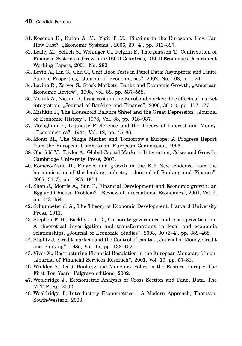- 31. Kocenda E., Kutan A. M., Yigit T. M., Pilgrims to the Eurozone: How Far, How Fast?, "Economic Systems", 2006, 30 (4), pp. 311–327.
- 32. Leahy M., Schich S., Wehinger G., Pelgrin F., Thorgeirsson T., Contribution of Financial Systems to Growth in OECD Countries, OECD Economics Department Working Papers, 2001, No. 280.
- 33. Levin A., Lin C., Chu C., Unit Root Tests in Panel Data: Asymptotic and Finite Sample Properties, "Journal of Econometrics", 2002, No. 108, p. 1–24.
- 34. Levine R., Zervos S., Stock Markets, Banks and Economic Growth, "American Economic Review", 1998, Vol. 88, pp. 537–558.
- 35. Melnik A., Nissim D., Issue costs in the Eurobond market: The effects of market integration, "Journal of Banking and Finance",  $2006$ ,  $30$   $(1)$ , pp.  $157-177$ .
- 36. Mishkin F., The Household Balance Shhet and the Great Depression, "Journal of Economic History", 1978, Vol. 38, pp. 918–937.
- 37. Modigliani F., Liquidity Preference and the Theory of Interest and Money, "Econometrica", 1944, Vol. 12, pp. 45–88.
- 38. Monti M., The Single Market and Tomorrow's Europe: A Progress Report from the European Commission, European Commission, 1996.
- 39. Obstfeld M., Taylor A., Global Capital Markets: Integration, Crises and Growth, Cambridge University Press, 2003.
- 40. Romero-Ávila D., Finance and growth in the EU: New evidence from the harmonisation of the banking industry, "Journal of Banking and Finance", 2007, 31(7), pp. 1937–1954.
- 41. Shan J., Morris A., Sun F., Financial Development and Economic growth: an Egg and Chicken Problem?, "Review of International Economics", 2001, Vol. 9, pp. 443–454.
- 42. Schumpeter J. A., The Theory of Economic Development, Harvard University Press, 1911.
- 43. Stephen F. H., Backhaus J. G., Corporate governance and mass privatisation: A theoretical investigation and transformations in legal and economic relationships, "Journal of Economic Studies", 2003, 30 (3–4), pp. 389–468.
- 44. Stiglitz J., Credit markets and the Control of capital, "Journal of Money, Credit and Banking", 1985, Vol. 17, pp. 133–152.
- 45. Vives X., Restructuring Financial Regulation in the European Monetary Union, "Journal of Financial Services Reserach", 2001, Vol. 19, pp. 57–82.
- 46. Winkler A., (ed.), Banking and Monetary Policy in the Eastern Europe: The First Ten Years, Palgrave editions, 2002.
- 47. Wooldridge J., Econometric Analysis of Cross Section and Panel Data, The MIT Press, 2002.
- 48. Wooldridge J., Introductory Econometrics A Modern Approach, Thomson, South-Western, 2003.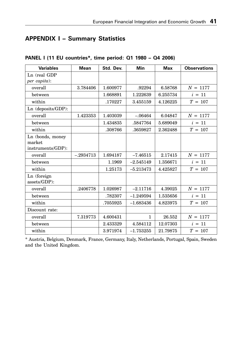# **APPENDIX I – Summary Statistics**

| <b>Variables</b>        | <b>Mean</b> | Std. Dev. | <b>Min</b>   | <b>Max</b> | <b>Observations</b> |
|-------------------------|-------------|-----------|--------------|------------|---------------------|
| Ln (real GDP            |             |           |              |            |                     |
| per capita):            |             |           |              |            |                     |
| overall                 | 3.784406    | 1.600977  | .92294       | 6.58768    | $N = 1177$          |
| between                 |             | 1.668891  | 1.222639     | 6.255734   | $i = 11$            |
| within                  |             | .170227   | 3.455159     | 4.126225   | $T = 107$           |
| $\;$ Ln (deposits/GDP): |             |           |              |            |                     |
| overall                 | 1.423353    | 1.403039  | $-.06464$    | 6.04847    | $N = 1177$          |
| between                 |             | 1.434835  | .5847764     | 5.689049   | $i = 11$            |
| within                  |             | .308766   | .3659827     | 2.362488   | $T = 107$           |
| Ln (bonds, money        |             |           |              |            |                     |
| market                  |             |           |              |            |                     |
| instruments/GDP):       |             |           |              |            |                     |
| overall                 | $-.2934713$ | 1.694187  | $-7.46515$   | 2.17415    | $N = 1177$          |
| between                 |             | 1.1969    | $-2.545149$  | 1.356671   | $i = 11$            |
| within                  |             | 1.25173   | $-5.213473$  | 4.425827   | $T = 107$           |
| Ln (foreign             |             |           |              |            |                     |
| assets/GDP):            |             |           |              |            |                     |
| overall                 | .2406778    | 1.026987  | $-2.11716$   | 4.39025    | $N = 1177$          |
| between                 |             | .782307   | $-1.249594$  | 1.535656   | $i = 11$            |
| within                  |             | .7055925  | $-1.683436$  | 4.823975   | $T = 107$           |
| Discount rate:          |             |           |              |            |                     |
| overall                 | 7.319773    | 4.600431  | $\mathbf{1}$ | 26.552     | $N = 1177$          |
| between                 |             | 2.433329  | 4.584112     | 12.07303   | $i = 11$            |
| within                  |             | 3.971974  | $-1.753255$  | 21.79875   | $T = 107$           |

### **PANEL I (11 EU countries\*, time period: Q1 1980 – Q4 2006)**

\* Austria, Belgium, Denmark, France, Germany, Italy, Netherlands, Portugal, Spain, Sweden and the United Kingdom.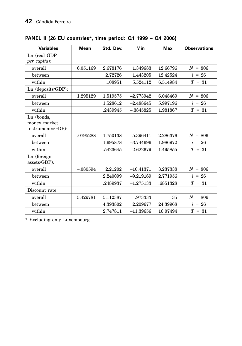| <b>Variables</b>             | <b>Mean</b> | Std. Dev. | <b>Min</b>  | <b>Max</b> | <b>Observations</b> |
|------------------------------|-------------|-----------|-------------|------------|---------------------|
| Ln (real GDP                 |             |           |             |            |                     |
| per capita):                 |             |           |             |            |                     |
| overall                      | 6.051169    | 2.678176  | 1.349683    | 12.66796   | $N = 806$           |
| between                      |             | 2.72726   | 1.443205    | 12.42524   | $i = 26$            |
| within                       |             | .108951   | 5.524112    | 6.514984   | $T = 31$            |
| Ln (deposits/GDP):           |             |           |             |            |                     |
| overall                      | 1.295129    | 1.519575  | $-2.773942$ | 6.048469   | $N = 806$           |
| between                      |             | 1.528612  | $-2.488645$ | 5.997196   | $i = 26$            |
| within                       |             | .2439945  | $-.3845825$ | 1.981867   | $T = 31$            |
| Ln (bonds,                   |             |           |             |            |                     |
| money market                 |             |           |             |            |                     |
| instruments/GDP):            |             |           |             |            |                     |
| overall                      | $-.0795288$ | 1.750138  | $-5.396411$ | 2.286376   | $N = 806$           |
| between                      |             | 1.695878  | $-3.744696$ | 1.986972   | $i = 26$            |
| within                       |             | .5423645  | $-2.622679$ | 1.495855   | $T = 31$            |
| Ln (foreign)<br>assets/GDP): |             |           |             |            |                     |
|                              |             |           |             |            |                     |
| overall                      | $-.080594$  | 2.21202   | $-10.41371$ | 3.237338   | $N = 806$           |
| between                      |             | 2.240099  | $-9.219169$ | 2.771956   | $i = 26$            |
| within                       |             | .2489937  | $-1.275133$ | .6851328   | $T = 31$            |
| Discount rate:               |             |           |             |            |                     |
| overall                      | 5.429781    | 5.112387  | .973333     | 35         | $N = 806$           |
| between                      |             | 4.393802  | 2.209677    | 24.39968   | $i = 26$            |
| within                       |             | 2.747811  | $-11.39656$ | 16.07494   | $T = 31$            |

**PANEL II (26 EU countries\*, time period: Q1 1999 – Q4 2006)**

\* Excluding only Luxembourg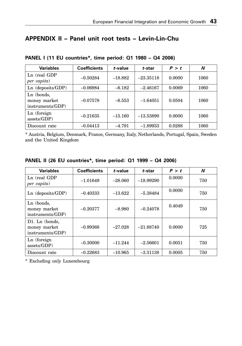# **APPENDIX II – Panel unit root tests – Levin-Lin-Chu**

| <b>Variables</b>                               | <b>Coefficients</b> | t-value   | t-star      | P > t  | N    |
|------------------------------------------------|---------------------|-----------|-------------|--------|------|
| Ln (real GDP<br>per capita)                    | $-0.50284$          | $-18.882$ | $-23.35118$ | 0.0000 | 1060 |
| $Ln$ (deposits/ $GDP$ )                        | $-0.06984$          | $-6.182$  | $-2.46167$  | 0.0069 | 1060 |
| Ln (bonds,<br>money market<br>instruments/GDP) | $-0.07578$          | $-6.553$  | $-1.64051$  | 0.0504 | 1060 |
| Ln (foreign)<br>assets/GDP                     | $-0.21635$          | $-15.160$ | $-13.53890$ | 0.0000 | 1060 |
| Discount rate                                  | $-0.04413$          | $-4.791$  | $-1.89933$  | 0.0288 | 1060 |

**PANEL I (11 EU countries\*, time period: Q1 1980 – Q4 2006)**

\* Austria, Belgium, Denmark, France, Germany, Italy, Netherlands, Portugal, Spain, Sweden and the United Kingdom

| PANEL II (26 EU countries*, time period: Q1 1999 - Q4 2006) |  |  |  |  |  |  |  |
|-------------------------------------------------------------|--|--|--|--|--|--|--|
|-------------------------------------------------------------|--|--|--|--|--|--|--|

| <b>Variables</b>                                   | <b>Coefficients</b> | t-value   | t-star      | P > t  | N   |
|----------------------------------------------------|---------------------|-----------|-------------|--------|-----|
| Ln (real GDP)<br>per capita)                       | $-1.01649$          | $-28.060$ | $-18.99290$ | 0.0000 | 750 |
| $Ln$ (deposits/ $GDP$ )                            | $-0.40333$          | $-13.622$ | $-5.38484$  | 0.0000 | 750 |
| Ln (bonds,<br>money market<br>instruments/GDP)     | $-0.20377$          | $-8.980$  | $-0.24078$  | 0.4049 | 750 |
| D1. Ln (bonds,<br>money market<br>instruments/GDP) | $-0.99368$          | $-27.028$ | $-21.88740$ | 0.0000 | 725 |
| Ln (foreign)<br>assets/GDP                         | $-0.30000$          | $-11.244$ | $-2.56601$  | 0.0051 | 750 |
| Discount rate                                      | $-0.22683$          | $-10.965$ | $-3.31138$  | 0.0005 | 750 |

\* Excluding only Luxembourg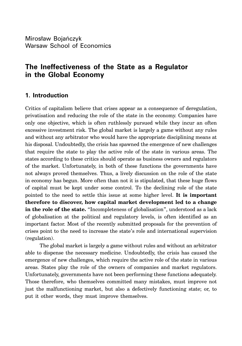Mirosław Bojańczyk Warsaw School of Economics

# **The Ineffectiveness of the State as a Regulator in the Global Economy**

### **1. Introduction**

Critics of capitalism believe that crises appear as a consequence of deregulation, privatisation and reducing the role of the state in the economy. Companies have only one objective, which is often ruthlessly pursued while they incur an often excessive investment risk. The global market is largely a game without any rules and without any arbitrator who would have the appropriate disciplining means at his disposal. Undoubtedly, the crisis has spawned the emergence of new challenges that require the state to play the active role of the state in various areas. The states according to these critics should operate as business owners and regulators of the market. Unfortunately, in both of these functions the governments have not always proved themselves. Thus, a lively discussion on the role of the state in economy has begun. More often than not it is stipulated, that these huge flows of capital must be kept under some control. To the declining role of the state pointed to the need to settle this issue at some higher level. **It is important therefore to discover, how capital market development led to a change in the role of the state.** "Incompleteness of globalisation", understood as a lack of globalisation at the political and regulatory levels, is often identified as an important factor. Most of the recently submitted proposals for the prevention of crises point to the need to increase the state's role and international supervision (regulation).

The global market is largely a game without rules and without an arbitrator able to dispense the necessary medicine. Undoubtedly, the crisis has caused the emergence of new challenges, which require the active role of the state in various areas. States play the role of the owners of companies and market regulators. Unfortunately, governments have not been performing these functions adequately. Those therefore, who themselves committed many mistakes, must improve not just the malfunctioning market, but also a defectively functioning state; or, to put it other words, they must improve themselves.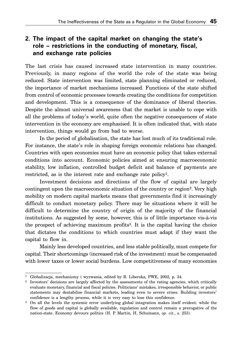## **2. The impact of the capital market on changing the state's role – restrictions in the conducting of monetary, fiscal, and exchange rate policies**

The last crisis has caused increased state intervention in many countries. Previously, in many regions of the world the role of the state was being reduced. State intervention was limited, state planning eliminated or reduced, the importance of market mechanisms increased. Functions of the state shifted from control of economic processes towards creating the conditions for competition and development. This is a consequence of the dominance of liberal theories. Despite the almost universal awareness that the market is unable to cope with all the problems of today's world, quite often the negative consequences of state intervention in the economy are emphasised. It is often indicated that, with state intervention, things would go from bad to worse.

In the period of globalisation, the state has lost much of its traditional role. For instance, the state's role in shaping foreign economic relations has changed. Countries with open economies must have an economic policy that takes external conditions into account. Economic policies aimed at ensuring macroeconomic stability, low inflation, controlled budget deficit and balance of payments are restricted, as is the interest rate and exchange rate policy<sup>1</sup>.

Investment decisions and directions of the flow of capital are largely contingent upon the macroeconomic situation of the country or region<sup>2</sup>. Very high mobility on modern capital markets means that governments find it increasingly difficult to conduct monetary policy. There may be situations where it will be difficult to determine the country of origin of the majority of the financial institutions. As suggested by some, however, this is of little importance vis-à-vis the prospect of achieving maximum profits3. It is the capital having the choice that dictates the conditions to which countries must adapt if they want the capital to flow in.

Mainly less developed countries, and less stable politically, must compete for capital. Their shortcomings (increased risk of the investment) must be compensated with lower taxes or lower social burdens. Low competitiveness of many economies

<sup>1</sup> Globalizacja, mechanizmy i wyzwania, edited by B. Liberska, PWE, 2002, p. 34.

<sup>2</sup> Investors' decisions are largely affected by the assessments of the rating agencies, which critically evaluate monetary, financial and fiscal policies. Politicians' mistakes, irresponsible behavior, or public statements may destabilise financial markets, leading even to severe crises. Building investors' confidence is a lengthy process, while it is very easy to lose this confidence.

<sup>3</sup> On all the levels the systemic error underlying global integration makes itself evident: while the flow of goods and capital is globally available, regulation and control remain a prerogative of the nation-state. Economy devours politics (H. P. Martin, H. Schumann, *op. cit.*, s. 253).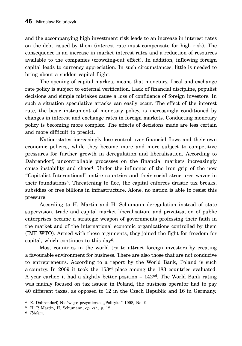and the accompanying high investment risk leads to an increase in interest rates on the debt issued by them (interest rate must compensate for high risk). The consequence is an increase in market interest rates and a reduction of resources available to the companies (crowding-out effect). In addition, inflowing foreign capital leads to currency appreciation. In such circumstances, little is needed to bring about a sudden capital flight.

The opening of capital markets means that monetary, fiscal and exchange rate policy is subject to external verification. Lack of financial discipline, populist decisions and simple mistakes cause a loss of confidence of foreign investors. In such a situation speculative attacks can easily occur. The effect of the interest rate, the basic instrument of monetary policy, is increasingly conditioned by changes in interest and exchange rates in foreign markets. Conducting monetary policy is becoming more complex. The effects of decisions made are less certain and more difficult to predict.

Nation-states increasingly lose control over financial flows and their own economic policies, while they become more and more subject to competitive pressures for further growth in deregulation and liberalisation. According to Dahrendorf, uncontrollable processes on the financial markets increasingly cause instability and chaos4. Under the influence of the iron grip of the new "Capitalist International" entire countries and their social structures waver in their foundations5. Threatening to flee, the capital enforces drastic tax breaks, subsidies or free billions in infrastructure. Alone, no nation is able to resist this pressure.

According to H. Martin and H. Schumann deregulation instead of state supervision, trade and capital market liberalisation, and privatisation of public enterprises became a strategic weapon of governments professing their faith in the market and of the international economic organizations controlled by them (IMF, WTO). Armed with these arguments, they joined the fight for freedom for capital, which continues to this day6.

Most countries in the world try to attract foreign investors by creating a favourable environment for business. There are also those that are not conducive to entrepreneurs. According to a report by the World Bank, Poland is such a country. In 2009 it took the  $153<sup>rd</sup>$  place among the 183 countries evaluated. A year earlier, it had a slightly better position  $-142<sup>nd</sup>$ . The World Bank rating was mainly focused on tax issues: in Poland, the business operator had to pay 40 different taxes, as opposed to 12 in the Czech Republic and 16 in Germany.

<sup>&</sup>lt;sup>4</sup> R. Dahrendorf, Nieświęte przymierze, "Polityka" 1998, No. 9.

<sup>5</sup> H. P. Martin, H. Schumann, *op. cit.*, p. 12.

<sup>6</sup> *Ibidem*.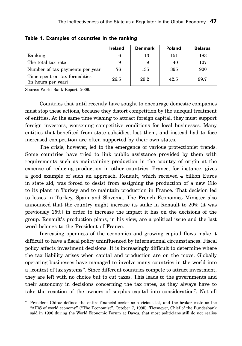|                                                      | <b>Ireland</b> | <b>Denmark</b> | <b>Poland</b> | <b>Belarus</b> |
|------------------------------------------------------|----------------|----------------|---------------|----------------|
| Ranking                                              |                | 13             | 151           | 183            |
| The total tax rate                                   |                |                | 40            | 107            |
| Number of tax payments per year                      | 76             | 135            | 395           | 900            |
| Time spent on tax formalities<br>(in hours per year) | 26.5           | 29.2           | 42.5          | 99.7           |

**Table 1. Examples of countries in the ranking**

Source: World Bank Report, 2009.

Countries that until recently have sought to encourage domestic companies must stop these actions, because they distort competition by the unequal treatment of entities. At the same time wishing to attract foreign capital, they must support foreign investors, worsening competitive conditions for local businesses. Many entities that benefited from state subsidies, lost them, and instead had to face increased competition are often supported by their own states.

The crisis, however, led to the emergence of various protectionist trends. Some countries have tried to link public assistance provided by them with requirements such as maintaining production in the country of origin at the expense of reducing production in other countries. France, for instance, gives a good example of such an approach. Renault, which received 4 billion Euros in state aid, was forced to desist from assigning the production of a new Clio to its plant in Turkey and to maintain production in France. That decision led to losses in Turkey, Spain and Slovenia. The French Economics Minister also announced that the country might increase its stake in Renault to 20% (it was previously 15%) in order to increase the impact it has on the decisions of the group. Renault's production plans, in his view, are a political issue and the last word belongs to the President of France.

Increasing openness of the economies and growing capital flows make it difficult to have a fiscal policy uninfluenced by international circumstances. Fiscal policy affects investment decisions. It is increasingly difficult to determine where the tax liability arises when capital and production are on the move. Globally operating businesses have managed to involve many countries in the world into a "contest of tax systems". Since different countries compete to attract investment, they are left with no choice but to cut taxes. This leads to the governments and their autonomy in decisions concerning the tax rates, as they always have to take the reaction of the owners of surplus capital into consideration7. Not all

<sup>7</sup> President Chirac defined the entire financial sector as a vicious lot, and the broker caste as the "AIDS of world economy" ("The Economist", October 7, 1995). Tietmeyer, Chief of the Bundesbank said in 1996 during the World Economic Forum at Davos, that most politicians still do not realise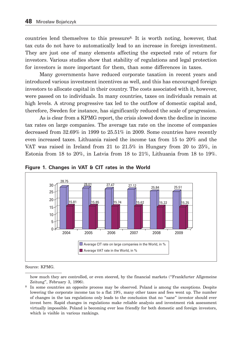countries lend themselves to this pressure8. It is worth noting, however, that tax cuts do not have to automatically lead to an increase in foreign investment. They are just one of many elements affecting the expected rate of return for investors. Various studies show that stability of regulations and legal protection for investors is more important for them, than some differences in taxes.

Many governments have reduced corporate taxation in recent years and introduced various investment incentives as well, and this has encouraged foreign investors to allocate capital in their country. The costs associated with it, however, were passed on to individuals. In many countries, taxes on individuals remain at high levels. A strong progressive tax led to the outflow of domestic capital and, therefore, Sweden for instance, has significantly reduced the scale of progression.

As is clear from a KPMG report, the crisis slowed down the decline in income tax rates on large companies. The average tax rate on the income of companies decreased from 32.69% in 1999 to 25.51% in 2009. Some countries have recently even increased taxes. Lithuania raised the income tax from 15 to 20% and the VAT was raised in Ireland from 21 to 21.5% in Hungary from 20 to 25%, in Estonia from 18 to 20%, in Latvia from 18 to 21%, Lithuania from 18 to 19%.



**Figure 1. Changes in VAT & CIT rates in the World**

#### Source: KPMG.

how much they are controlled, or even steered, by the financial markets ("Frankfurter Allgemeine Zeitung", February 3, 1996).

<sup>8</sup> In some countries an opposite process may be observed. Poland is among the exceptions. Despite lowering the corporate income tax to a flat 19%, many other taxes and fees went up. The number of changes in the tax regulations only leads to the conclusion that no "sane" investor should ever invest here. Rapid changes in regulations make reliable analysis and investment risk assessment virtually impossible. Poland is becoming ever less friendly for both domestic and foreign investors, which is visible in various rankings.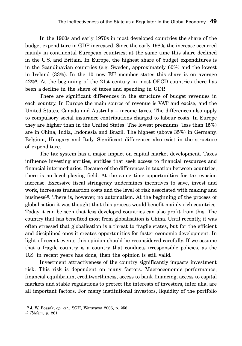In the 1960s and early 1970s in most developed countries the share of the budget expenditure in GDP increased. Since the early 1980s the increase occurred mainly in continental European countries; at the same time this share declined in the U.S. and Britain. In Europe, the highest share of budget expenditures is in the Scandinavian countries (e.g. Sweden, approximately 60%) and the lowest in Ireland (33%). In the 10 new EU member states this share is on average 42%9. At the beginning of the 21st century in most OECD countries there has been a decline in the share of taxes and spending in GDP.

There are significant differences in the structure of budget revenues in each country. In Europe the main source of revenue is VAT and excise, and the United States, Canada and Australia – income taxes. The differences also apply to compulsory social insurance contributions charged to labour costs. In Europe they are higher than in the United States. The lowest premiums (less than 15%) are in China, India, Indonesia and Brazil. The highest (above 35%) in Germany, Belgium, Hungary and Italy. Significant differences also exist in the structure of expenditure.

The tax system has a major impact on capital market development. Taxes influence investing entities, entities that seek access to financial resources and financial intermediaries. Because of the differences in taxation between countries, there is no level playing field. At the same time opportunities for tax evasion increase. Excessive fiscal stringency undermines incentives to save, invest and work, increases transaction costs and the level of risk associated with making and business10. There is, however, no automatism. At the beginning of the process of globalisation it was thought that this process would benefit mainly rich countries. Today it can be seen that less developed countries can also profit from this. The country that has benefited most from globalisation is China. Until recently, it was often stressed that globalisation is a threat to fragile states, but for the efficient and disciplined ones it creates opportunities for faster economic development. In light of recent events this opinion should be reconsidered carefully. If we assume that a fragile country is a country that conducts irresponsible policies, as the U.S. in recent years has done, then the opinion is still valid.

Investment attractiveness of the country significantly impacts investment risk. This risk is dependent on many factors. Macroeconomic performance, financial equilibrium, creditworthiness, access to bank financing, access to capital markets and stable regulations to protect the interests of investors, inter alia, are all important factors. For many institutional investors, liquidity of the portfolio

<sup>9</sup> J. W. Bossak, *op. cit.*, SGH, Warszawa 2006, p. 256.

<sup>10</sup> *Ibidem*, p. 261.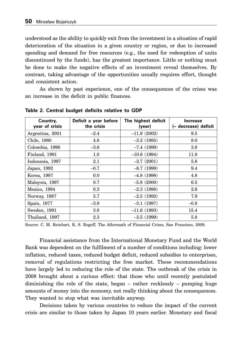understood as the ability to quickly exit from the investment in a situation of rapid deterioration of the situation in a given country or region, or due to increased spending and demand for free resources (e.g., the need for redemption of units discontinued by the funds), has the greatest importance. Little or nothing must be done to make the negative effects of an investment reveal themselves. By contrast, taking advantage of the opportunities usually requires effort, thought and consistent action.

As shown by past experience, one of the consequences of the crises was an increase in the deficit in public finances.

| Country,<br>year of crisis | Deficit a year before<br>the crisis | The highest deficit<br>(vear) | Increase<br>(- decrease) deficit |
|----------------------------|-------------------------------------|-------------------------------|----------------------------------|
| Argentina, 2001            | $-2.4$                              | $-11.9(2002)$                 | 9.5                              |
| Chile, 1980                | 4.8                                 | $-3.2(1985)$                  | 8.0                              |
| Colombia, 1998             | $-3.6$                              | $-7.4(1999)$                  | $3.8\phantom{0}$                 |
| Finland, 1991              | $1.0\,$                             | $-10.8(1994)$                 | 11.8                             |
| Indonesia, 1997            | 2.1                                 | $-3.7(2001)$                  | 5.8                              |
| Japan, 1992                | $-0.7$                              | $-8.7(1999)$                  | 9.4                              |
| Korea, 1997                | 0.0                                 | $-4.8(1998)$                  | 4.8                              |
| Malaysia, 1997             | 0.7                                 | $-5.8(2000)$                  | 6.5                              |
| Mexico, 1994               | 0.3                                 | $-2.3(1998)$                  | 2.6                              |
| Norway, 1987               | 5.7                                 | $-2.5(1992)$                  | 7.9                              |
| Spain, 1977                | $-3.9$                              | $-3.1(1997)$                  | $-0.8$                           |
| Sweden, 1991               | $3.8\phantom{0}$                    | $-11.6(1993)$                 | 15.4                             |
| Thailand, 1997             | 2.3                                 | $-3.5(1999)$                  | 5.8                              |

**Table 2. Central budget deficits relative to GDP**

Source: C. M. Reinhart, K. S. Rogoff, The Aftermath of Financial Crises, San Francisco, 2009.

Financial assistance from the International Monetary Fund and the World Bank was dependent on the fulfilment of a number of conditions including: lower inflation, reduced taxes, reduced budget deficit, reduced subsidies to enterprises, removal of regulations restricting the free market. These recommendations have largely led to reducing the role of the state. The outbreak of the crisis in 2008 brought about a curious effect: that those who until recently postulated diminishing the role of the state, began – rather recklessly – pumping huge amounts of money into the economy, not really thinking about the consequences. They wanted to stop what was inevitable anyway.

Decisions taken by various countries to reduce the impact of the current crisis are similar to those taken by Japan 10 years earlier. Monetary and fiscal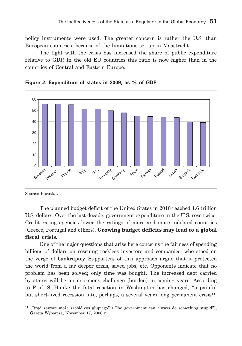policy instruments were used. The greater concern is rather the U.S. than European countries, because of the limitations set up in Maastricht.

The fight with the crisis has increased the share of public expenditure relative to GDP. In the old EU countries this ratio is now higher than in the countries of Central and Eastern Europe.



**Figure 2. Expenditure of states in 2009, as % of GDP**

Source: Eurostat.

The planned budget deficit of the United States in 2010 reached 1.6 trillion U.S. dollars. Over the last decade, government expenditure in the U.S. rose twice. Credit rating agencies lower the ratings of more and more indebted countries (Greece, Portugal and others). **Growing budget deficits may lead to a global fiscal crisis.**

One of the major questions that arise here concerns the fairness of spending billions of dollars on rescuing reckless investors and companies, who stood on the verge of bankruptcy. Supporters of this approach argue that it protected the world from a far deeper crisis, saved jobs, etc. Opponents indicate that no problem has been solved; only time was bought. The increased debt carried by states will be an enormous challenge (burden) in coming years. According to Prof. S. Hanke the fatal reaction in Washington has changed, "a painful but short-lived recession into, perhaps, a several years long permanent crisis11.

<sup>&</sup>lt;sup>11</sup> "Rząd zawsze może zrobić coś głupiego" ('The government can always do something stupid"), Gazeta Wyborcza, November 17, 2008 r.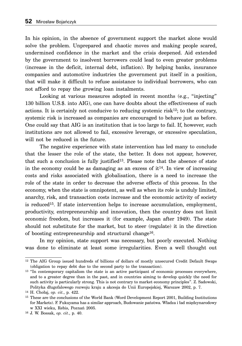In his opinion, in the absence of government support the market alone would solve the problem. Unprepared and chaotic moves and making people scared, undermined confidence in the market and the crisis deepened. Aid extended by the government to insolvent borrowers could lead to even greater problems (increase in the deficit, internal debt, inflation). By helping banks, insurance companies and automotive industries the government put itself in a position, that will make it difficult to refuse assistance to individual borrowers, who can not afford to repay the growing loan instalments.

Looking at various measures adopted in recent months (e.g., "injecting" 130 billion U.S.\$. into AIG), one can have doubts about the effectiveness of such actions. It is certainly not conducive to reducing systemic risk<sup>12</sup>; to the contrary, systemic risk is increased as companies are encouraged to behave just as before. One could say that AIG is an institution that is too large to fail. If, however, such institutions are not allowed to fail, excessive leverage, or excessive speculation, will not be reduced in the future.

The negative experience with state intervention has led many to conclude that the lesser the role of the state, the better. It does not appear, however, that such a conclusion is fully justified<sup>13</sup>. Please note that the absence of state in the economy could be as damaging as an excess of  $it^{14}$ . In view of increasing costs and risks associated with globalisation, there is a need to increase the role of the state in order to decrease the adverse effects of this process. In the economy, when the state is omnipotent, as well as when its role is unduly limited, anarchy, risk, and transaction costs increase and the economic activity of society is reduced<sup>15</sup>. If state intervention helps to increase accumulation, employment, productivity, entrepreneurship and innovation, then the country does not limit economic freedom, but increases it (for example, Japan after 1949). The state should not substitute for the market, but to steer (regulate) it in the direction of boosting entrepreneurship and structural change16.

In my opinion, state support was necessary, but poorly executed. Nothing was done to eliminate at least some irregularities. Even a well thought out

<sup>12</sup> The AIG Group issued hundreds of billions of dollars of mostly unsecured Credit Default Swaps (obligation to repay debt due to the second party to the transaction).

<sup>&</sup>lt;sup>13</sup> "In contemporary capitalism the state is an active participant of economic processes everywhere, and to a greater degree than in the past, and in countries aiming to develop quickly the need for such activity is particularly strong. This is not contrary to market economy principles". Z. Sadowski, Polityka długofalowego rozwoju kraju a akcesja do Unii Europejskiej, Warszaw 2002, p. 7.

<sup>14</sup> H. Chołaj, *op. cit.*, p. 422.

<sup>&</sup>lt;sup>15</sup> These are the conclusions of the World Bank (Word Development Report 2001, Building Institutions for Markets). F. Fukuyama has a similar approach, Budowanie państwa. Władza i ład międzynarodowy w XXI wieku, Rebis, Poznań 2005.

<sup>16</sup> J. W. Bossak, *op. cit.*, p. 40.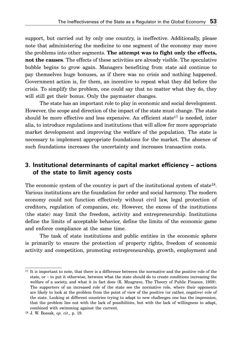support, but carried out by only one country, is ineffective. Additionally, please note that administering the medicine to one segment of the economy may move the problems into other segments. **The attempt was to fight only the effects, not the causes**. The effects of these activities are already visible. The speculative bubble begins to grow again. Managers benefiting from state aid continue to pay themselves huge bonuses, as if there was no crisis and nothing happened. Government action is, for them, an incentive to repeat what they did before the crisis. To simplify the problem, one could say that no matter what they do, they will still get their bonus. Only the paymaster changes.

The state has an important role to play in economic and social development. However, the scope and direction of the impact of the state must change. The state should be more effective and less expensive. An efficient state<sup>17</sup> is needed, inter alia, to introduce regulations and institutions that will allow for more appropriate market development and improving the welfare of the population. The state is necessary to implement appropriate foundations for the market. The absence of such foundations increases the uncertainty and increases transaction costs.

## **3. Institutional determinants of capital market efficiency – actions of the state to limit agency costs**

The economic system of the country is part of the institutional system of state18. Various institutions are the foundation for order and social harmony. The modern economy could not function effectively without civil law, legal protection of creditors, regulation of companies, etc. However, the excess of the institutions (the state) may limit the freedom, activity and entrepreneurship. Institutions define the limits of acceptable behavior, define the limits of the economic game and enforce compliance at the same time.

The task of state institutions and public entities in the economic sphere is primarily to ensure the protection of property rights, freedom of economic activity and competition, promoting entrepreneurship, growth, employment and

<sup>&</sup>lt;sup>17</sup> It is important to note, that there is a difference between the normative and the positive role of the state, or – to put it otherwise, between what the state should do to create conditions increasing the welfare of a society, and what it in fact does (R. Musgrave, The Theory of Public Finance, 1959). The supporters of an increased role of the state see the normative role, where their opponents are likely to look at the problem from the point of view of the positive (or rather, negative) role of the state. Looking at different countries trying to adapt to new challenges one has the impression, that the problem lies not with the lack of possibilities, but with the lack of willingness to adapt, combined with swimming against the current.

<sup>18</sup> J. W. Bossak, *op. cit.*, p. 19.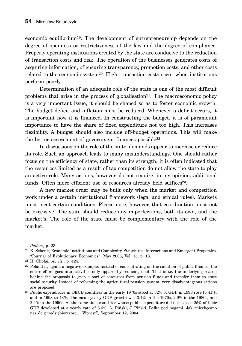economic equilibrium19. The development of entrepreneurship depends on the degree of openness or restrictiveness of the law and the degree of compliance. Properly operating institutions created by the state are conducive to the reduction of transaction costs and risk. The operation of the businesses generates costs of acquiring information, of ensuring transparency, promotion costs, and other costs related to the economic system<sup>20</sup>. High transaction costs occur when institutions perform poorly.

Determination of an adequate role of the state is one of the most difficult problems that arise in the process of globalisation<sup>21</sup>. The macroeconomic policy is a very important issue; it should be shaped so as to foster economic growth. The budget deficit and inflation must be reduced. Whenever a deficit occurs, it is important how it is financed. In constructing the budget, it is of paramount importance to have the share of fixed expenditure not too high. This increases flexibility. A budget should also include off-budget operations. This will make the better assessment of government finances possible<sup>22</sup>.

In discussions on the role of the state, demands appear to increase or reduce its role. Such an approach leads to many misunderstandings. One should rather focus on the efficiency of state, rather than its strength. It is often indicated that the resources limited as a result of tax competition do not allow the state to play an active role. Many actions, however, do not require, in my opinion, additional funds. Often more efficient use of resources already held suffices<sup>23</sup>.

A new market order may be built only when the market and competition work under a certain institutional framework (legal and ethical rules). Markets must meet certain conditions. Please note, however, that coordination must not be excessive. The state should reduce any imperfections, both its own, and the market's. The role of the state must be complementary with the role of the market.

<sup>19</sup> *Ibidem*, p. 23.

<sup>20</sup> K. Schenk, Economic Institutions and Complexity, Structures, Interactions and Emergent Properties, "Journal of Evolutionary Economics", May 2005, Vol. 15, p. 13.

<sup>21</sup> H. Chołaj, *op. cit.*, p. 424.

<sup>22</sup> Poland is, again, a negative example. Instead of concentrating on the sanation of public finance, the entire effort goes into activities only apparently reducing debt. That is i.e. the underlying reason behind the proposals to grab a part of resources from pension funds and transfer them to state social security. Instead of reforming the agricultural pension system, very disadvantageous actions are proposed.

 $^{23}$  Public expenditure in OECD countries in the early 1970s stood at 32% of GDP, in 1990 rose to 41%, and in 1998 to 43%. The mean yearly GDP growth was 3.4% in the 1970s, 2.9% in the 1980s, and 2.4% in the 1990s. At the same time countries whose public expenditure did not exceed 25% of their GDP developed at a yearly rate of 6.6%. A. Piński, J. Piński, Belka pod nogami. Jak zniechęcano nas do przedsiębiorczości, "Wprost", September 12, 2004.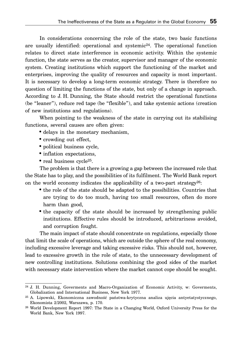In considerations concerning the role of the state, two basic functions are usually identified: operational and systemic24. The operational function relates to direct state interference in economic activity. Within the systemic function, the state serves as the creator, supervisor and manager of the economic system. Creating institutions which support the functioning of the market and enterprises, improving the quality of resources and capacity is most important. It is necessary to develop a long-term economic strategy. There is therefore no question of limiting the functions of the state, but only of a change in approach. According to J. H. Dunning, the State should restrict the operational functions (be "leaner"), reduce red tape (be "flexible"), and take systemic actions (creation of new institutions and regulations).

When pointing to the weakness of the state in carrying out its stabilising functions, several causes are often given:

- delays in the monetary mechanism,
- crowding out effect,
- political business cycle,
- inflation expectations,
- real business cycle<sup>25</sup>.

The problem is that there is a growing a gap between the increased role that the State has to play, and the possibilities of its fulfilment. The World Bank report on the world economy indicates the applicability of a two-part strategy<sup>26</sup>:

- the role of the state should be adapted to the possibilities. Countries that are trying to do too much, having too small resources, often do more harm than good,
- the capacity of the state should be increased by strengthening public institutions. Effective rules should be introduced, arbitrariness avoided, and corruption fought.

The main impact of state should concentrate on regulations, especially those that limit the scale of operations, which are outside the sphere of the real economy, including excessive leverage and taking excessive risks. This should not, however, lead to excessive growth in the role of state, to the unnecessary development of new controlling institutions. Solutions combining the good sides of the market with necessary state intervention where the market cannot cope should be sought.

 $^{24}$  J. H. Dunning, Goverments and Macro-Organization of Economic Activity, w: Goverments, Globalization and International Business, New York 1977.

<sup>25</sup> A. Lipowski, Ekonomiczna zawodność państwa-krytyczna analiza ujęcia antyetatystycznego, Ekonomista 2/2002, Warszawa, p. 170.

<sup>26</sup> World Development Report 1997: The State in a Changing World, Oxford University Press for the World Bank, New York 1997.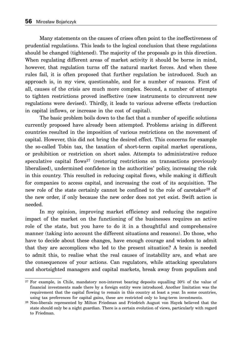Many statements on the causes of crises often point to the ineffectiveness of prudential regulations. This leads to the logical conclusion that these regulations should be changed (tightened). The majority of the proposals go in this direction. When regulating different areas of market activity it should be borne in mind, however, that regulation turns off the natural market forces. And when these rules fail, it is often proposed that further regulation be introduced. Such an approach is, in my view, questionable, and for a number of reasons. First of all, causes of the crisis are much more complex. Second, a number of attempts to tighten restrictions proved ineffective (new instruments to circumvent new regulations were devised). Thirdly, it leads to various adverse effects (reduction in capital inflows, or increase in the cost of capital).

The basic problem boils down to the fact that a number of specific solutions currently proposed have already been attempted. Problems arising in different countries resulted in the imposition of various restrictions on the movement of capital. However, this did not bring the desired effect. This concerns for example the so-called Tobin tax, the taxation of short-term capital market operations, or prohibition or restriction on short sales. Attempts to administrative reduce speculative capital flows<sup>27</sup> (restoring restrictions on transactions previously liberalised), undermined confidence in the authorities' policy, increasing the risk in this country. This resulted in reducing capital flows, while making it difficult for companies to access capital, and increasing the cost of its acquisition. The new role of the state certainly cannot be confined to the role of caretaker28 of the new order, if only because the new order does not yet exist. Swift action is needed.

In my opinion, improving market efficiency and reducing the negative impact of the market on the functioning of the businesses requires an active role of the state, but you have to do it in a thoughtful and comprehensive manner (taking into account the different situations and reasons). Do those, who have to decide about these changes, have enough courage and wisdom to admit that they are accomplices who led to the present situation? A brain is needed to admit this, to realise what the real causes of instability are, and what are the consequences of your actions. Can regulators, while attacking speculators and shortsighted managers and capital markets, break away from populism and

<sup>27</sup> For example, in Chile, mandatory non-interest bearing deposits equalling 30% of the value of financial investments made there by a foreign entity were introduced. Another limitation was the requirement that the capital flowing to remain in this country at least a year. In some countries, using tax preferences for capital gains, these are restricted only to long-term investments.

<sup>28</sup> Neo-liberals represented by Milton Friedman and Friedrich August von Hayek believed that the state should only be a night guardian. There is a certain evolution of views, particularly with regard to Friedman.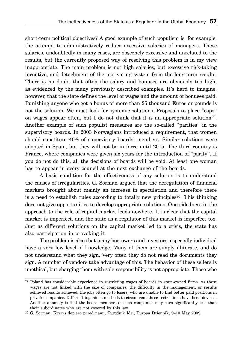short-term political objectives? A good example of such populism is, for example, the attempt to administratively reduce excessive salaries of managers. These salaries, undoubtedly in many cases, are obscenely excessive and unrelated to the results, but the currently proposed way of resolving this problem is in my view inappropriate. The main problem is not high salaries, but excessive risk-taking incentive, and detachment of the motivating system from the long-term results. There is no doubt that often the salary and bonuses are obviously too high, as evidenced by the many previously described examples. It's hard to imagine, however, that the state defines the level of wages and the amount of bonuses paid. Punishing anyone who got a bonus of more than 25 thousand Euros or pounds is not the solution. We must look for systemic solutions. Proposals to place "caps" on wages appear often, but I do not think that it is an appropriate solution29. Another example of such populist measures are the so-called "parities" in the supervisory boards. In 2003 Norwegians introduced a requirement, that women should constitute 40% of supervisory boards' members. Similar solutions were adopted in Spain, but they will not be in force until 2015. The third country is France, where companies were given six years for the introduction of "parity". If you do not do this, all the decisions of boards will be void. At least one woman has to appear in every council at the next exchange of the boards.

A basic condition for the effectiveness of any solution is to understand the causes of irregularities. G. Sorman argued that the deregulation of financial markets brought about mainly an increase in speculation and therefore there is a need to establish rules according to totally new principles  $30$ . This thinking does not give opportunities to develop appropriate solutions. One-sidedness in the approach to the role of capital market leads nowhere. It is clear that the capital market is imperfect, and the state as a regulator of this market is imperfect too. Just as different solutions on the capital market led to a crisis, the state has also participation in provoking it.

The problem is also that many borrowers and investors, especially individual have a very low level of knowledge. Many of them are simply illiterate, and do not understand what they sign. Very often they do not read the documents they sign. A number of vendors take advantage of this. The behavior of these sellers is unethical, but charging them with sole responsibility is not appropriate. Those who

<sup>29</sup> Poland has considerable experience in restricting wages of boards in state-owned firms. As these wages are not linked with the size of companies, the difficulty in the management, or results achieved results achieved, the jobs often go to losers, who are unable to find better paid positions in private companies. Different ingenious methods to circumvent these restrictions have been devised. Another anomaly is that the board members of such companies may earn significantly less than their subordinates who are not covered by this law.

<sup>30</sup> G. Sorman, Kryzys dopiero przed nami, Tygodnik Idei, Europa Dziennik, 9–10 May 2009.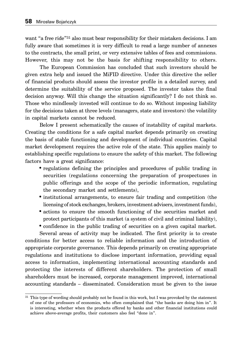want "a free ride"<sup>31</sup> also must bear responsibility for their mistaken decisions. I am fully aware that sometimes it is very difficult to read a large number of annexes to the contracts, the small print, or very extensive tables of fees and commissions. However, this may not be the basis for shifting responsibility to others.

The European Commission has concluded that such investors should be given extra help and issued the MiFID directive. Under this directive the seller of financial products should assess the investor profile in a detailed survey, and determine the suitability of the service proposed. The investor takes the final decision anyway. Will this change the situation significantly? I do not think so. Those who mindlessly invested will continue to do so. Without imposing liability for the decisions taken at three levels (managers, state and investors) the volatility in capital markets cannot be reduced.

Below I present schematically the causes of instability of capital markets. Creating the conditions for a safe capital market depends primarily on creating the basis of stable functioning and development of individual countries. Capital market development requires the active role of the state. This applies mainly to establishing specific regulations to ensure the safety of this market. The following factors have a great significance:

- regulations defining the principles and procedures of public trading in securities (regulations concerning the preparation of prospectuses in public offerings and the scope of the periodic information, regulating the secondary market and settlements),
- institutional arrangements, to ensure fair trading and competition (the licensing of stock exchanges, brokers, investment advisers, investment funds),
- actions to ensure the smooth functioning of the securities market and protect participants of this market (a system of civil and criminal liability),
- confidence in the public trading of securities on a given capital market.

Several areas of activity may be indicated. The first priority is to create conditions for better access to reliable information and the introduction of appropriate corporate governance. This depends primarily on creating appropriate regulations and institutions to disclose important information, providing equal access to information, implementing international accounting standards and protecting the interests of different shareholders. The protection of small shareholders must be increased, corporate management improved, international accounting standards – disseminated. Consideration must be given to the issue

<sup>&</sup>lt;sup>31</sup> This type of wording should probably not be found in this work, but I was provoked by the statement of one of the professors of economics, who often complained that "the banks are doing him in". It is interesting, whether when the products offered by banks and other financial institutions could achieve above-average profits, their customers also feel "done in".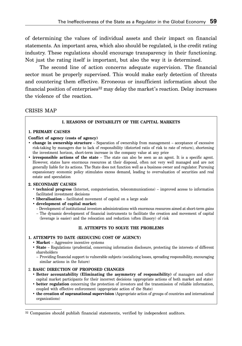of determining the values of individual assets and their impact on financial statements. An important area, which also should be regulated, is the credit rating industry. These regulations should encourage transparency in their functioning. Not just the rating itself is important, but also the way it is determined.

The second line of action concerns adequate supervision. The financial sector must be properly supervised. This would make early detection of threats and countering them effective. Erroneous or insufficient information about the financial position of enterprises  $32$  may delay the market's reaction. Delay increases the violence of the reaction.

### CRISIS MAP

#### **I. REASONS OF INSTABILITY OF THE CAPITAL MARKETS**

#### **1. PRIMARY CAUSES**

#### **Conflict of agency (costs of agency)**

- **change in ownership structure** Separation of ownership from management acceptance of excessive risk-taking by managers due to lack of responsibility (distorted ratio of risk to rate of return), shortening the investment horizon, short-term increase in the company value at any price
- **irresponsible actions of the state** The state can also be seen as an agent. It is a specific agent. However, states have enormous resources at their disposal, often not very well managed and are not generally liable for its actions. The State does not function well as a business owner and regulator. Pursuing expansionary economic policy stimulates excess demand, leading to overvaluation of securities and real estate and speculation

#### **2. SECONDARY CAUSES**

- **technical progress** (Internet, computerisation, telecommunications) improved access to information facilitated investment decisions
- **liberalisation** facilitated movement of capital on a large scale
- **development of capital market**:
	- Development of institutional investors administrations with enormous resources aimed at short-term gains
	- The dynamic development of financial instruments to facilitate the creation and movement of capital (leverage is easier) and the relocation and reduction (often illusory) of risk

#### **II. ATTEMPTS TO SOLVE THE PROBLEMS**

#### **1. ATTEMPTS TO DATE (REDUCING COST OF AGENCY)**

- **Market** Aggressive incentive systems
- **State** Regulations (prudential, concerning information disclosure, protecting the interests of different shareholders
- Providing financial support to vulnerable subjects (socializing losses, spreading responsibility, encouraging similar actions in the future)

#### 2. **BASIC DIRECTION OF PROPOSED CHANGES**

- **Better accountability (Eliminating the asymmetry of responsibility)** of managers and other capital market participants for their incorrect decisions (appropriate actions of both market and state)
- **better regulation** concerning the protection of investors and the transmission of reliable information, coupled with effective enforcement (appropriate action of the State)
- **the creation of supranational supervision** (Appropriate action of groups of countries and international organizations)

<sup>32</sup> Companies should publish financial statements, verified by independent auditors.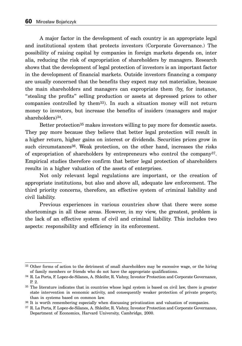A major factor in the development of each country is an appropriate legal and institutional system that protects investors (Corporate Governance.) The possibility of raising capital by companies in foreign markets depends on, inter alia, reducing the risk of expropriation of shareholders by managers. Research shows that the development of legal protection of investors is an important factor in the development of financial markets. Outside investors financing a company are usually concerned that the benefits they expect may not materialize, because the main shareholders and managers can expropriate them (by, for instance, "stealing the profits" selling production or assets at depressed prices to other companies controlled by them33). In such a situation money will not return money to investors, but increase the benefits of insiders (managers and major shareholders)34.

Better protection<sup>35</sup> makes investors willing to pay more for domestic assets. They pay more because they believe that better legal protection will result in a higher return, higher gains on interest or dividends. Securities prices grow in such circumstances<sup>36</sup>. Weak protection, on the other hand, increases the risks of expropriation of shareholders by entrepreneurs who control the company37. Empirical studies therefore confirm that better legal protection of shareholders results in a higher valuation of the assets of enterprises.

Not only relevant legal regulations are important, or the creation of appropriate institutions, but also and above all, adequate law enforcement. The third priority concerns, therefore, an effective system of criminal liability and civil liability.

Previous experiences in various countries show that there were some shortcomings in all these areas. However, in my view, the greatest, problem is the lack of an effective system of civil and criminal liability. This includes two aspects: responsibility and efficiency in its enforcement.

<sup>33</sup> Other forms of action to the detriment of small shareholders may be excessive wage, or the hiring of family members or friends who do not have the appropriate qualifications.

<sup>34</sup> R. La Porta, F. Lopez-de-Silanes, A. Shleifer, R. Vishny, Investor Protection and Corporate Governance, P. 2.

<sup>35</sup> The literature indicates that in countries whose legal system is based on civil law, there is greater state intervention in economic activity, and consequently weaker protection of private property, than in systems based on common law.

<sup>36</sup> It is worth remembering especially when discussing privatization and valuation of companies.

<sup>37</sup> R. La Porta, F. Lopez-de-Silanes, A. Shleifer, R. Vishny, Investor Protection and Corporate Governance, Department of Economics, Harvard University, Cambridge, 2000.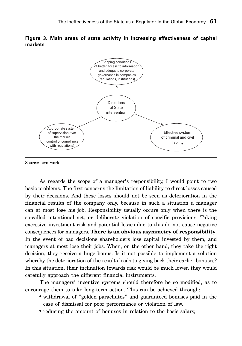

**Figure 3. Main areas of state activity in increasing effectiveness of capital markets**

Source: own work.

As regards the scope of a manager's responsibility, I would point to two basic problems. The first concerns the limitation of liability to direct losses caused by their decisions. And these losses should not be seen as deterioration in the financial results of the company only, because in such a situation a manager can at most lose his job. Responsibility usually occurs only when there is the so-called intentional act, or deliberate violation of specific provisions. Taking excessive investment risk and potential losses due to this do not cause negative consequences for managers. **There is an obvious asymmetry of responsibility**. In the event of bad decisions shareholders lose capital invested by them, and managers at most lose their jobs. When, on the other hand, they take the right decision, they receive a huge bonus. Is it not possible to implement a solution whereby the deterioration of the results leads to giving back their earlier bonuses? In this situation, their inclination towards risk would be much lower, they would carefully approach the different financial instruments.

The managers' incentive systems should therefore be so modified, as to encourage them to take long-term action. This can be achieved through:

- withdrawal of "golden parachutes" and guaranteed bonuses paid in the case of dismissal for poor performance or violation of law,
- reducing the amount of bonuses in relation to the basic salary,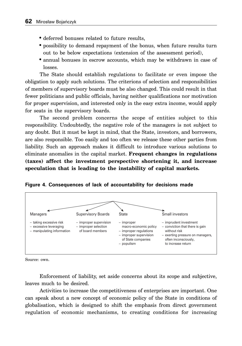- deferred bonuses related to future results,
- possibility to demand repayment of the bonus, when future results turn out to be below expectations (extension of the assessment period),
- annual bonuses in escrow accounts, which may be withdrawn in case of losses.

The State should establish regulations to facilitate or even impose the obligation to apply such solutions. The criterions of selection and responsibilities of members of supervisory boards must be also changed. This could result in that fewer politicians and public officials, having neither qualifications nor motivation for proper supervision, and interested only in the easy extra income, would apply for seats in the supervisory boards.

The second problem concerns the scope of entities subject to this responsibility. Undoubtedly, the negative role of the managers is not subject to any doubt. But it must be kept in mind, that the State, investors, and borrowers, are also responsible. Too easily and too often we release these other parties from liability. Such an approach makes it difficult to introduce various solutions to eliminate anomalies in the capital market. **Frequent changes in regulations (taxes) affect the investment perspective shortening it, and increase speculation that is leading to the instability of capital markets.**





Source: own.

Enforcement of liability, set aside concerns about its scope and subjective, leaves much to be desired.

Activities to increase the competitiveness of enterprises are important. One can speak about a new concept of economic policy of the State in conditions of globalisation, which is designed to shift the emphasis from direct government regulation of economic mechanisms, to creating conditions for increasing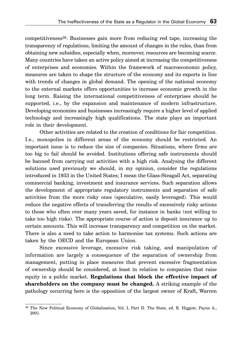competitiveness38. Businesses gain more from reducing red tape, increasing the transparency of regulations, limiting the amount of changes in the rules, than from obtaining new subsidies, especially when, moreover, resources are becoming scarce. Many countries have taken an active policy aimed at increasing the competitiveness of enterprises and economies. Within the framework of macroeconomic policy, measures are taken to shape the structure of the economy and its exports in line with trends of changes in global demand. The opening of the national economy to the external markets offers opportunities to increase economic growth in the long term. Raising the international competitiveness of enterprises should be supported, i.e., by the expansion and maintenance of modern infrastructure. Developing economies and businesses increasingly require a higher level of applied technology and increasingly high qualifications. The state plays an important role in their development.

Other activities are related to the creation of conditions for fair competition. I.e., monopolies in different areas of the economy should be restricted. An important issue is to reduce the size of companies. Situations, where firms are too big to fail should be avoided. Institutions offering safe instruments should be banned from carrying out activities with a high risk. Analysing the different solutions used previously we should, in my opinion, consider the regulations introduced in 1933 in the United States; I mean the Glass-Steagall Act, separating commercial banking, investment and insurance services. Such separation allows the development of appropriate regulatory instruments and separation of safe activities from the more risky ones (speculative, easily leveraged). This would reduce the negative effects of transferring the results of excessively risky actions to those who often over many years saved, for instance in banks (not willing to take too high risks). The appropriate course of action is deposit insurance up to certain amounts. This will increase transparency and competition on the market. There is also a need to take action to harmonise tax systems. Such actions are taken by the OECD and the European Union.

Since excessive leverage, excessive risk taking, and manipulation of information are largely a consequence of the separation of ownership from management, putting in place measures that prevent excessive fragmentation of ownership should be considered, at least in relation to companies that raise equity in a public market. **Regulations that block the effective impact of shareholders on the company must be changed.** A striking example of the pathology occurring here is the opposition of the largest owner of Kraft, Warren

<sup>38</sup> The New Political Economy of Globalisation, Vol. I, Part II: The State, ed. R. Higgott, Payne A., 2001.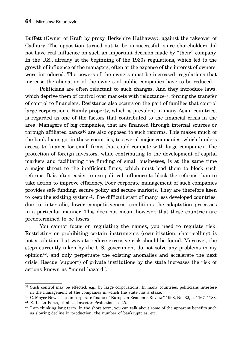Buffett (Owner of Kraft by proxy, Berkshire Hathaway), against the takeover of Cadbury. The opposition turned out to be unsuccessful, since shareholders did not have real influence on such an important decision made by "their" company. In the U.S., already at the beginning of the 1930s regulations, which led to the growth of influence of the managers, often at the expense of the interest of owners, were introduced. The powers of the owners must be increased; regulations that increase the alienation of the owners of public companies have to be reduced.

Politicians are often reluctant to such changes. And they introduce laws, which deprive them of control over markets with reluctance<sup>39</sup>, forcing the transfer of control to financiers. Resistance also occurs on the part of families that control large corporations. Family property, which is prevalent in many Asian countries, is regarded as one of the factors that contributed to the financial crisis in the area. Managers of big companies, that are financed through internal sources or through affiliated banks<sup>40</sup> are also opposed to such reforms. This makes much of the bank loans go, in these countries, to several major companies, which hinders access to finance for small firms that could compete with large companies. The protection of foreign investors, while contributing to the development of capital markets and facilitating the funding of small businesses, is at the same time a major threat to the inefficient firms, which must lead them to block such reforms. It is often easier to use political influence to block the reforms than to take action to improve efficiency. Poor corporate management of such companies provides safe funding, secure policy and secure markets. They are therefore keen to keep the existing system41. The difficult start of many less developed countries, due to, inter alia, lower competitiveness, conditions the adaptation processes in a particular manner. This does not mean, however, that these countries are predetermined to be losers.

You cannot focus on regulating the names, you need to regulate risk. Restricting or prohibiting certain instruments (securitisation, short-selling) is not a solution, but ways to reduce excessive risk should be found. Moreover, the steps currently taken by the U.S. government do not solve any problems in my opinion42, and only perpetuate the existing anomalies and accelerate the next crisis. Rescue (support) of private institutions by the state increases the risk of actions known as "moral hazard".

<sup>39</sup> Such control may be effected, e.g., by large corporations. In many countries, politicians interfere in the management of the companies in which the state has a stake.

<sup>40</sup> C. Mayer New issues in corporate finance, "European Economic Review" 1998, No. 32, p. 1167–1188. 41 R. L. La Porta, et al. ... Investor Protection, p. 25.

<sup>&</sup>lt;sup>42</sup> I am thinking long term. In the short term, you can talk about some of the apparent benefits such as slowing decline in production, the number of bankruptcies, etc.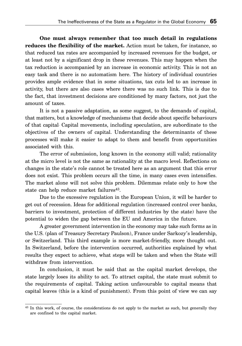**One must always remember that too much detail in regulations reduces the flexibility of the market.** Action must be taken, for instance, so that reduced tax rates are accompanied by increased revenues for the budget, or at least not by a significant drop in these revenues. This may happen when the tax reduction is accompanied by an increase in economic activity. This is not an easy task and there is no automatism here. The history of individual countries provides ample evidence that in some situations, tax cuts led to an increase in activity, but there are also cases where there was no such link. This is due to the fact, that investment decisions are conditioned by many factors, not just the amount of taxes.

It is not a passive adaptation, as some suggest, to the demands of capital, that matters, but a knowledge of mechanisms that decide about specific behaviours of that capital. Capital movements, including speculation, are subordinate to the objectives of the owners of capital. Understanding the determinants of these processes will make it easier to adapt to them and benefit from opportunities associated with this.

The error of submission, long known in the economy still valid; rationality at the micro level is not the same as rationality at the macro level. Reflections on changes in the state's role cannot be treated here as an argument that this error does not exist. This problem occurs all the time, in many cases even intensifies. The market alone will not solve this problem. Dilemmas relate only to how the state can help reduce market failures<sup>43</sup>.

Due to the excessive regulation in the European Union, it will be harder to get out of recession. Ideas for additional regulation (increased control over banks, barriers to investment, protection of different industries by the state) have the potential to widen the gap between the EU and America in the future.

A greater government intervention in the economy may take such forms as in the U.S. (plan of Treasury Secretary Paulson), France under Sarkozy's leadership, or Switzerland. This third example is more market-friendly, more thought out. In Switzerland, before the intervention occurred, authorities explained by what results they expect to achieve, what steps will be taken and when the State will withdraw from intervention.

In conclusion, it must be said that as the capital market develops, the state largely loses its ability to act. To attract capital, the state must submit to the requirements of capital. Taking action unfavourable to capital means that capital leaves (this is a kind of punishment). From this point of view we can say

<sup>&</sup>lt;sup>43</sup> In this work, of course, the considerations do not apply to the market as such, but generally they are confined to the capital market.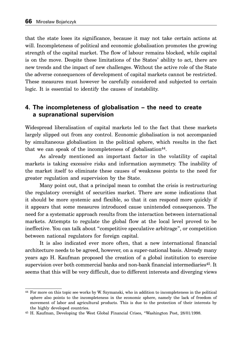that the state loses its significance, because it may not take certain actions at will. Incompleteness of political and economic globalisation promotes the growing strength of the capital market. The flow of labour remains blocked, while capital is on the move. Despite these limitations of the States' ability to act, there are new trends and the impact of new challenges. Without the active role of the State the adverse consequences of development of capital markets cannot be restricted. These measures must however be carefully considered and subjected to certain logic. It is essential to identify the causes of instability.

## **4. The incompleteness of globalisation – the need to create a supranational supervision**

Widespread liberalisation of capital markets led to the fact that these markets largely slipped out from any control. Economic globalisation is not accompanied by simultaneous globalisation in the political sphere, which results in the fact that we can speak of the incompleteness of globalisation<sup>44</sup>.

As already mentioned an important factor in the volatility of capital markets is taking excessive risks and information asymmetry. The inability of the market itself to eliminate these causes of weakness points to the need for greater regulation and supervision by the State.

Many point out, that a principal mean to combat the crisis is restructuring the regulatory oversight of securities market. There are some indications that it should be more systemic and flexible, so that it can respond more quickly if it appears that some measures introduced cause unintended consequences. The need for a systematic approach results from the interaction between international markets. Attempts to regulate the global flow at the local level proved to be ineffective. You can talk about "competitive speculative arbitrage", or competition between national regulators for foreign capital.

It is also indicated ever more often, that a new international financial architecture needs to be agreed, however, on a super-national basis. Already many years ago H. Kaufman proposed the creation of a global institution to exercise supervision over both commercial banks and non-bank financial intermediaries45. It seems that this will be very difficult, due to different interests and diverging views

<sup>44</sup> For more on this topic see works by W. Szymanski, who in addition to incompleteness in the political sphere also points to the incompleteness in the economic sphere, namely the lack of freedom of movement of labor and agricultural products. This is due to the protection of their interests by the highly developed countries.

<sup>45</sup> H. Kaufman, Developing the West Global Financial Crises, "Washington Post, 28/01/1998.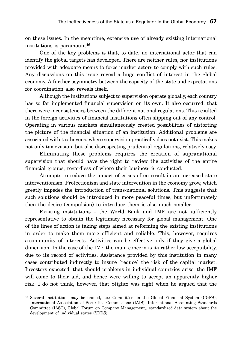on these issues. In the meantime, extensive use of already existing international institutions is paramount46.

One of the key problems is that, to date, no international actor that can identify the global targets has developed. There are neither rules, nor institutions provided with adequate means to force market actors to comply with such rules. Any discussions on this issue reveal a huge conflict of interest in the global economy. A further asymmetry between the capacity of the state and expectations for coordination also reveals itself.

Although the institutions subject to supervision operate globally, each country has so far implemented financial supervision on its own. It also occurred, that there were inconsistencies between the different national regulations. This resulted in the foreign activities of financial institutions often slipping out of any control. Operating in various markets simultaneously created possibilities of distorting the picture of the financial situation of an institution. Additional problems are associated with tax havens, where supervision practically does not exist. This makes not only tax evasion, but also disrespecting prudential regulations, relatively easy.

Eliminating these problems requires the creation of supranational supervision that should have the right to review the activities of the entire financial groups, regardless of where their business is conducted.

Attempts to reduce the impact of crises often result in an increased state interventionism. Protectionism and state intervention in the economy grow, which greatly impedes the introduction of trans-national solutions. This suggests that such solutions should be introduced in more peaceful times, but unfortunately then the desire (compulsion) to introduce them is also much smaller.

Existing institutions – the World Bank and IMF are not sufficiently representative to obtain the legitimacy necessary for global management. One of the lines of action is taking steps aimed at reforming the existing institutions in order to make them more efficient and reliable. This, however, requires a community of interests. Activities can be effective only if they give a global dimension. In the case of the IMF the main concern is its rather low acceptability, due to its record of activities. Assistance provided by this institution in many cases contributed indirectly to insure (reduce) the risk of the capital market. Investors expected, that should problems in individual countries arise, the IMF will come to their aid, and hence were willing to accept an apparently higher risk. I do not think, however, that Stiglitz was right when he argued that the

<sup>46</sup> Several institutions may be named, i.e.: Committee on the Global Financial System (CGFS), International Association of Securities Commissions (IAIS), International Accounting Standards Committee (IASC), Global Forum on Company Management,, standardized data system about the development of individual states (SDDS).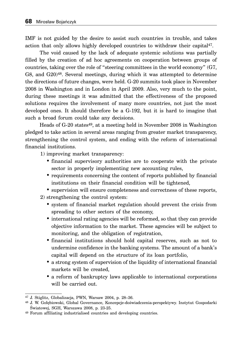IMF is not guided by the desire to assist such countries in trouble, and takes action that only allows highly developed countries to withdraw their capital47.

The void caused by the lack of adequate systemic solutions was partially filled by the creation of ad hoc agreements on cooperation between groups of countries, taking over the role of "steering committees in the world economy" (G7,  $G8$ , and  $G20$ <sup>48</sup>. Several meetings, during which it was attempted to determine the directions of future changes, were held. G-20 summits took place in November 2008 in Washington and in London in April 2009. Also, very much to the point, during these meetings it was admitted that the effectiveness of the proposed solutions requires the involvement of many more countries, not just the most developed ones. It should therefore be a G-192, but it is hard to imagine that such a broad forum could take any decisions.

Heads of G-20 states49, at a meeting held in November 2008 in Washington pledged to take action in several areas ranging from greater market transparency, strengthening the control system, and ending with the reform of international financial institutions.

1) improving market transparency:

- financial supervisory authorities are to cooperate with the private sector in properly implementing new accounting rules,
- requirements concerning the content of reports published by financial institutions on their financial condition will be tightened,
- supervision will ensure completeness and correctness of these reports,
- 2) strengthening the control system:
	- system of financial market regulation should prevent the crisis from spreading to other sectors of the economy,
	- international rating agencies will be reformed, so that they can provide objective information to the market. These agencies will be subject to monitoring, and the obligation of registration,
	- financial institutions should hold capital reserves, such as not to undermine confidence in the banking systems. The amount of a bank's capital will depend on the structure of its loan portfolio,
	- a strong system of supervision of the liquidity of international financial markets will be created,
	- a reform of bankruptcy laws applicable to international corporations will be carried out.

<sup>47</sup> J. Stiglitz, Globalizacja, PWN, Warsaw 2004, p. 28–36.

<sup>48</sup> J. W. Gołębiowski, Global Governance, Koncepcje-doświadczenia-perspektywy. Instytut Gospodarki Światowej, SGH, Warszawa 2008, p. 23-25.

<sup>49</sup> Forum affiliating industrialised countries and developing countries.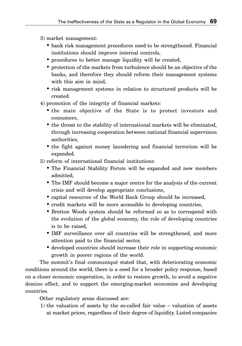- 3) market management:
	- bank risk management procedures need to be strengthened. Financial institutions should improve internal controls,
	- procedures to better manage liquidity will be created,
	- protection of the markets from turbulence should be an objective of the banks, and therefore they should reform their management systems with this aim in mind.
	- risk management systems in relation to structured products will be created.
- 4) promotion of the integrity of financial markets:
	- the main objective of the State is to protect investors and consumers,
	- the threat to the stability of international markets will be eliminated, through increasing cooperation between national financial supervision authorities,
	- the fight against money laundering and financial terrorism will be expanded.
- 5) reform of international financial institutions:
	- The Financial Stability Forum will be expanded and new members admitted,
	- The IMF should become a major centre for the analysis of the current crisis and will develop appropriate conclusions,
	- capital resources of the World Bank Group should be increased,
	- credit markets will be more accessible to developing countries,
	- Bretton Woods system should be reformed so as to correspond with the evolution of the global economy, the role of developing countries is to be raised,
	- IMF surveillance over all countries will be strengthened, and more attention paid to the financial sector,
	- developed countries should increase their role in supporting economic growth in poorer regions of the world.

The summit's final communiqué stated that, with deteriorating economic conditions around the world, there is a need for a broader policy response, based on a closer economic cooperation, in order to restore growth, to avoid a negative domino effect, and to support the emerging-market economies and developing countries.

Other regulatory areas discussed are:

 1) the valuation of assets by the so-called fair value – valuation of assets at market prices, regardless of their degree of liquidity. Listed companies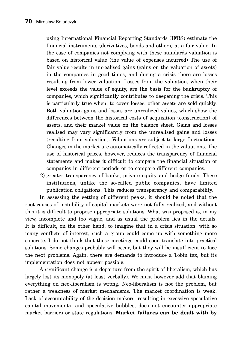using International Financial Reporting Standards (IFRS) estimate the financial instruments (derivatives, bonds and others) at a fair value. In the case of companies not complying with these standards valuation is based on historical value (the value of expenses incurred) The use of fair value results in unrealised gains (gains on the valuation of assets) in the companies in good times, and during a crisis there are losses resulting from lower valuation. Losses from the valuation, when their level exceeds the value of equity, are the basis for the bankruptcy of companies, which significantly contributes to deepening the crisis. This is particularly true when, to cover losses, other assets are sold quickly. Both valuation gains and losses are unrealized values, which show the differences between the historical costs of acquisition (construction) of assets, and their market value on the balance sheet. Gains and losses realised may vary significantly from the unrealised gains and losses (resulting from valuation). Valuations are subject to large fluctuations. Changes in the market are automatically reflected in the valuations. The use of historical prices, however, reduces the transparency of financial statements and makes it difficult to compare the financial situation of companies in different periods or to compare different companies;

 2) greater transparency of banks, private equity and hedge funds. These institutions, unlike the so-called public companies, have limited publication obligations. This reduces transparency and comparability.

In assessing the setting of different peaks, it should be noted that the root causes of instability of capital markets were not fully realised, and without this it is difficult to propose appropriate solutions. What was proposed is, in my view, incomplete and too vague, and as usual the problem lies in the details. It is difficult, on the other hand, to imagine that in a crisis situation, with so many conflicts of interest, such a group could come up with something more concrete. I do not think that these meetings could soon translate into practical solutions. Some changes probably will occur, but they will be insufficient to face the next problems. Again, there are demands to introduce a Tobin tax, but its implementation does not appear possible.

A significant change is a departure from the spirit of liberalism, which has largely lost its monopoly (at least verbally). We must however add that blaming everything on neo-liberalism is wrong. Neo-liberalism is not the problem, but rather a weakness of market mechanisms. The market coordination is weak. Lack of accountability of the decision makers, resulting in excessive speculative capital movements, and speculative bubbles, does not encounter appropriate market barriers or state regulations. **Market failures can be dealt with by**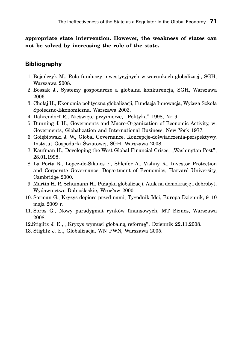**appropriate state intervention. However, the weakness of states can not be solved by increasing the role of the state.**

## **Bibliography**

- 1. Bojańczyk M., Rola funduszy inwestycyjnych w warunkach globalizacji, SGH, Warszawa 2008.
- 2. Bossak J., Systemy gospodarcze a globalna konkurencja, SGH, Warszawa 2006.
- 3. Chołaj H., Ekonomia polityczna globalizacji, Fundacja Innowacja, Wyższa Szkoła Społeczno-Ekonomiczna, Warszawa 2003.
- 4. Dahrendorf R., Nieświęte przymierze, "Polityka" 1998, Nr 9.
- 5. Dunning J. H., Goverments and Macro-Organization of Economic Activity, w: Goverments, Globalization and International Business, New York 1977.
- 6. Gołębiowski J. W., Global Governance, Koncepcje-doświadczenia-perspektywy, Instytut Gospodarki Światowej, SGH, Warszawa 2008.
- 7. Kaufman H., Developing the West Global Financial Crises, "Washington Post", 28.01.1998.
- 8. La Porta R., Lopez-de-Silanes F., Shleifer A., Vishny R., Investor Protection and Corporate Governance, Department of Economics, Harvard University, Cambridge 2000.
- 9. Martin H. P., Schumann H., Pułapka globalizacji. Atak na demokrację i dobrobyt, Wydawnictwo Dolnośląskie, Wrocław 2000.
- 10. Sorman G., Kryzys dopiero przed nami, Tygodnik Idei, Europa Dziennik, 9–10 maja 2009 r.
- 11. Soros G., Nowy paradygmat rynków finansowych, MT Biznes, Warszawa 2008.
- 12.Stiglitz J. E., "Kryzys wymusi globalną reformę", Dziennik 22.11.2008.
- 13. Stiglitz J. E., Globalizacja, WN PWN, Warszawa 2005.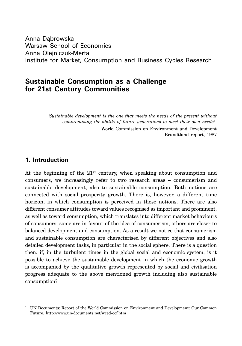Anna Dąbrowska Warsaw School of Economics Anna Olejniczuk-Merta Institute for Market, Consumption and Business Cycles Research

# **Sustainable Consumption as a Challenge for 21st Century Communities**

*Sustainable development is the one that meets the needs of the present without compromising the ability of future generations to meet their own needs*1*.* World Commission on Environment and Development Brundtland report, 1987

### **1. Introduction**

At the beginning of the  $21<sup>st</sup>$  century, when speaking about consumption and consumers, we increasingly refer to two research areas – consumerism and sustainable development, also to sustainable consumption. Both notions are connected with social prosperity growth. There is, however, a different time horizon, in which consumption is perceived in these notions. There are also different consumer attitudes toward values recognised as important and prominent, as well as toward consumption, which translates into different market behaviours of consumers: some are in favour of the idea of consumerism, others are closer to balanced development and consumption. As a result we notice that consumerism and sustainable consumption are characterised by different objectives and also detailed development tasks, in particular in the social sphere. There is a question then: if, in the turbulent times in the global social and economic system, is it possible to achieve the sustainable development in which the economic growth is accompanied by the qualitative growth represented by social and civilisation progress adequate to the above mentioned growth including also sustainable consumption?

<sup>1</sup> UN Documents: Report of the World Commission on Environment and Development: Our Common Future. http://www.un-documents.net/wced-ocf.htm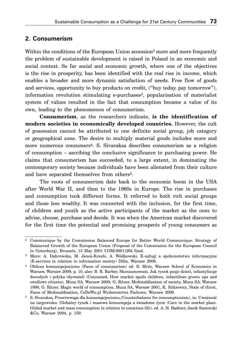## **2. Consumerism**

Within the conditions of the European Union accession<sup>2</sup> more and more frequently the problem of sustainable development is raised in Poland in an economic and social context. So far social and economic growth, where one of the objectives is the rise in prosperity, has been identified with the real rise in income, which enables a broader and more dynamic satisfaction of needs. Free flow of goods and services, opportunity to buy products on credit, ("buy today, pay tomorrow"), information revolution stimulating e-purchases3, popularisation of materialist system of values resulted in the fact that consumption became a value of its own, leading to the phenomenon of consumerism.

**Consumerism**, as the researchers indicate, **is the identification of modern societies in economically developed countries.** However, the cult of possession cannot be attributed to one definite social group, job category or geographical zone. The desire to multiply material goods includes more and more numerous consumers4. S. Sivaraksa describes consumerism as a religion of consumption – ascribing the conclusive significance to purchasing power. He claims that consumerism has succeeded, to a large extent, in dominating the contemporary society because individuals have been alienated from their culture and have separated themselves from others<sup>5</sup>.

The roots of consumerism date back to the economic boom in the USA after World War II, and then to the 1960s in Europe. The rise in purchases and consumption took different forms. It referred to both rich social groups and those less wealthy. It was connected with the inclusion, for the first time, of children and youth as the active participants of the market as the ones to advise, choose, purchase and decide. It was when the American market discovered for the first time the potential and promising prospects of young consumers as

<sup>2</sup> Communique by the Commission Balanced Europe for Better World Communique: Strategy of Balancved Growth of the European Union (Proposal of the Commission for the European Council in Gotenburg), Brussels, 15 May 2001 COM(2001)264 final.

<sup>3</sup> More: A. Dąbrowska, M. Janoś-Kresło, A. Wódkowski, E-usługi a społeczeństwo informacyjne (E-services in relation to information society) Difin, Warsaw 2009.

<sup>4</sup> Oblicza konsumpcjonizmu (Faces of consumerism) ed. B. Mróz, Warsaw School of Economics in Warsaw, Warsaw 2009, p. 10, also: B. R. Barber, Skonsumowani, Jak rynek psuje dzieci, infantylizuje dorosłych i połyka obywateli (Consumed, How market spoils children, infantilises grown ups and swallows citizens), Muza SA, Warsaw 2008; G. Ritzer, Mcdonaldisation of society, Muza SA, Warsaw 1999, G. Ritzer, Magic world of consumption, Muza SA, Warsaw 2001, K. Sitkiewicz, State of thirst, Faces of Mcdonaldisation, CeDeWu.pl Wydawnictwa Fachowe, Warsaw 2009.

<sup>5</sup> S. Sivaraksa, Przeciwwaga dla konsumpcjonizmu,(Counterbalance for consumptionism), in: Uważność na targowisku. Globalny rynek i masowa konsumpcja a świadome życie (Care in the market place. Global market and mass consumption in relation to conscious life), ed. A. H. Badiner, Jacek Santorski &Co, Warsaw 2004, p. 159.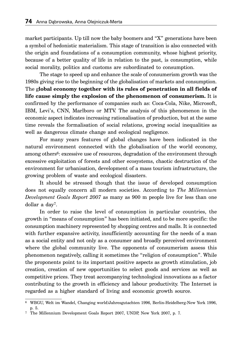market participants. Up till now the baby boomers and "X" generations have been a symbol of hedonistic materialism. This stage of transition is also connected with the origin and foundations of a consumption community, whose highest priority, because of a better quality of life in relation to the past, is consumption, while social morality, politics and customs are subordinated to consumption.

The stage to speed up and enhance the scale of consumerism growth was the 1980s giving rise to the beginning of the globalisation of markets and consumption. The g**lobal economy together with its rules of penetration in all fields of life cause simply the explosion of the phenomenon of consumerism.** It is confirmed by the performance of companies such as: Coca-Cola, Nike, Microsoft, IBM, Levi's, CNN, Marlboro or MTV. The analysis of this phenomenon in the economic aspect indicates increasing rationalisation of production, but at the same time reveals the formalisation of social relations, growing social inequalities as well as dangerous climate change and ecological negligence.

For many years features of global changes have been indicated in the natural environment connected with the globalisation of the world economy, among others<sup>6</sup>: excessive use of resources, degradation of the environment through excessive exploitation of forests and other ecosystems, chaotic destruction of the environment for urbanisation, development of a mass tourism infrastructure, the growing problem of waste and ecological disasters.

It should be stressed though that the issue of developed consumption does not equally concern all modern societies. According to *The Millennium Development Goals Report 2007* as many as 900 m people live for less than one dollar a day7.

In order to raise the level of consumption in particular countries, the growth in "means of consumption" has been initiated, and to be more specific: the consumption machinery represented by shopping centres and malls. It is connected with further expansive activity, insufficiently accounting for the needs of a man as a social entity and not only as a consumer and broadly perceived environment where the global community live. The opponents of consumerism assess this phenomenon negatively, calling it sometimes the "religion of consumption". While the proponents point to its important positive aspects as growth stimulation, job creation, creation of new opportunities to select goods and services as well as competitive prices. They treat accompanying technological innovations as a factor contributing to the growth in efficiency and labour productivity. The Internet is regarded as a higher standard of living and economic growth source.

<sup>6</sup> WBGU, Welt im Wandel, Changing world)Jahresgutachten 1996, Berlin-Heidelberg-New York 1996, p. 5.

<sup>7</sup> The Millennium Development Goals Report 2007, UNDP, New York 2007, p. 7.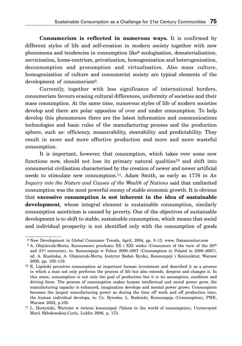**Consumerism is reflected in numerous ways.** It is confirmed by different styles of life and self-creation in modern society together with new phenomena and tendencies in consumption like8 ecologisation, dematerialisation, servicisation, home-centrism, privatisation, homogenisation and heterogenisation, deconsumption and prosumption and virtualisation. Also mass culture, homogenisation of culture and consumerist society are typical elements of the development of consumerism9.

Currently, together with less significance of international borders, consumerism favours erasing cultural differences, uniformity of societies and their mass consumption. At the same time, numerous styles of life of modern societies develop and there are polar opposites of over and under consumption. To help develop this phenomenon there are the latest information and communications technologies and basic rules of the manufacturing process and the production sphere, such as: efficiency, measurability, steerability and predictability. They result in more and more effective production and more and more wasteful consumption.

It is important, however, that consumption, which takes over some new functions now, should not lose its primary natural qualities<sup>10</sup> and shift into consumerist civilisation characterised by the creation of newer and newer artificial needs to stimulate new consumption.11. Adam Smith, as early as 1776 in *An Inquiry into the Nature and Causes of the Wealth of Nations* said that umlimited consumption was the most powerful enemy of stable economic growth. It is obvious that **excessive consumption is not inherent in the idea of sustainable development**, whose integral element is sustainable consumption, similarly consumption asceticism is caused by poverty. One of the objectives of sustainable development is to shift to stable, sustainable consumption, which means that social and individual prosperity is not identified only with the consumption of goods

<sup>8</sup> New Development in Global Consumer Trends, April, 2004, pp. 3–13. www. Datamonitor.com

<sup>9</sup> A. Olejniczuk-Merta, Konsumenci przełomu XX i XXI wieku (Consumers of the turn of the 20th and 21st centuries), in: Konsumpcja w Polsce 2000–2007 (Consumption in Poland in 2000–2007), ed. A. Kusińska, A. Olejniczuk-Merta, Instytut Badań Rynku, Konsumpcji i Koniunktur, Warsaw 2008, pp. 105–119.

<sup>10</sup> E. Lipiński perceives consumption as important human investment and described it as a process in which a man not only performs the process of life but also extends, deepens and changes it. In this sense, consumption is not only the goal of production but it is its assumption, condition and driving force. The process of consumption makes human intellectual and moral power grow, the manufacturing capacity is enhanced, imagination develops and mental power grows. Consumption becomes the largest manufacturing power as during the time off work and off production time, the human individual develops, in: Cz. Bywalec, L. Rudnicki, Konsumpcja (Consumption), PWE, Warsaw 2002, p.105.

<sup>11</sup> L. Hostyński, Wartości w świecie konsumpcji (Values in the world of consumption), Uniwersytet Marii Skłodowskiej-Curie, Lublin 2006, p. 173.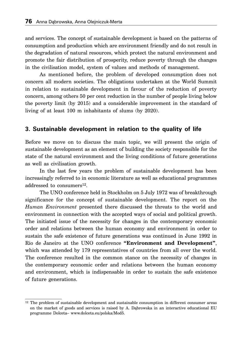and services. The concept of sustainable development is based on the patterns of consumption and production which are environment friendly and do not result in the degradation of natural resources, which protect the natural environment and promote the fair distribution of prosperity, reduce poverty through the changes in the civilisation model, system of values and methods of management.

As mentioned before, the problem of developed consumption does not concern all modern societies. The obligations undertaken at the World Summit in relation to sustainable development in favour of the reduction of poverty concern, among others 50 per cent reduction in the number of people living below the poverty limit (by 2015) and a considerable improvement in the standard of living of at least 100 m inhabitants of slums (by 2020).

#### **3. Sustainable development in relation to the quality of life**

Before we move on to discuss the main topic, we will present the origin of sustainable development as an element of building the society responsible for the state of the natural environment and the living conditions of future generations as well as civilisation growth.

In the last few years the problem of sustainable development has been increasingly referred to in economic literature as well as educational programmes addressed to consumers<sup>12</sup>.

The UNO conference held in Stockholm on 5 July 1972 was of breakthrough significance for the concept of sustainable development. The report on the *Human Environment* presented there discussed the threats to the world and environment in connection with the accepted ways of social and political growth. The initiated issue of the necessity for changes in the contemporary economic order and relations between the human economy and environment in order to sustain the safe existence of future generations was continued in June 1992 in Rio de Janeiro at the UNO conference **"Environment and Development"**, which was attended by 179 representatives of countries from all over the world. The conference resulted in the common stance on the necessity of changes in the contemporary economic order and relations between the human economy and environment, which is indispensable in order to sustain the safe existence of future generations.

 $12$  The problem of sustainable development and sustainable consumption in different consumer areas on the market of goods and services is raised by A. Dąbrowska in an interactive educational EU programme Dolceta– www.dolceta.eu/polska/Mod5.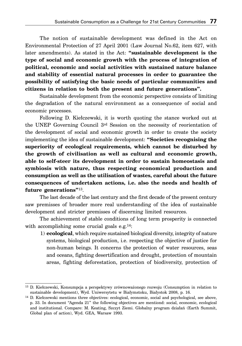The notion of sustainable development was defined in the Act on Environmental Protection of 27 April 2001 (Law Journal No.62, item 627, with later amendments). As stated in the Act: **"sustainable development is the type of social and economic growth with the process of integration of political, economic and social activities with sustained nature balance and stability of essential natural processes in order to guarantee the possibility of satisfying the basic needs of particular communities and citizens in relation to both the present and future generations".**

Sustainable development from the economic perspective consists of limiting the degradation of the natural environment as a consequence of social and economic processes.

Following D. Kiełczewski, it is worth quoting the stance worked out at the UNEP Governing Council  $3<sup>rd</sup>$  Session on the necessity of reorientation of the development of social and economic growth in order to create the society implementing the idea of sustainable development: **"Societies recognising the superiority of ecological requirements, which cannot be disturbed by the growth of civilisation as well as cultural and economic growth, able to self-steer its development in order to sustain homeostasis and symbiosis with nature, thus respecting economical production and consumption as well as the utilisation of wastes, careful about the future consequences of undertaken actions, i.e. also the needs and health of future generations"**13.

The last decade of the last century and the first decade of the present century saw premisses of broader more real understanding of the idea of sustainable development and stricter premisses of discerning limited resources.

The achievement of stable conditions of long term prosperity is connected with accomplishing some crucial goals e.g.<sup>14</sup>:

 1) **ecological**, which require sustained biological diversity, integrity of nature systems, biological production, i.e. respecting the objective of justice for non-human beings. It concerns the protection of water resources, seas and oceans, fighting desertification and drought, protection of mountain areas, fighting deforestation, protection of biodiversity, protection of

<sup>13</sup> D. Kiełczewski, Konsumpcja a perspektywy zrównoważonego rozwoju (Consumption in relation to sustainable development), Wyd. Uniwersytetu w Białymstoku, Białystok 2008, p. 16.

<sup>14</sup> D. Kiełczewski mentions three objectives: ecological, economic, social and psychological, see above, p. 33. In document "Agenda 21" the following objectives are mentiond: social, economic, ecological and institutional. Compare: M. Keating, Szczyt Ziemi. Globalny program działań (Earth Summit, Global plan of action), Wyd. GEA, Warsaw 1993.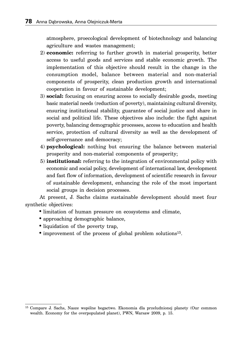atmosphere, proecological development of biotechnology and balancing agriculture and wastes management;

- 2) **economic:** referring to further growth in material prosperity, better access to useful goods and services and stable economic growth. The implementation of this objective should result in the change in the consumption model, balance between material and non-material components of prosperity, clean production growth and international cooperation in favour of sustainable development;
- 3) **social:** focusing on ensuring access to socially desirable goods, meeting basic material needs (reduction of poverty), maintaining cultural diversity, ensuring institutional stability, guarantee of social justice and share in social and political life. These objectives also include: the fight against poverty, balancing demographic processes, access to education and health service, protection of cultural diversity as well as the development of self-governance and democracy;
- 4) **psychological:** nothing but ensuring the balance between material prosperity and non-material components of prosperity;
- 5) **institutional:** referring to the integration of environmental policy with economic and social policy, development of international law, development and fast flow of information, development of scientific research in favour of sustainable development, enhancing the role of the most important social groups in decision processes.

At present, J. Sachs claims sustainable development should meet four synthetic objectives:

- limitation of human pressure on ecosystems and climate,
- approaching demographic balance,
- liquidation of the poverty trap,
- improvement of the process of global problem solutions<sup>15</sup>.

<sup>15</sup> Compare J. Sachs, Nasze wspólne bogactwo. Ekonomia dla przeludnionej planety (Our common wealth. Economy for the overpopulated planet), PWN, Warsaw 2009, p. 15.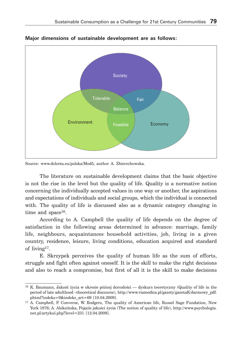

#### **Major dimensions of sustainable development are as follows:**

Source: www.dolceta.eu/polska/Mod5, author A. Zbierzchowska.

The literature on sustainable development claims that the basic objective is not the rise in the level but the quality of life. Quality is a normative notion concerning the individually accepted values in one way or another, the aspirations and expectations of individuals and social groups, which the individual is connected with. The quality of life is discussed also as a dynamic category changing in time and space16.

According to A. Campbell the quality of life depends on the degree of satisfaction in the following areas determined in advance: marriage, family life, neighbours, acquaintances household activities, job, living in a given country, residence, leisure, living conditions, education acquired and standard of living17.

E. Skrzypek perceives the quality of human life as the sum of efforts, struggle and fight often against oneself. It is the skill to make the right decisions and also to reach a compromise, but first of all it is the skill to make decisions

<sup>16</sup> K. Baumann, Jakość życia w okresie późnej dorosłości — dyskurs teoretyczny (Quality of life in the period of late adulthood –theoretical discourse), http://www.viamedica.pl/gazety/gazetaK/darmowy\_pdf. phtml?indeks=9&indeks\_art=69 [10.04.2009].

<sup>&</sup>lt;sup>17</sup> A. Campbell, P. Converse, W. Rodgers, The quality of American life, Russel Sage Fundation, New York 1976; A. Aleksińska, Pojęcie jakości życia (The notion of quality of life), http://www.psychologia. net.pl/artykul.php?level=231 [12.04.2009].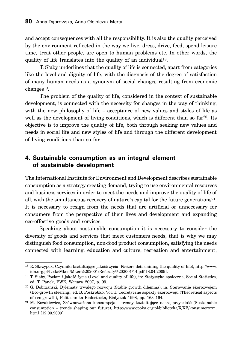and accept consequences with all the responsibility. It is also the quality perceived by the environment reflected in the way we live, dress, drive, feed, spend leisure time, treat other people, are open to human problems etc. In other words, the quality of life translates into the quality of an individual<sup>18</sup>.

T. Słaby underlines that the quality of life is connected, apart from categories like the level and dignity of life, with the diagnosis of the degree of satisfaction of many human needs as a synonym of social changes resulting from economic changes19.

The problem of the quality of life, considered in the context of sustainable development, is connected with the necessity for changes in the way of thinking, with the new philosophy of life – acceptance of new values and styles of life as well as the development of living conditions, which is different than so  $far^{20}$ . Its objective is to improve the quality of life, both through seeking new values and needs in social life and new styles of life and through the different development of living conditions than so far.

### **4. Sustainable consumption as an integral element of sustainable development**

The International Institute for Environment and Development describes sustainable consumption as a strategy creating demand, trying to use environmental resources and business services in order to meet the needs and improve the quality of life of all, with the simultaneous recovery of nature's capital for the future generations<sup>21</sup>. It is necessary to resign from the needs that are artificial or unnecessary for consumers from the perspective of their lives and development and expanding eco-effective goods and services.

Speaking about sustainable consumption it is necessary to consider the diversity of goods and services that meet customers needs, that is why we may distinguish food consumption, non-food product consumption, satisfying the needs connected with learning, education and culture, recreation and entertainment,

<sup>18</sup> E. Skrzypek, Czynniki kształtujące jakość życia (Factors determining the quality of life), http://www. idn.org.pl/Lodz/Mken/Mken%202001/Referaty%202001/14.pdf [8.04.2009].

<sup>19</sup> T. Słaby, Poziom i jakość życia (Level and quality of life), in: Statystyka społeczna, Social Statistics, ed. T. Panek, PWE, Warsaw 2007, p. 99.

<sup>20</sup> G. Dobrzański, Dylematy trwałego rozwoju (Stable growth dilemma), in: Sterowanie ekorozwojem (Eco-growth steering), ed. B. Poskrobko, Vol. 1: Teoretyczne aspekty ekorozwoju (Theoretical aspects of eco-growth), Politechnika Białostocka, Białystok 1998, pp. 163–164.

 $21$  M. Kozakiewicz, Zrównoważona konsumpcja – trendy kształtujące naszą przyszłość (Sustainable consumption – trends shaping our future), http://www.opoka.org.pl/biblioteka/X/XB/konsumeryzm. html [12.03.2009].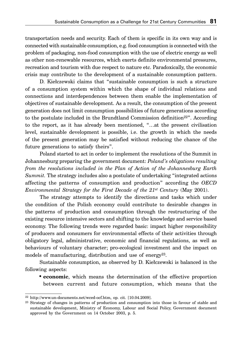transportation needs and security. Each of them is specific in its own way and is connected with sustainable consumption, e.g. food consumption is connected with the problem of packaging, non-food consumption with the use of electric energy as well as other non-renewable resources, which exerts definite environmental pressures, recreation and tourism with due respect to nature etc. Paradoxically, the economic crisis may contribute to the development of a sustainable consumption pattern.

D. Kiełczewski claims that "sustainable consumption is such a structure of a consumption system within which the shape of individual relations and connections and interdependences between them enable the implementation of objectives of sustainable development. As a result, the consumption of the present generation does not limit consumption possibilities of future generations according to the postulate included in the Brundtland Commission definition<sup>22"</sup>. According to the report, as it has already been mentioned, "…at the present civilisation level, sustainable development is possible, i.e. the growth in which the needs of the present generation may be satisfied without reducing the chance of the future generations to satisfy theirs".

Poland started to act in order to implement the resolutions of the Summit in Johannesburg preparing the government document: *Poland's obligations resulting from the resolutions included in the Plan of Action of the Johannesburg Earth Summit.* The strategy includes also a postulate of undertaking "integrated actions affecting the patterns of consumption and production" according the *OECD Environmental Strategy for the First Decade of the 21st Century* (May 2001).

The strategy attempts to identify the directions and tasks which under the condition of the Polish economy could contribute to desirable changes in the patterns of production and consumption through the restructuring of the existing resource intensive sectors and shifting to the knowledge and service based economy. The following trends were regarded basic: impact higher responsibility of producers and consumers for environmental effects of their activities through obligatory legal, administrative, economic and financial regulations, as well as behaviours of voluntary character; pro-ecological investment and the impact on models of manufacturing, distribution and use of energy<sup>23</sup>.

Sustainable consumption, as observed by D. Kiełczewski is balanced in the following aspects:

• **economic**, which means the determination of the effective proportion between current and future consumption, which means that the

<sup>22</sup> http://www.un-documents.net/wced-ocf.htm, op. cit. [10.04.2009].

<sup>&</sup>lt;sup>23</sup> Strategy of changes in patterns of production and consumption into those in favour of stable and sustainable development, Ministry of Economy, Labour and Social Policy, Government document approved by the Government on 14 October 2003, p. 5.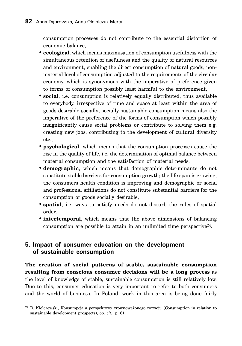consumption processes do not contribute to the essential distortion of economic balance,

- **ecological**, which means maximisation of consumption usefulness with the simultaneous retention of usefulness and the quality of natural resources and environment, enabling the direct consumption of natural goods, nonmaterial level of consumption adjusted to the requirements of the circular economy, which is synonymous with the imperative of preference given to forms of consumption possibly least harmful to the environment,
- **social**, i.e. consumption is relatively equally distributed, thus available to everybody, irrespective of time and space at least within the area of goods desirable socially; socially sustainable consumption means also the imperative of the preference of the forms of consumption which possibly insignificantly cause social problems or contribute to solving them e.g. creating new jobs, contributing to the development of cultural diversity etc.,
- **psychological**, which means that the consumption processes cause the rise in the quality of life, i.e. the determination of optimal balance between material consumption and the satisfaction of material needs,
- **demographic**, which means that demographic determinants do not constitute stable barriers for consumption growth; the life span is growing, the consumers health condition is improving and demographic or social and professional affiliations do not constitute substantial barriers for the consumption of goods socially desirable,
- **spatial**, i.e. ways to satisfy needs do not disturb the rules of spatial order,
- **intertemporal**, which means that the above dimensions of balancing consumption are possible to attain in an unlimited time perspective24.

### **5. Impact of consumer education on the development of sustainable consumption**

**The creation of social patterns of stable, sustainable consumption resulting from conscious consumer decisions will be a long process** as the level of knowledge of stable, sustainable consumption is still relatively low. Due to this, consumer education is very important to refer to both consumers and the world of business. In Poland, work in this area is being done fairly

<sup>24</sup> D. Kiełczewski, Konsumpcja a perspektywy zrównoważonego rozwoju (Consumption in relation to sustainable development prospects), *op. cit.*, p. 61.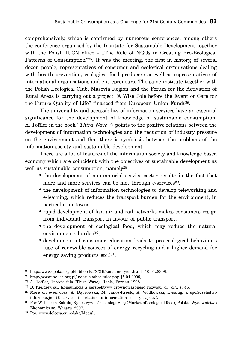comprehensively, which is confirmed by numerous conferences, among others the conference organised by the Institute for Sustainable Development together with the Polish IUCN office  $-$  "The Role of NGOs in Creating Pro-Ecological Patterns of Consumption"25. It was the meeting, the first in history, of several dozen people, representatives of consumer and ecological organisations dealing with health prevention, ecological food producers as well as representatives of international organisations and entrepreneurs. The same institute together with the Polish Ecological Club, Masovia Region and the Forum for the Activation of Rural Areas is carrying out a project "A Wise Pole before the Event or Care for the Future Quality of Life" financed from European Union Funds26.

The universality and accessibility of information services have an essential significance for the development of knowledge of sustainable consumption. A. Toffler in the book "*Third Wave*"27 points to the positive relations between the development of information technologies and the reduction of industry pressure on the environment and that there is symbiosis between the problems of the information society and sustainable development.

There are a lot of features of the information society and knowledge based economy which are coincident with the objectives of sustainable development as well as sustainable consumption, namely<sup>28</sup>:

- the development of non-material service sector results in the fact that more and more services can be met through e-services<sup>29</sup>,
- the development of information technologies to develop teleworking and e-learning, which reduces the transport burden for the environment, in particular in towns,
- rapid development of fast air and rail networks makes consumers resign from individual transport in favour of public transport,
- the development of ecological food, which may reduce the natural environments burden<sup>30</sup>,
- development of consumer education leads to pro-ecological behaviours (use of renewable sources of energy, recycling and a higher demand for energy saving products etc. $)^{31}$ .

<sup>25</sup> http://www.opoka.org.pl/biblioteka/X/XB/konsumeryzm.html [10.04.2009].

 $^{26}$  http://www.ine-isd.org.pl/index ekoherkules.php [5.04.2009].

<sup>27</sup> A. Toffler, Trzecia fala (Third Wave), Rebis, Poznań 1998.

<sup>28</sup> D. Kiełczewski, Konsumpcja a perspektywy zrównoważonego rozwoju, *op. cit.*, s. 46.

<sup>29</sup> More on e-services: A. Dąbrowska, M. Janoś-Kresło, A. Wódkowski, E-usługi a społeczeństwo informacyjne (E-services in relation to information society), *op. cit*.

<sup>30</sup> Por. W. Łuczka-Bakuła, Rynek żywności ekologicznej (Market of ecological food), Polskie Wydawnictwo Ekonomiczne, Warsaw 2007.

<sup>31</sup> Por. www.dolceta.eu.polska/Modul5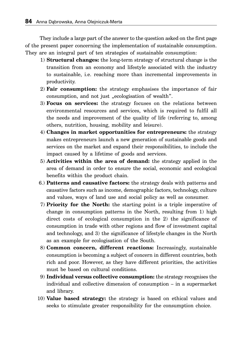They include a large part of the answer to the question asked on the first page of the present paper concerning the implementation of sustainable consumption. They are an integral part of ten strategies of sustainable consumption:

- 1) **Structural changes:** the long-term strategy of structural change is the transition from an economy and lifestyle associated with the industry to sustainable, i.e. reaching more than incremental improvements in productivity.
- 2) **Fair consumption:** the strategy emphasises the importance of fair consumption, and not just "ecologisation of wealth".
- 3) **Focus on services:** the strategy focuses on the relations between environmental resources and services, which is required to fulfil all the needs and improvement of the quality of life (referring to, among others, nutrition, housing, mobility and leisure).
- 4) **Changes in market opportunities for entrepreneurs:** the strategy makes entrepreneurs launch a new generation of sustainable goods and services on the market and expand their responsibilities, to include the impact caused by a lifetime of goods and services.
- 5) **Activities within the area of demand:** the strategy applied in the area of demand in order to ensure the social, economic and ecological benefits within the product chain.
- 6.) **Patterns and causative factors:** the strategy deals with patterns and causative factors such as income, demographic factors, technology, culture and values, ways of land use and social policy as well as consumer.
- 7) **Priority for the North:** the starting point is a triple imperative of change in consumption patterns in the North, resulting from 1) high direct costs of ecological consumption in the 2) the significance of consumption in trade with other regions and flow of investment capital and technology, and 3) the significance of lifestyle changes in the North as an example for ecologisation of the South.
- 8) **Common concern, different reactions:** Increasingly, sustainable consumption is becoming a subject of concern in different countries, both rich and poor. However, as they have different priorities, the activities must be based on cultural conditions.
- 9) **Individual versus collective consumption:** the strategy recognises the individual and collective dimension of consumption – in a supermarket and library.
- 10) **Value based strategy:** the strategy is based on ethical values and seeks to stimulate greater responsibility for the consumption choice.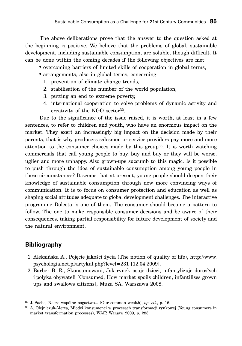The above deliberations prove that the answer to the question asked at the beginning is positive. We believe that the problems of global, sustainable development, including sustainable consumption, are soluble, though difficult. It can be done within the coming decades if the following objectives are met:

- overcoming barriers of limited skills of cooperation in global terms,
- arrangements, also in global terms, concerning:
	- 1. prevention of climate change trends,
	- 2. stabilisation of the number of the world population,
	- 3. putting an end to extreme poverty,
	- 4. international cooperation to solve problems of dynamic activity and creativity of the NGO sector32.

Due to the significance of the issue raised, it is worth, at least in a few sentences, to refer to children and youth, who have an enormous impact on the market. They exert an increasingly big impact on the decision made by their parents, that is why producers salesmen or service providers pay more and more attention to the consumer choices made by this group33. It is worth watching commercials that call young people to buy, buy and buy or they will be worse, uglier and more unhappy. Also grown-ups succumb to this magic. Is it possible to push through the idea of sustainable consumption among young people in these circumstances? It seems that at present, young people should deepen their knowledge of sustainable consumption through new more convincing ways of communication. It is to focus on consumer protection and education as well as shaping social attitudes adequate to global development challenges. The interactive programme Dolceta is one of them. The consumer should become a pattern to follow. The one to make responsible consumer decisions and be aware of their consequences, taking partial responsibility for future development of society and the natural environment.

## **Bibliography**

- 1. Aleksińska A., Pojęcie jakości życia (The notion of quality of life), http://www. psychologia.net.pl/artykul.php?level=231 [12.04.2009].
- 2. Barber B. R., Skonsumowani, Jak rynek psuje dzieci, infantylizuje dorosłych i połyka obywateli (Consumed, How market spoils children, infantilises grown ups and swallows citizens), Muza SA, Warszawa 2008.

<sup>32</sup> J. Sachs, Nasze wspólne bogactwo... (Our common wealth), *op. cit.*, p. 16.

<sup>33</sup> A. Olejniczuk-Merta, Młodzi konsumenci w procesach transformacji rynkowej (Young consumers in market transformation processes), WAiP, Warsaw 2009, p. 283.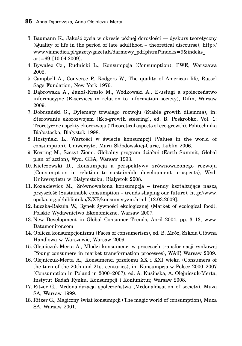- 3. Baumann K., Jakość życia w okresie późnej dorosłości dyskurs teoretyczny (Quality of life in the period of late adulthood – theoretical discourse), http:// www.viamedica.pl/gazety/gazetaK/darmowy\_pdf.phtml?indeks=9&indeks\_ art=69 [10.04.2009].
- 4. Bywalec Cz., Rudnicki L., Konsumpcja (Consumption), PWE, Warszawa 2002.
- 5. Campbell A., Converse P., Rodgers W., The quality of American life, Russel Sage Fundation, New York 1976.
- 6. Dąbrowska A., Janoś-Kresło M., Wódkowski A., E-usługi a społeczeństwo informacyjne (E-services in relation to information society), Difin, Warsaw 2009.
- 7. Dobrzański G., Dylematy trwałego rozwoju (Stable growth dilemma), in: Sterowanie ekorozwojem (Eco-growth steering), ed. B. Poskrobko, Vol. 1: Teoretyczne aspekty ekorozwoju (Theoretical aspects of eco-growth), Politechnika Białostocka, Białystok 1998.
- 8. Hostyński L., Wartości w świecie konsumpcji (Values in the world of consumption), Uniwersytet Marii Skłodowskiej-Curie, Lublin 2006.
- 9. Keating M., Szczyt Ziemi. Globalny program działań (Earth Summit, Global plan of action), Wyd. GEA, Warsaw 1993.
- 10. Kiełczewski D., Konsumpcja a perspektywy zrównoważonego rozwoju (Consumption in relation to sustainable development prospects), Wyd. Uniwersytetu w Białymstoku, Białystok 2008.
- 11. Kozakiewicz M., Zrównoważona konsumpcja trendy kształtujące naszą przyszłość (Sustainable consumption – trends shaping our future), http://www. opoka.org.pl/biblioteka/X/XB/konsumeryzm.html [12.03.2009].
- 12. Łuczka-Bakuła W., Rynek żywności ekologicznej (Market of ecological food), Polskie Wydawnictwo Ekonomiczne, Warsaw 2007.
- 13. New Development in Global Consumer Trends, April 2004, pp. 3–13, www. Datamonitor.com
- 14. Oblicza konsumpcjonizmu (Faces of consumerism), ed. B. Mróz, Szkoła Główna Handlowa w Warszawie, Warsaw 2009.
- 15. Olejniczuk-Merta A., Młodzi konsumenci w procesach transformacji rynkowej (Young consumers in market transformation processes), WAiP, Warsaw 2009.
- 16. Olejniczuk-Merta A., Konsumenci przełomu XX i XXI wieku (Consumers of the turn of the 20th and 21st centuries), in: Konsumpcja w Polsce 2000–2007 (Consumption in Poland in 2000–2007), ed. A. Kusińska, A. Olejniczuk-Merta, Instytut Badań Rynku, Konsumpcji i Koniunktur, Warsaw 2008.
- 17. Ritzer G., Mcdonaldyzacja społeczeństwa (Mcdonaldisation of society), Muza SA, Warsaw 1999.
- 18. Ritzer G., Magiczny świat konsumpcji (The magic world of consumption), Muza SA, Warsaw 2001.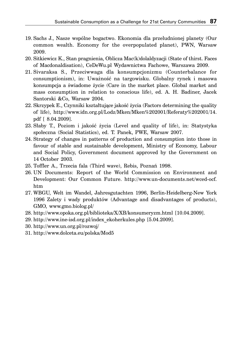- 19. Sachs J., Nasze wspólne bogactwo. Ekonomia dla przeludnionej planety (Our common wealth. Economy for the overpopulated planet), PWN, Warsaw 2009.
- 20. Sitkiewicz K., Stan pragnienia, Oblicza Mac(k)dolaldyzacji (State of thirst. Faces of Macdonaldisation), CeDeWu.pl Wydawnictwa Fachowe, Warszawa 2009.
- 21. Sivaraksa S., Przeciwwaga dla konsumpcjonizmu (Counterbalance for consumptionism), in: Uważność na targowisku. Globalny rynek i masowa konsumpcja a świadome życie (Care in the market place. Global market and mass consumption in relation to conscious life), ed. A. H. Badiner, Jacek Santorski &Co, Warsaw 2004.
- 22. Skrzypek E., Czynniki kształtujące jakość życia (Factors determining the quality of life), http://www.idn.org.pl/Lodz/Mken/Mken%202001/Referaty%202001/14. pdf [ 8.04.2009].
- 23. Słaby T., Poziom i jakość życia (Level and quality of life), in: Statystyka społeczna (Social Statistics), ed. T. Panek, PWE, Warsaw 2007.
- 24. Strategy of changes in patterns of production and consumption into those in favour of stable and sustainable development, Ministry of Economy, Labour and Social Policy, Government document approved by the Government on 14 October 2003.
- 25. Toffler A., Trzecia fala (Third wave), Rebis, Poznań 1998.
- 26. UN Documents: Report of the World Commission on Environment and Development: Our Common Future. http://www.un-documents.net/wced-ocf. htm
- 27. WBGU, Welt im Wandel, Jahresgutachten 1996, Berlin-Heidelberg-New York 1996 Zalety i wady produktów (Advantage and disadvantages of products), GMO, www.gmo.biolog.pl/
- 28. http://www.opoka.org.pl/biblioteka/X/XB/konsumeryzm.html [10.04.2009].
- 29. http://www.ine-isd.org.pl/index\_ekoherkules.php [5.04.2009].
- 30. http://www.un.org.pl/rozwoj/
- 31. http://www.dolceta.eu/polska/Mod5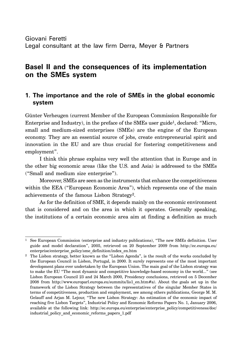Giovani Feretti Legal consultant at the law firm Derra, Meyer & Partners

# **Basel II and the consequences of its implementation on the SMEs system**

## **1. The importance and the role of SMEs in the global economic system**

Günter Verheugen (current Member of the European Commission Responsible for Enterprise and Industry), in the preface of the SMEs user guide1, declared: "Micro, small and medium-sized enterprises (SMEs) are the engine of the European economy. They are an essential source of jobs, create entrepreneurial spirit and innovation in the EU and are thus crucial for fostering competitiveness and employment".

I think this phrase explains very well the attention that in Europe and in the other big economic areas (like the U.S. and Asia) is addressed to the SMEs ("Small and medium size enterprise").

Moreover, SMEs are seen as the instruments that enhance the competitiveness within the EEA ("European Economic Area"), which represents one of the main achievements of the famous Lisbon Strategy2.

As for the definition of SME, it depends mainly on the economic environment that is considered and on the area in which it operates. Generally speaking, the institutions of a certain economic area aim at finding a definition as much

<sup>1</sup> See European Commission (enterprise and industry publications), "The new SMEs definition. User guide and model declaration", 2005, retrieved on 20 September 2009 from http://ec.europa.eu/ enterprise/enterprise\_policy/sme\_definition/index\_en.htm

<sup>2</sup> The Lisbon strategy, better known as the "Lisbon Agenda", is the result of the works concluded by the European Council in Lisbon, Portugal, in 2000. It surely represents one of the most important development plans ever undertaken by the European Union. The main goal of the Lisbon strategy was to make the EU "The most dynamic and competitive knowledge-based economy in the world..." (see Lisbon European Council 23 and 24 March 2000, Presidency conclusions, retrieved on 5 December 2008 from http://www.europarl.europa.eu/summits/lis1\_en.htm#a). About the goals set up in the framework of the Lisbon Strategy between the representatives of the singular Member States in terms of competitiveness, production and employment, see among others publications, George M. M. Gelauff and Arjan M. Lejour, "The new Lisbon Strategy: An estimation of the economic impact of reaching five Lisbon Targets", Industrial Policy and Economic Reforms Papers No. 1, January 2006, available at the following link: http://ec.europa.eu/enterprise/enterprise\_policy/competitiveness/doc/ industrial\_policy\_and\_economic\_reforms\_papers\_1.pdf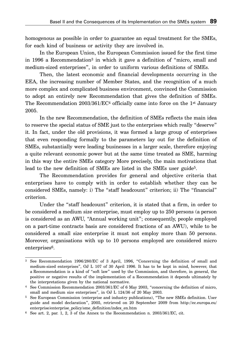homogenous as possible in order to guarantee an equal treatment for the SMEs. for each kind of business or activity they are involved in.

In the European Union, the European Commission issued for the first time in 1996 a Recommendation<sup>3</sup> in which it gave a definition of "micro, small and medium-sized enterprises", in order to uniform various definitions of SMEs.

Then, the latest economic and financial developments occurring in the EEA, the increasing number of Member States, and the recognition of a much more complex and complicated business environment, convinced the Commission to adopt an entirely new Recommendation that gives the definition of SMEs. The Recommendation  $2003/361/EC^4$  officially came into force on the 1<sup>st</sup> January 2005.

In the new Recommendation, the definition of SMEs reflects the main idea to reserve the special status of SME just to the enterprises which really "deserve" it. In fact, under the old provisions, it was formed a large group of enterprises that even responding formally to the parameters lay out for the definition of SMEs, substantially were leading businesses in a larger scale, therefore enjoying a quite relevant economic power but at the same time treated as SME, harming in this way the entire SMEs category More precisely, the main motivations that lead to the new definition of SMEs are listed in the SMEs user guide5.

The Recommendation provides for general and objective criteria that enterprises have to comply with in order to establish whether they can be considered SMEs, namely: i) The "staff headcount" criterion; ii) The "financial" criterion.

Under the "staff headcount" criterion, it is stated that a firm, in order to be considered a medium size enterprise, must employ up to 250 persons (a person is considered as an AWU, "Annual working unit"; consequently, people employed on a part-time contracts basis are considered fractions of an AWU), while to be considered a small size enterprise it must not employ more than 50 persons. Moreover, organisations with up to 10 persons employed are considered micro enterprises<sup>6</sup>.

<sup>3</sup> See Recommendation 1996/280/EC of 3 April, 1996, "Concerning the definition of small and medium-sized enterprises", OJ L 107 of 30 April 1996. It has to be kept in mind, however, that a Recommendation is a kind of "soft law" used by the Commission, and therefore, in general, the positive or negative results of the implementation of a Recommendation it depends ultimately by the interpretations given by the national normative.

<sup>4</sup> See Commission Recommendation 2003/361/EC of 6 May 2003, "concerning the definition of micro, small and medium size enterprises", in OJ L 124/36 of 20 May 2003.

<sup>5</sup> See European Commission (enterprise and industry publications), "The new SMEs definition. User guide and model declaration", 2005, retrieved on 20 September 2009 from http://ec.europa.eu/ enterprise/enterprise\_policy/sme\_definition/index\_en.htm

<sup>6</sup> See art. 2, par. 1, 2, 3 of the Annex to the Recommendation n. 2003/361/EC, cit.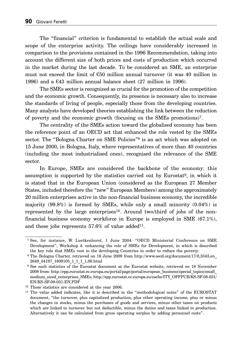The "financial" criterion is fundamental to establish the actual scale and scope of the enterprise activity. The ceilings have considerably increased in comparison to the provisions contained in the 1996 Recommendation, taking into account the different size of both prices and costs of production which occurred in the market during the last decade. To be considered an SME, an enterprise must not exceed the limit of  $\text{\ensuremath{\mathfrak{E}}50}$  million annual turnover (it was 40 million in 1996) and a  $643$  million annual balance sheet (27 million in 1996).

The SMEs sector is recognized as crucial for the promotion of the competition and the economic growth. Consequently, its presence is necessary also to increase the standards of living of people, especially those from the developing countries. Many analysts have developed theories establishing the link between the reduction of poverty and the economic growth (focusing on the SMEs promotions)7.

The centrality of the SMEs action toward the globalised economy has been the reference point of an OECD act that enhanced the role vested by the SMEs sector. The "Bologna Charter on SME Policies"<sup>8</sup> is an act which was adopted on 15 June 2000, in Bologna, Italy, where representatives of more than 40 countries (including the most industrialised ones), recognised the relevance of the SME sector.

In Europe, SMEs are considered the backbone of the economy: this assumption is supported by the statistics carried out by Eurostat9, in which it is stated that in the European Union (considered as the European 27 Member States, included therefore the "new" European Members) among the approximately 20 million enterprises active in the non-financial business economy, the incredible majority  $(99.8\%)$  is formed by SMEs, while only a small minority  $(0.04\%)$  is represented by the large enterprises<sup>10</sup>. Around two/third of jobs of the nonfinancial business economy workforce in Europe is employed in SME (67.1%), and these jobs represents  $57.6\%$  of value added<sup>11</sup>.

<sup>7</sup> See, for instance, W. Luetkenhorst, 1 June 2004: "OECD Ministerial Conference on SME Development", Workshop 4: enhancing the role of SMEs for Development, in which is described the key role that SMEs vest in the developing Countries in order to reduce the poverty.

<sup>8</sup> The Bologna Charter, retrieved on 16 June 2009 from http://www.oecd.org/document/17/0,3343,en\_ 2649\_34197\_1809105\_1\_1\_1\_1,00.html

<sup>9</sup> See such statistics of the Eurostat document at the Eurostat website, retrieved on 18 November 2008 from: http://epp.eurostat.ec.europa.eu/portal/page/portal/european\_business/special\_topics/small\_ medium\_sized\_enterprises\_SMEs; http://epp.eurostat.ec.europa.eu/cache/ITY\_OFFPUB/KS-SF-08-031/ EN/KS-SF-08-031-EN.PDF

<sup>10</sup> These statistics are considered at the year 2006.

<sup>11</sup> The value added indicates, like it is described in the "methodological notes" of the EUROSTAT document, "the turnover, plus capitalized production, plus other operating income, plus or minus the changes in stocks, minus the purchases of goods and services, minus other taxes on products which are linked to turnover but not deductible, minus the duties and taxes linked to production. Alternatively it can be calculated from gross operating surplus by adding personnel costs".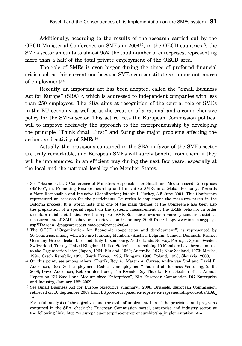Additionally, according to the results of the research carried out by the OECD Ministerial Conference on SMEs in 200412, in the OECD countries13, the SMEs sector amounts to almost 95% the total number of enterprises, representing more than a half of the total private employment of the OECD area.

The role of SMEs is even bigger during the times of profound financial crisis such as this current one because SMEs can constitute an important source of employment14.

Recently, an important act has been adopted, called the "Small Business Act for Europe"  $(SBA)^{15}$ , which is addressed to independent companies with less than 250 employees. The SBA aims at recognition of the central role of SMEs in the EU economy as well as at the creation of a rational and a comprehensive policy for the SMEs sector. This act reflects the European Commission political will to improve decisively the approach to the entrepreneurship by developing the principle "Think Small First" and facing the major problems affecting the actions and activity of SMEs16.

Actually, the provisions contained in the SBA in favor of the SMEs sector are truly remarkable, and European SMEs will surely benefit from them, if they will be implemented in an efficient way during the next few years, especially at the local and the national level by the Member States.

<sup>12</sup> See "Second OECD Conference of Ministers responsible for Small and Medium-sized Enterprises (SMEs)", in: Promoting Entrepreneurship and Innovative SMEs in a Global Economy; Towards a More Responsible and Inclusive Globalization; Istanbul, Turkey, 3-5 June 2004. This Conference represented an occasion for the participants Countries to implement the measures taken in the Bologna process. It is worth note that one of the main themes of the Conference has been also the preparation of a special report on the systemic measurement of the SMEs behavior in order to obtain reliable statistics (See the report: "SME Statistics: towards a more systematic statistical measurement of SME behavior", retrieved on 9 January 2009 from: http://www.insme.org/page. asp?IDArea=1&page=process\_sme-conference-2004).

<sup>&</sup>lt;sup>13</sup> The OECD ("Organization for Economic cooperation and development") is represented by 30 Countries, among which 20 are founding Members (Austria, Belgium, Canada, Denmark, France, Germany, Greece, Iceland, Ireland, Italy, Luxembourg, Netherlands, Norway, Portugal, Spain, Sweden, Switzerland, Turkey, United Kingdom, United States); the remaining 10 Members have been admitted to the Organization later (Japan, 1964; Finland, 1969; Australia, 1971; New Zealand, 1973; Mexico, 1994; Czech Republic, 1995; South Korea, 1995; Hungary, 1996; Poland, 1996; Slovakia, 2000).

<sup>14</sup> On this point, see among others: Thurik, Roy A., Martin A. Carree, Andre van Stel and David B. Audretsch, Does Self-Employment Reduce Unemployment? Journal of Business Venturing, 23(6), 2008; David Audretsch, Rob van der Horst, Ton Kwaak, Roy Thurik: "First Section of the Annual Report on EU Small and Medium-sized Enterprises", EIA European Commission DG Enterprise and industry, January 12th 2009.

<sup>15</sup> See Small Business Act for Europe (executive summary), 2008, Brussels: European Commission, retrieved on 10 September 2009 from http://ec.europa.eu/enterprise/entrepreneurship/docs/sba/SBA\_ IA

<sup>&</sup>lt;sup>16</sup> For a full analysis of the objectives and the state of implementation of the provisions and programs contained in the SBA, check the European Commission portal, enterprise and industry sector, at the following link: http://ec.europa.eu/enterprise/entrepreneurship/sba\_implementation.htm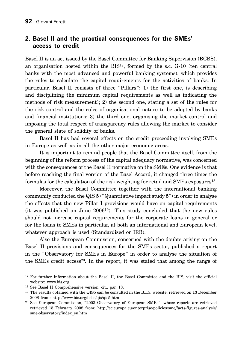### **2. Basel II and the practical consequences for the SMEs' access to credit**

Basel II is an act issued by the Basel Committee for Banking Supervision (BCBS), an organisation hosted within the  $BIS<sup>17</sup>$ , formed by the s.c. G-10 (ten central banks with the most advanced and powerful banking systems), which provides the rules to calculate the capital requirements for the activities of banks. In particular, Basel II consists of three "Pillars": 1) the first one, is describing and disciplining the minimum capital requirements as well as indicating the methods of risk measurement); 2) the second one, stating a set of the rules for the risk control and the rules of organisational nature to be adopted by banks and financial institutions; 3) the third one, organising the market control and imposing the total respect of transparency rules allowing the market to consider the general state of solidity of banks.

Basel II has had several effects on the credit proceeding involving SMEs in Europe as well as in all the other major economic areas.

It is important to remind people that the Basel Committee itself, from the beginning of the reform process of the capital adequacy normative, was concerned with the consequences of the Basel II normative on the SMEs. One evidence is that before reaching the final version of the Basel Accord, it changed three times the formulas for the calculation of the risk weighting for retail and SMEs exposures18.

Moreover, the Basel Committee together with the international banking community conducted the QIS 5 ("Quantitative impact study 5") in order to analyse the effects that the new Pillar I provisions would have on capital requirements (it was published on June 200619). This study concluded that the new rules should not increase capital requirements for the corporate loans in general or for the loans to SMEs in particular, at both an international and European level, whatever approach is used (Standardized or IRB).

Also the European Commission, concerned with the doubts arising on the Basel II provisions and consequences for the SMEs sector, published a report in the "Observatory for SMEs in Europe" in order to analyse the situation of the SMEs credit access<sup>20</sup>. In the report, it was stated that among the range of

<sup>&</sup>lt;sup>17</sup> For further information about the Basel II, the Basel Committee and the BIS, visit the official website: www.bis.org

<sup>18</sup> See Basel II Comprehensive version, cit., par. 13.

<sup>19</sup> The results obtained with the QIS5 can be consulted in the B.I.S. website, retrieved on 13 December 2008 from: http://www.bis.org/bcbs/qis/qis5.htm

<sup>20</sup> See European Commission, "2003 Observatory of European SMEs", whose reports are retrieved retrieved 15 February 2008 from: http://ec.europa.eu/enterprise/policies/sme/facts-figures-analysis/ sme-observatory/index\_en.htm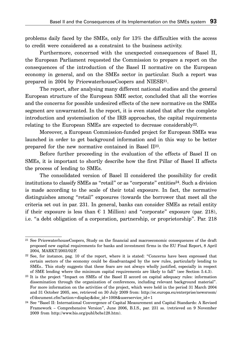problems daily faced by the SMEs, only for 13% the difficulties with the access to credit were considered as a constraint to the business activity.

Furthermore, concerned with the unexpected consequences of Basel II, the European Parliament requested the Commission to prepare a report on the consequences of the introduction of the Basel II normative on the European economy in general, and on the SMEs sector in particular. Such a report was prepared in 2004 by PricewaterhouseCoopers and NIESR21.

The report, after analysing many different national studies and the general European structure of the European SME sector, concluded that all the worries and the concerns for possible undesired effects of the new normative on the SMEs segment are unwarranted. In the report, it is even stated that after the complete introduction and systemisation of the IRB approaches, the capital requirements relating to the European SMEs are expected to decrease considerably22.

Moreover, a European Commission-funded project for European SMEs was launched in order to get background information and in this way to be better prepared for the new normative contained in Basel II23.

Before further proceeding in the evaluation of the effects of Basel II on SMEs, it is important to shortly describe how the first Pillar of Basel II affects the process of lending to SMEs.

The consolidated version of Basel II considered the possibility for credit institutions to classify SMEs as "retail" or as "corporate" entities<sup>24</sup>. Such a division is made according to the scale of their total exposure. In fact, the normative distinguishes among "retail" exposures (towards the borrower that meet all the criteria set out in par. 231. In general, banks can consider SMEs as retail entity if their exposure is less than  $\epsilon$  1 Million) and "corporate" exposure (par. 218), i.e. "a debt obligation of a corporation, partnership, or proprietorship". Par. 218

<sup>21</sup> See PricewaterhouseCoopers, Study on the financial and macroeconomic consequences of the draft proposed new capital requirements for banks and investment firms in the EU Final Report, 8 April 2004, MARKT/2003/02/F.

<sup>22</sup> See, for instance, pag. 10 of the report, where it is stated: "Concerns have been expressed that certain sectors of the economy could be disadvantaged by the new rules, particularly lending to SMEs.. This study suggests that these fears are not always wholly justified, especially in respect of SME lending where the minimum capital requirements are likely to fall" (see Section 5.4.3).

<sup>&</sup>lt;sup>23</sup> It is the project "Impact on SMEs of the Basel II accord on capital adequacy rules: information dissemination through the organization of conferences, including relevant background material". For more information on the activities of the project, which were held in the period 31 March 2004 and 31 October 2005, see, retrieved on 30 July 2009 from: http://ec.europa.eu/enterprise/newsroom/ cf/document.cfm?action=display&doc\_id=1008&userservice\_id=1

<sup>24</sup> See "Basel II: International Convergence of Capital Measurement and Capital Standards: A Revised Framework – Comprehensive Version", June 2006, B.I.S., par. 231 ss. (retrieved on 9 November 2009 from http://www.bis.org/publ/bcbs128.htm).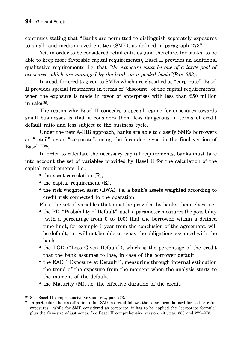continues stating that "Banks are permitted to distinguish separately exposures to small- and medium-sized entities (SME), as defined in paragraph 273".

Yet, in order to be considered retail entities (and therefore, for banks, to be able to keep more favorable capital requirements), Basel II provides an additional qualitative requirements, i.e. that *"the exposure must be one of a large pool of exposures which are managed by the bank on a pooled basis"(Par. 232)*.

Instead, for credits given to SMEs which are classified as "corporate", Basel II provides special treatments in terms of "discount" of the capital requirements, when the exposure is made in favor of enterprises with less than  $\epsilon$ 50 million in sales25.

The reason why Basel II concedes a special regime for exposures towards small businesses is that it considers them less dangerous in terms of credit default ratio and less subject to the business cycle.

Under the new A-IRB approach, banks are able to classify SMEs borrowers as "retail" or as "corporate", using the formulas given in the final version of Basel II26.

In order to calculate the necessary capital requirements, banks must take into account the set of variables provided by Basel II for the calculation of the capital requirements, i.e.:

- the asset correlation  $(R)$ ,
- the capital requirement  $(K)$ ,
- the risk weighted asset (RWA), i.e. a bank's assets weighted according to credit risk connected to the operation.

Plus, the set of variables that must be provided by banks themselves, i.e.:

- the PD, "Probability of Default": such a parameter measures the possibility (with a percentage from 0 to 100) that the borrower, within a defined time limit, for example 1 year from the conclusion of the agreement, will be default, i.e. will not be able to repay the obligations assumed with the bank,
- the LGD ("Loss Given Default"), which is the percentage of the credit that the bank assumes to lose, in case of the borrower default,
- the EAD ("Exposure at Default"), measuring through internal estimation the trend of the exposure from the moment when the analysis starts to the moment of the default,
- the Maturity (M), i.e. the effective duration of the credit.

<sup>25</sup> See Basel II comprehensive version, cit., par. 273.

<sup>26</sup> In particular, the classification o fan SME as retail follows the same formula used for "other retail exposures", while for SME considered as corporate, it has to be applied the "corporate formula" plus the firm-size adjustments. See Basel II comprehensive version, cit., par. 330 and 272–273.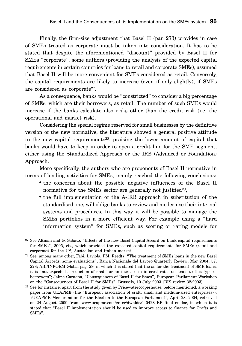Finally, the firm-size adjustment that Basel II (par. 273) provides in case of SMEs treated as corporate must be taken into consideration. It has to be stated that despite the aforementioned "discount" provided by Basel II for SMEs "corporate", some authors (providing the analysis of the expected capital requirements in certain countries for loans to retail and corporate SMEs), assumed that Basel II will be more convenient for SMEs considered as retail. Conversely, the capital requirements are likely to increase (even if only slightly), if SMEs are considered as corporate27.

As a consequence, banks would be "constricted" to consider a big percentage of SMEs, which are their borrowers, as retail. The number of such SMEs would increase if the banks calculate also risks other than the credit risk (i.e. the operational and market risk).

Considering the special regime reserved for small businesses by the definitive version of the new normative, the literature showed a general positive attitude to the new capital requirements28, praising the lower amount of capital that banks would have to keep in order to open a credit line for the SME segment, either using the Standardized Approach or the IRB (Advanced or Foundation) Approach.

More specifically, the authors who are proponents of Basel II normative in terms of lending activities for SMEs, mainly reached the following conclusions:

- the concerns about the possible negative influences of the Basel II normative for the SMEs sector are generally not justified<sup>29</sup>.
- the full implementation of the A-IRB approach in substitution of the standardised one, will oblige banks to review and modernise their internal systems and procedures. In this way it will be possible to manage the SMEs portfolios in a more efficient way, For example using a "hard information system" for SMEs, such as scoring or rating models for

<sup>27</sup> See Altman and G. Sabato, "Effects of the new Basel Capital Accord on Bank capital requirements for SMEs", 2005, cit., which provided the expected capital requirements for SMEs (retail and corporate) for the US, Australian and Italian market.

<sup>28</sup> See, among many other, Fabi, Laviola, P.M. Reedtz, "The treatment of SMEs loans in the new Basel Capital Accords: some evaluations", Banca Nazionale del Lavoro Quarterly Review; Mar 2004; 57, 228; ABI/INFORM Global pag. 29, in which it is stated that the as for the treatment of SME loans, it is "not expected a reduction of credit or an increase in interest rates on loans to this type of borrowers"; Jaime Caruana, "Consequences of Basel II for Smes", European Parliament Workshop on the "Consequences of Basel II for SMEs", Brussels, 10 July 2003 (BIS review 32/2003).

<sup>29</sup> See for instance, apart from the study given by Pricewatercooperhouse, before mentioned, a working paper from UEAPME (the "European association of craft, small and medium-sized enterprises»), «UEAPME Memorandum for the Election to the European Parliament", April 28, 2004, retrieved on 24 August 2009 from: www.ueapme.com/enter/dwnlds/040428\_EP\_final\_en.doc, in which it is stated that "Basel II implementation should be used to improve access to finance for Crafts and SMEs".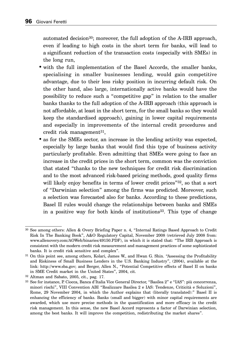automated decision30; moreover, the full adoption of the A-IRB approach, even if leading to high costs in the short term for banks, will lead to a significant reduction of the transaction costs (especially with SMEs) in the long run,

- with the full implementation of the Basel Accords, the smaller banks, specialising in smaller businesses lending, would gain competitive advantage, due to their less risky position in incurring default risk. On the other hand, also large, internationally active banks would have the possibility to reduce such a "competitive gap" in relation to the smaller banks thanks to the full adoption of the A-IRB approach (this approach is not affordable, at least in the short term, for the small banks so they would keep the standardised approach), gaining in lower capital requirements and especially in improvements of the internal credit procedures and credit risk management $31$ ,
- as for the SMEs sector, an increase in the lending activity was expected, especially by large banks that would find this type of business activity particularly profitable. Even admitting that SMEs were going to face an increase in the credit prices in the short term, common was the conviction that stated "thanks to the new techniques for credit risk discrimination and to the most advanced risk-based pricing methods, good quality firms will likely enjoy benefits in terms of lower credit prices"<sup>32</sup>, so that a sort of "Darwinian selection" among the firms was predicted. Moreover, such a selection was forecasted also for banks. According to these predictions, Basel II rules would change the relationships between banks and SMEs in a positive way for both kinds of institutions<sup>33</sup>. This type of change

<sup>30</sup> See among others: Allen & Overy Briefing Paper n. 4, "Internal Ratings Based Approach to Credit Risk In The Banking Book", A&O Regulatory Capital, November 2008 (retrieved July 2008 from: www.allenovery.com/AOWeb/binaries/49150.PDF), in which it is stated that: "The IRB Approach is consistent with the modern credit risk measurement and management practices of some sophisticated banks. It is credit risk sensitive and complex".

<sup>31</sup> On this point see, among others, Kolari, James W., and Hwan G. Shin. "Assessing the Profitability and Riskiness of Small Business Lenders in the U.S. Banking Industry", (2004), available at the link: http://www.sba.gov; and Berger, Allen N., "Potential Competitive effects of Basel II on banks in SME Credit market in the United States", 2004, cit.

<sup>32</sup> Altman and Sabato, 2005, cit., pag. 17.

<sup>33</sup> See for instance, P. Ciocca, Banca d'Italia Vice General Director, "Basilea 2" e "IAS": più concorrenza, minori rischi", VIII Convention ABI "Realizzare Basilea 2 e IAS: Tendenze, Criticità e Soluzioni", Rome, 29 November 2004, in which the Author explains that (literally translated):" Basel II is enhancing the efficiency of banks. Banks (small and bigger) with minor capital requirements are awarded, which use more precise methods in the quantification and more efficacy in the credit risk management. In this sense, the new Basel Accord represents a factor of Darwinian selection, among the best banks. It will improve the competition, redistributing the market shares".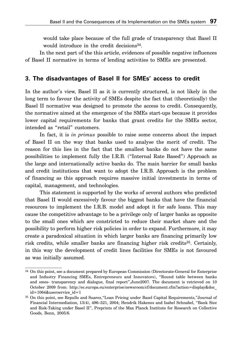would take place because of the full grade of transparency that Basel II would introduce in the credit decisions<sup>34</sup>.

In the next part of the this article, evidences of possible negative influences of Basel II normative in terms of lending activities to SMEs are presented.

#### **3. The disadvantages of Basel II for SMEs' access to credit**

In the author's view, Basel II as it is currently structured, is not likely in the long term to favour the activity of SMEs despite the fact that (theoretically) the Basel II normative was designed to promote the access to credit. Consequently, the normative aimed at the emergence of the SMEs start-ups because it provides lower capital requirements for banks that grant credits for the SMEs sector, intended as "retail" customers.

In fact, it is *in primus* possible to raise some concerns about the impact of Basel II on the way that banks used to analyse the merit of credit. The reason for this lies in the fact that the smallest banks do not have the same possibilities to implement fully the I.R.B. ("Internal Rate Based") Approach as the large and internationally active banks do. The main barrier for small banks and credit institutions that want to adopt the I.R.B. Approach is the problem of financing as this approach requires massive initial investments in terms of capital, management, and technologies.

This statement is supported by the works of several authors who predicted that Basel II would excessively favour the biggest banks that have the financial resources to implement the I.R.B. model and adopt it for safe loans. This may cause the competitive advantage to be a privilege only of larger banks as opposite to the small ones which are constricted to reduce their market share and the possibility to perform higher risk policies in order to expand. Furthermore, it may create a paradoxical situation in which larger banks are financing primarily low risk credits, while smaller banks are financing higher risk credits35. Certainly, in this way the development of credit lines facilities for SMEs is not favoured as was initially assumed.

<sup>34</sup> On this point, see a document prepared by European Commission (Directorate-General for Enterprise and Industry Financing SMEs, Entrepreneurs and Innovators), "Round table between banks and smes- transparency and dialogue, final report",June2007. The document is retrieved on 10 October 2009 from: http://ec.europa.eu/enterprise/newsroom/cf/document.cfm?action=display&doc\_ id=1064&userservice\_id=1

<sup>35</sup> On this point, see Repullo and Suarez,"Loan Pricing under Basel Capital Requirements,"Journal of Financial Intermediation, 13(4), 496–521, 2004; Hendrik Hakenes and Isabel Schnabel, "Bank Size and Risk-Taking under Basel II", Preprints of the Max Planck Institute for Research on Collective Goods, Bonn, 2005/6.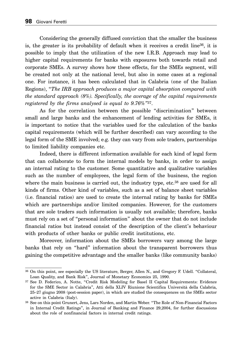Considering the generally diffused conviction that the smaller the business is, the greater is its probability of default when it receives a credit line36, it is possible to imply that the utilization of the new I.R.B. Approach may lead to higher capital requirements for banks with exposures both towards retail and corporate SMEs. A survey shows how these effects, for the SMEs segment, will be created not only at the national level, but also in some cases at a regional one. For instance, it has been calculated that in Calabria (one of the Italian Regions), "*The IRB approach produces a major capital absorption compared with the standard approach (8%). Specifically, the average of the capital requirements registered by the firms analysed is equal to 9.76%"*37.

As for the correlation between the possible "discrimination" between small and large banks and the enhancement of lending activities for SMEs, it is important to notice that the variables used for the calculation of the banks capital requirements (which will be further described) can vary according to the legal form of the SME involved; e.g. they can vary from sole traders, partnerships to limited liability companies etc.

Indeed, there is different information available for each kind of legal form that can collaborate to form the internal models by banks, in order to assign an internal rating to the customer. Some quantitative and qualitative variables such as the number of employees, the legal form of the business, the region where the main business is carried out, the industry type, etc.<sup>38</sup> are used for all kinds of firms. Other kind of variables, such as a set of balance sheet variables (i.e. financial ratios) are used to create the internal rating by banks for SMEs which are partnerships and/or limited companies. However, for the customers that are sole traders such information is usually not available; therefore, banks must rely on a set of "personal information" about the owner that do not include financial ratios but instead consist of the description of the client's behaviour with products of other banks or public credit institutions, etc.

Moreover, information about the SMEs borrowers vary among the large banks that rely on "hard" information about the transparent borrowers thus gaining the competitive advantage and the smaller banks (like community banks)

<sup>36</sup> On this point, see especially the US literature, Berger, Allen N., and Gregory F. Udell. "Collateral, Loan Quality, and Bank Risk", Journal of Monetary Economics 25, 1990.

<sup>37</sup> See D. Federico, A. Notte, "Credit Risk Modeling for Basel II Capital Requirements: Evidence for the SME Sector in Calabria", Atti della XLIV Riunione Scientifica Università della Calabria, 25–27 giugno 2008 (post-session paper), in which are studied the consequences on the SMEs sector active in Calabria (Italy).

<sup>38</sup> See on this point Grunert, Jens, Lars Norden, and Martin Weber. "The Role of Non-Financial Factors in Internal Credit Ratings", in Journal of Banking and Finance 29,2004, for further discussions about the role of nonfinancial factors in internal credit ratings.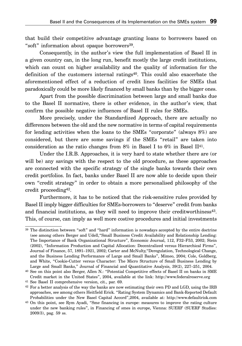that build their competitive advantage granting loans to borrowers based on "soft" information about opaque borrowers<sup>39</sup>.

Consequently, in the author's view the full implementation of Basel II in a given country can, in the long run, benefit mostly the large credit institutions, which can count on higher availability and the quality of information for the definition of the customers internal ratings $40$ . This could also exacerbate the aforementioned effect of a reduction of credit lines facilities for SMEs that paradoxically could be more likely financed by small banks than by the bigger ones.

Apart from the possible discrimination between large and small banks due to the Basel II normative, there is other evidence, in the author's view, that confirm the possible negative influences of Basel II rules for SMEs.

More precisely, under the Standardized Approach, there are actually no differences between the old and the new normative in terms of capital requirements for lending activities when the loans to the SMEs "corporate" (always 8%) are considered, but there are some savings if the SMEs "retail" are taken into consideration as the ratio changes from 8% in Basel I to 6% in Basel  $II^{41}$ .

Under the I.R.B. Approaches, it is very hard to state whether there are (or will be) any savings with the respect to the old procedure, as these approaches are connected with the specific strategy of the single banks towards their own credit portfolios. In fact, banks under Basel II are now able to decide upon their own "credit strategy" in order to obtain a more personalised philosophy of the credit proceeding42.

Furthermore, it has to be noticed that the risk-sensitive rules provided by Basel II imply bigger difficulties for SMEs-borrowers to "deserve" credit from banks and financial institutions, as they will need to improve their creditworthiness<sup>43</sup>. This, of course, can imply as well more costive procedures and initial investments

<sup>&</sup>lt;sup>39</sup> The distinction between "soft" and "hard" information is nowadays accepted by the entire doctrine (see among others Berger and Udell,"Small Business Credit Availability and Relationship Lending: The Importance of Bank Organizational Structure", Economic Journal, 112, F32–F53, 2002; Stein (2002), "Information Production and Capital Allocation: Decentralized versus Hierarchical Firms", Journal of Finance, 57, 1891–1921, 2002; Carter and McNulty,"Deregulation, Technological Change, and the Business Lending Performance of Large and Small Banks", Mimeo, 2004; Cole, Goldberg, and White, "Cookie-Cutter versus Character: The Micro Structure of Small Business Lending by Large and Small Banks," Journal of Financial and Quantitative Analysis, 39(2), 227–251, 2004.

<sup>40</sup> See on this point also Berger, Allen N.: "Potential Competitive effects of Basel II on banks in SME Credit market in the United States", 2004, available at the link: http://www.federalreserve.org

<sup>41</sup> See Basel II comprehensive version, cit., par. 69.

<sup>42</sup> For a better analysis of the way the banks are now estimating their own PD and LGD, using the IRB approaches, see among others Heitfield Erick. "Rating System Dynamics and Bank-Reported Default Probabilities under the New Basel Capital Accord",2004, available at: http://www.defaultrisk.com

<sup>43</sup> On this point, see Rym Ayadi, "Sme financing in europe: measures to improve the rating culture under the new banking rules", in Financing of smes in europe, Vienna: SUERF (SUERF Studies: 2009/3), pag. 59 ss.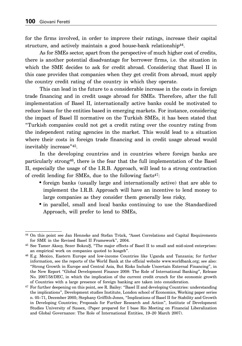for the firms involved, in order to improve their ratings, increase their capital structure, and actively maintain a good house-bank relationship<sup>44</sup>.

As for SMEs sector, apart from the perspective of much higher cost of credits, there is another potential disadvantage for borrower firms, i.e. the situation in which the SME decides to ask for credit abroad. Considering that Basel II in this case provides that companies when they get credit from abroad, must apply the country credit rating of the country in which they operate.

This can lead in the future to a considerable increase in the costs in foreign trade financing and in credit usage abroad for SMEs. Therefore, after the full implementation of Basel II, internationally active banks could be motivated to reduce loans for the entities based in emerging markets. For instance, considering the impact of Basel II normative on the Turkish SMEs, it has been stated that "Turkish companies could not get a credit rating over the country rating from the independent rating agencies in the market. This would lead to a situation where their costs in foreign trade financing and in credit usage abroad would inevitably increase"45.

In the developing countries and in countries where foreign banks are particularly strong46, there is the fear that the full implementation of the Basel II, especially the usage of the I.R.B. Approach, will lead to a strong contraction of credit lending for SMEs, due to the following facts47:

- foreign banks (usually large and internationally active) that are able to implement the I.R.B. Approach will have an incentive to lend money to large companies as they consider them generally less risky,
- in parallel, small and local banks continuing to use the Standardized Approach, will prefer to lend to SMEs,

<sup>44</sup> On this point see Jan Henneke and Stefan Trück, "Asset Correlations and Capital Requirements for SME in the Revised Basel II Framework", 2004.

<sup>45</sup> See Tamer Aksoy, Sezer BokzuŞ, "The major effects of Basel II to small and mid-sized enterprises: an empirical work on companies quoted to kosgeb".

<sup>46</sup> E.g. Mexico, Eastern Europe and low-income Countries like Uganda and Tanzania; for further information, see the reports of the World Bank at the official website www.worldbank.org; see also: "Strong Growth in Europe and Central Asia, But Risks Include Uncertain External Financing", in the New Report "Global Development Finance 2008: The Role of International Banking", Release No. 2007/58/DEC, in which the implication of the current credit crunch for the economic growth of Countries with a large presence of foreign banking are taken into consideration.

<sup>47</sup> For further deepening on this point, see R. Bailey: "Basel II and developing Countries: understanding the implications", Development studies Institute, London school of Economics, Working paper series n. 05–71, December 2005; Stephany Griffith-Jones, "Implications of Basel II for Stability and Growth in Developing Countries; Proposals for Further Research and Action", Institute of Development Studies University of Sussex, (Paper prepared for I base Rio Meeting on Financial Liberalization and Global Governance: The Role of International Entities, 19–20 March 2007).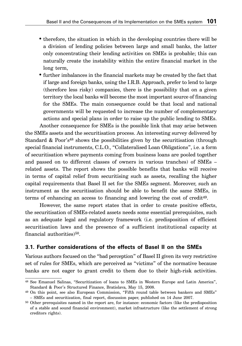- therefore, the situation in which in the developing countries there will be a division of lending policies between large and small banks, the latter only concentrating their lending activities on SMEs is probable; this can naturally create the instability within the entire financial market in the long term,
- further imbalances in the financial markets may be created by the fact that if large and foreign banks, using the I.R.B. Approach, prefer to lend to large (therefore less risky) companies, there is the possibility that on a given territory the local banks will become the most important source of financing for the SMEs. The main consequence could be that local and national governments will be requested to increase the number of complementary actions and special plans in order to raise up the public lending to SMEs.

Another consequence for SMEs is the possible link that may arise between the SMEs assets and the securitisation process. An interesting survey delivered by Standard & Poor's<sup>48</sup> shows the possibilities given by the securitisation (through special financial instruments, C.L.O., "Collateralised Loan Obligations", i.e. a form of securitisation where payments coming from business loans are pooled together and passed on to different classes of owners in various tranches) of SMEs – related assets. The report shows the possible benefits that banks will receive in terms of capital relief from securitising such as assets, recalling the higher capital requirements that Basel II set for the SMEs segment. Moreover, such an instrument as the securitisation should be able to benefit the same SMEs, in terms of enhancing an access to financing and lowering the cost of credit49.

However, the same report states that in order to create positive effects, the securitisation of SMEs-related assets needs some essential prerequisites, such as an adequate legal and regulatory framework (i.e. predisposition of efficient securitisation laws and the presence of a sufficient institutional capacity at financial authorities)50.

#### **3.1. Further considerations of the effects of Basel II on the SMEs**

Various authors focused on the "bad perception" of Basel II given its very restrictive set of rules for SMEs, which are perceived as "victims" of the normative because banks are not eager to grant credit to them due to their high-risk activities.

<sup>48</sup> See Emanuel Salinas, "Securitization of loans to SMEs in Western Europe and Latin America", Standard & Poor's Structured Finance, Bratislava, May 15, 2008.

<sup>49</sup> On this point, see also European Commission, "Fifth round table between bankers and SMEs" – SMEs and securitization, final report, discussion paper, published on 14 June 2007.

<sup>50</sup> Other prerequisites named in the report are, for instance: economic factors (like the predisposition of a stable and sound financial environment), market infrastructure (like the settlement of strong creditors rights).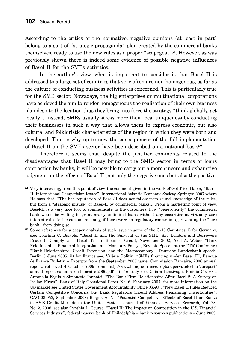According to the critics of the normative, negative opinions (at least in part) belong to a sort of "strategic propaganda" plan created by the commercial banks themselves, ready to use the new rules as a proper "scapegoat"51. However, as was previously shown there is indeed some evidence of possible negative influences of Basel II for the SMEs activities.

In the author's view, what is important to consider is that Basel II is addressed to a large set of countries that very often are non-homogenous, as far as the culture of conducting business activities is concerned. This is particularly true for the SME sector. Nowadays, the big enterprises or multinational corporations have achieved the aim to render homogeneous the realisation of their own business plan despite the location thus they bring into force the strategy "think globally, act locally". Instead, SMEs usually stress more their local uniqueness by conducting their businesses in such a way that allows them to express economic, but also cultural and folkloristic characteristics of the region in which they were born and developed. That is why up to now the consequences of the full implementation of Basel II on the SMEs sector have been described on a national basis<sup>52</sup>.

Therefore it seems that, despite the justified comments related to the disadvantages that Basel II may bring to the SMEs sector in terms of loans contraction by banks, it will be possible to carry out a more sincere and exhaustive judgment on the effects of Basel II (not only the negative ones but also the positive,

<sup>51</sup> Very interesting, from this point of view, the comment given in the work of Gottfried Haber, "Basel-II: International Competition Issues", International Atlantic Economic Society, Springer, 2007 where He says that: "The bad reputation of Basel-II does not follow from sound knowledge of the rules, but from a "strategic misuse" of Basel-II by commercial banks… From a marketing point of view, Basel-II is a very nice tool to communicate to the customers, how "benevolently" the commercial bank would be willing to grant nearly unlimited loans without any securities at virtually zero interest rates to the customers – only, if there were no regulatory constraints, preventing the "nice bank" from doing so".

 $52$  Some references for a deeper analysis of such issue in some of the G-10 Countries: i) for Germany, see: Joachim C. Bartels, "Basel II and the Survival of the SME. Are Lenders and Borrowers Ready to Comply with Basel II?", in Business Credit, November 2002; Axel A. Weber, "Bank Relationships, Financial Integration, and Monetary Policy", Keynote Speech at the DIW-Conference "Bank Relationships, Credit Extension, and the Macroeconomy", Deutsche Bundesbank speech, Berlin 3 June 2005; ii) for France see: Valèrie Golitin, "SMEs financing under Basel II", Banque de France Bulletin – Excerpts from the September 2007 issue; Commission Bancaire, 2006 annual report, retrieved 4 October 2009 from: http://www.banque-france.fr/gb/supervi/telechar/cbreport/ annual-report-commission-bancaire-2006.pdf; iii) for Italy see: Chiara Bentivogli, Emidio Cocozza, Antonella Foglia e Simonetta Iannotti, "The Bank-Firm Relationships After Basel 2: A Survey on Italian Firms", Bank of Italy Occasional Paper No. 6, February 2007; for more information on the US market see United States Government Accountability Office (GAO): "New Basel II Rules Reduced Certain Competitive Concerns, but Bank Regulators Should Address Remaining Uncertainties", GAO-08-953, September 2008; Berger, A. N., "Potential Competitive Effects of Basel II on Banks in SME Credit Markets in the United States", Journal of Financial Services Research, Vol. 28, No. 2, 2006; see also Cynthia L. Course, "Basel II: The Impact on Competition in the U.S. Financial Services Industry", federal reserve bank of Philadelphia – bank resources publications – June 2009.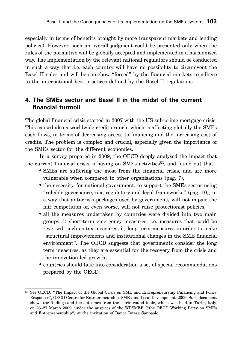especially in terms of benefits brought by more transparent markets and lending policies). However, such an overall judgment could be presented only when the rules of the normative will be globally accepted and implemented in a harmonised way. The implementation by the relevant national regulators should be conducted in such a way that i.e. each country will have no possibility to circumvent the Basel II rules and will be somehow "forced" by the financial markets to adhere to the international best practices defined by the Basel-II regulations.

## **4. The SMEs sector and Basel II in the midst of the current financial turmoil**

The global financial crisis started in 2007 with the US sub-prime mortgage crisis. This caused also a worldwide credit crunch, which is affecting globally the SMEs cash flows, in terms of decreasing access to financing and the increasing cost of credits. The problem is complex and crucial, especially given the importance of the SMEs sector for the different economies.

In a survey prepared in 2009, the OECD deeply analysed the impact that the current financial crisis is having on SMEs activities<sup>53</sup>, and found out that:

- SMEs are suffering the most from the financial crisis, and are more vulnerable when compared to other organisations (pag. 7),
- the necessity, for national government, to support the SMEs sector using "reliable governance, tax, regulatory and legal frameworks" (pag. 10), in a way that anti-crisis packages used by governments will not impair the fair competition or, even worse, will not raise protectionist policies,
- all the measures undertaken by countries were divided into two main groups: i) short-term emergency measures, i.e. measures that could be reversed, such as tax measures; ii) long-term measures in order to make "structural improvements and institutional changes in the SME financial environment". The OECD suggests that governments consider the long term measures, as they are essential for the recovery from the crisis and the innovation-led growth,
- countries should take into consideration a set of special recommendations prepared by the OECD.

<sup>53</sup> See OECD: "The Impact of the Global Crisis on SME and Entrepreneurship Financing and Policy Responses", OECD Centre for Entrepreneurship, SMEs and Local Development, 2009. Such document shows the findings and the outcomes from the Turin round table, which was held in Turin, Italy, on 26–27 March 2009, under the auspices of the WPSMEE ("the OECD Working Party on SMEs and Entrepreneurship") at the invitation of Banca Intesa Sanpaolo.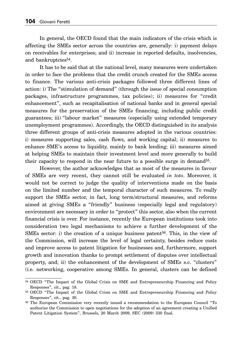In general, the OECD found that the main indicators of the crisis which is affecting the SMEs sector across the countries are, generally: i) payment delays on receivables for enterprises; and ii) increase in reported defaults, insolvencies, and bankruptcies<sup>54</sup>.

It has to be said that at the national level, many measures were undertaken in order to face the problems that the credit crunch created for the SMEs access to finance. The various anti-crisis packages followed three different lines of action: i) The "stimulation of demand" (through the issue of special consumption packages, infrastructure programmes, tax policies); ii) measures for "credit enhancement", such as recapitalisation of national banks and in general special measures for the preservation of the SMEs financing, including public credit guarantees; iii) "labour market" measures (especially using extended temporary unemployment programmes). Accordingly, the OECD distinguished in its analysis three different groups of anti-crisis measures adopted in the various countries: i) measures supporting sales, cash flows, and working capital; ii) measures to enhance SME's access to liquidity, mainly to bank lending; iii) measures aimed at helping SMEs to maintain their investment level and more generally to build their capacity to respond in the near future to a possible surge in demand<sup>55</sup>.

However, the author acknowledges that as most of the measures in favour of SMEs are very recent, they cannot still be evaluated *in toto*. Moreover, it would not be correct to judge the quality of interventions made on the basis on the limited number and the temporal character of such measures. To really support the SMEs sector, in fact, long term/structural measures, and reforms aimed at giving SMEs a "friendly" business (especially legal and regulatory) environment are necessary in order to "protect" this sector, also when the current financial crisis is over. For instance, recently the European institutions took into consideration two legal mechanisms to achieve a further development of the SMEs sector: i) the creation of a unique business patent<sup>56</sup>. This, in the view of the Commission, will increase the level of legal certainty, besides reduce costs and improve access to patent litigation for businesses and, furthermore, support growth and innovation thanks to prompt settlement of disputes over intellectual property, and; ii) the enhancement of the development of SMEs s.c. "clusters" (i.e. networking, cooperative among SMEs. In general, clusters can be defined

<sup>54</sup> OECD "The Impact of the Global Crisis on SME and Entrepreneurship Financing and Policy Responses", cit., pag. 18.

<sup>55</sup> OECD "The Impact of the Global Crisis on SME and Entrepreneurship Financing and Policy Responses", cit., pag. 30.

<sup>56</sup> The European Commission very recently issued a recommendation to the European Council "To authorize the Commission to open negotiations for the adoption of an agreement creating a Unified Patent Litigation System", Brussels, 20 March 2009, SEC (2009) 330 final.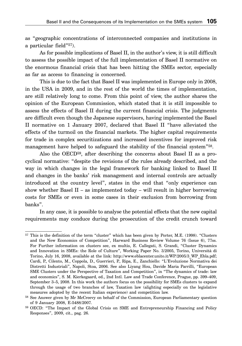as "geographic concentrations of interconnected companies and institutions in a particular field"57).

As for possible implications of Basel II, in the author's view, it is still difficult to assess the possible impact of the full implementation of Basel II normative on the enormous financial crisis that has been hitting the SMEs sector, especially as far as access to financing is concerned.

This is due to the fact that Basel II was implemented in Europe only in 2008, in the USA in 2009, and in the rest of the world the times of implementation, are still relatively long to come. From this point of view, the author shares the opinion of the European Commission, which stated that it is still impossible to assess the effects of Basel II during the current financial crisis. The judgments are difficult even though the Japanese supervisors, having implemented the Basel II normative on 1 January 2007, declared that Basel II "have alleviated the effects of the turmoil on the financial markets. The higher capital requirements for trade in complex securitizations and increased incentives for improved risk management have helped to safeguard the stability of the financial system"58.

Also the OECD<sup>59</sup>, after describing the concerns about Basel II as a procyclical normative: "despite the revisions of the rules already described, and the way in which changes in the legal framework for banking linked to Basel II and changes in the banks' risk management and internal controls are actually introduced at the country level", states in the end that "only experience can show whether Basel II – as implemented today – will result in higher borrowing costs for SMEs or even in some cases in their exclusion from borrowing from banks".

In any case, it is possible to analyse the potential effects that the new capital requirements may conduce during the prosecution of the credit crunch toward

<sup>57</sup> This is the definition of the term "cluster" which has been given by Porter, M.E. (1998). "Clusters and the New Economics of Competition", Harward Business Review Volume 76 (Issue 6), 77ss. For Further information on clusters see, ex multis, E. Callegati, S. Grandi, "Cluster Dynamics and Innovation in SMEs: the Role of Culture", Working Paper No. 3/2005, Torino, Università di Torino, July 16, 2008, available at the link: http://www.eblacenter.unito.it/WP/2005/3\_WP\_Ebla.pdf; Cardi, P., Cilento, M., Coppola, D., Guerrieri, P., Ripa, E., Zanchiello: "L'Evoluzione Normativa dei Distretti Industriali", Napoli, Stoa, 2006. See also Liyang Hou, Davide Maria Parrilli, "European SME Clusters under the Perspective of Taxation and Competition", in "The dynamics of trade: law and economics", S. M. Kierkegaard, ed., 2nd Intl. Law and Trade Conference, Prague, pp. 399–409, September 3–5, 2008. In this work the authors focus on the possibility for SMEs clusters to expand through the usage of two branches of law, Taxation law (alighting especially on the legislative measures adopted by the recent Italian experience) and competition law.

<sup>58</sup> See Answer given by Mr McCreevy on behalf of the Commission, European Parliamentary question of 9 January 2008, E-5488/2007.

<sup>59</sup> OECD: "The Impact of the Global Crisis on SME and Entrepreneurship Financing and Policy Responses", 2009, cit., pag. 26.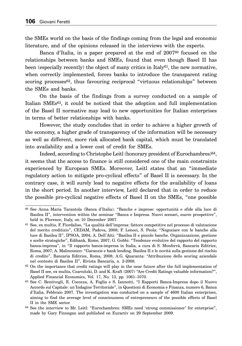the SMEs world on the basis of the findings coming from the legal and economic literature, and of the opinions released in the interviews with the experts.

Banca d'Italia, in a paper prepared at the end of 200760 focused on the relationships between banks and SMEs, found that even though Basel II has been (especially recently) the object of many critics in Italy<sup>61</sup>, the new normative, when correctly implemented, forces banks to introduce the transparent rating scoring processes62, thus favouring reciprocal "virtuous relationships" between the SMEs and banks.

On the basis of the findings from a survey conducted on a sample of Italian SMEs63, it could be noticed that the adoption and full implementation of the Basel II normative may lead to new opportunities for Italian enterprises in terms of better relationships with banks.

However, the study concludes that in order to achieve a higher growth of the economy, a higher grade of transparency of the information will be necessary as well as different, more risk allocated bank capital, which must be translated into availability and a lower cost of credit for SMEs.

Indeed, according to Christophe Leitl (honorary president of Eurochambres)64, it seems that the access to finance is still considered one of the main constraints experienced by European SMEs. Moreover, Leitl states that an "immediate regulatory action to mitigate pro-cyclical effects" of Basel II is necessary. In the contrary case, it will surely lead to negative effects for the availability of loans in the short period. In another interview, Leitl declared that in order to reduce the possible pro-cyclical negative effects of Basel II on the SMEs, "one possible

<sup>60</sup> See Anna Maria Tarantola (Banca d'Italia): "Banche e imprese: opportunità e sfide alla luce di Basilea II", intervention within the seminar "Banca e Impresa. Nuovi scenari, nuove prospettive", held in Florence, Italy, on 10 December 2007.

<sup>61</sup> See, ex multis, F. Fiordaliso, "La qualità dell'impresa: fattore competitive nel processo di valutazione del merito creditizio", CEDAM, Padova, 2008; F. Lenoci, S. Peola: "Negoziare con le banche alla luce di Basilea II", IPSOA, 2004; A. Dell'Atti: "Basilea II e piccole banche. Organizzazione, gestione e scelte strategiche", Edibank, Rome, 2007; G. Gobbi: "Tendenze evolutive del rapporto del rapporto banca-impresa", in "Il rapporto banca-impresa in Italia, a cura di S. Monferrà, Bancaria Editrice, Roma, 2007; A. Malinconico: "Garanzie e bank lending. Basilea II e le novità sulla gestione del rischio di credito", Bancaria Editrice, Roma, 2008; A.G. Quaranta: "Attribuzione dello scoring aziendale nel contesto di Basilea II", Rivista Bancaria, n. 2-2008.

<sup>62</sup> On the importance that credit ratings will play in the near future after the full implementation of Basel II see, ex multis, Czarnitzki, D. and K. Kraft (2007) "Are Credit Ratings valuable information?", Applied Financial Economics, Vol. 17, No. 13, pp. 1061–1070.

<sup>63</sup> See C. Bentivogli, E. Cocozza, A. Foglia e S. Iannotti, "I Rapporti Banca-Impresa dopo il Nuovo Accordo sul Capitale: un'Indagine Territoriale", in Questioni di Economia e Finanza, numero 6, Banca d'Italia, Febbraio 2007. The investigation was conducted on a sample of 4600 Italian enterprises, aiming to find the average level of consciousness of entrepreneurs of the possible effects of Basel II in the SME sector.

<sup>64</sup> See the interview to Mr. Leitl: "Eurochambres: SMEs need 'strong commissioner' for enterprise", made by Gary Finnegan and published on Euractiv on 29 September 2009.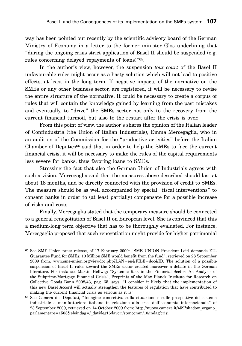way has been pointed out recently by the scientific advisory board of the German Ministry of Economy in a letter to the former minister Glos underlining that "during the ongoing crisis strict application of Basel II should be suspended (e.g. rules concerning delayed repayments of loans)"65.

In the author's view, however, the suspension *tout court* of the Basel II unfavourable rules might occur as a hasty solution which will not lead to positive effects, at least in the long term. If negative impacts of the normative on the SMEs or any other business sector, are registered, it will be necessary to revise the entire structure of the normative. It could be necessary to create a corpus of rules that will contain the knowledge gained by learning from the past mistakes and eventually, to "drive" the SMEs sector not only to the recovery from the current financial turmoil, but also to the restart after the crisis is over.

From this point of view, the author's shares the opinion of the Italian leader of Confindustria (the Union of Italian Industrials), Emma Mercegaglia, who in an audition of the Commission for the "productive activities" before the Italian Chamber of Deputies $66$  said that in order to help the SMEs to face the current financial crisis, it will be necessary to make the rules of the capital requirements less severe for banks, thus favoring loans to SMEs.

Stressing the fact that also the German Union of Industrials agrees with such a vision, Mercegaglia said that the measures above described should last at about 18 months, and be directly connected with the provision of credit to SMEs. The measure should be as well accompanied by special "fiscal interventions" to consent banks in order to (at least partially) compensate for a possible increase of risks and costs.

Finally, Mercegaglia stated that the temporary measure should be connected to a general renegotiation of Basel II on European level. She is convinced that this a medium-long term objective that has to be thoroughly evaluated. For instance, Mercegaglia proposed that such renegotiation might provide for higher patrimonial

<sup>65</sup> See SME Union press release, of 17 February 2009: "SME UNION President Leitl demands EU-Guarantee Fund for SMEs: 10 Million SME would benefit from the fund", retrieved on 28 September 2009 from: www.sme-union.org/viewdoc.php?LAN=en&FILE=doc&ID. The solution of a possible suspension of Basel II rules toward the SMEs sector created moreover a debate in the German literature. For instance, Martin Hellwig: "Systemic Risk in the Financial Sector: An Analysis of the Subprime-Mortgage Financial Crisis", Preprints of the Max Planck Institute for Research on Collective Goods Bonn 2008/43, pag. 65, says: "I consider it likely that the implementation of this new Basel Accord will actually strengthen the features of regulation that have contributed to making the current financial crisis as serious as it is".

<sup>66</sup> See Camera dei Deputati, "Indagine conoscitiva sulla situazione e sulle prospettive del sistema industriale e manifatturiero italiano in relazione alla crisi dell'economia internazionale" of 23 September 2009, retrieved on 14 October 2009 from: http://nuovo.camera.it/459?shadow\_organo\_ parlamentare=1503&eleindag=/\_dati/leg16/lavori/stencomm/10/indag/crisi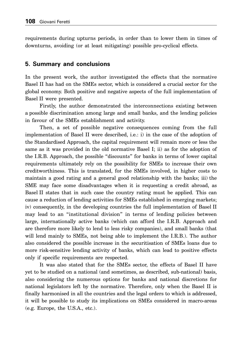requirements during upturns periods, in order than to lower them in times of downturns, avoiding (or at least mitigating) possible pro-cyclical effects.

#### **5. Summary and conclusions**

In the present work, the author investigated the effects that the normative Basel II has had on the SMEs sector, which is considered a crucial sector for the global economy. Both positive and negative aspects of the full implementation of Basel II were presented.

Firstly, the author demonstrated the interconnections existing between a possible discrimination among large and small banks, and the lending policies in favour of the SMEs establishment and activity.

Then, a set of possible negative consequences coming from the full implementation of Basel II were described, i.e.: i) in the case of the adoption of the Standardised Approach, the capital requirement will remain more or less the same as it was provided in the old normative Basel I; ii) as for the adoption of the I.R.B. Approach, the possible "discounts" for banks in terms of lower capital requirements ultimately rely on the possibility for SMEs to increase their own creditworthiness. This is translated, for the SMEs involved, in higher costs to maintain a good rating and a general good relationship with the banks; iii) the SME may face some disadvantages when it is requesting a credit abroad, as Basel II states that in such case the country rating must be applied. This can cause a reduction of lending activities for SMEs established in emerging markets; iv) consequently, in the developing countries the full implementation of Basel II may lead to an "institutional division" in terms of lending policies between large, internationally active banks (which can afford the I.R.B. Approach and are therefore more likely to lend to less risky companies), and small banks (that will lend mainly to SMEs, not being able to implement the I.R.B.). The author also considered the possible increase in the securitisation of SMEs loans due to more risk-sensitive lending activity of banks, which can lead to positive effects only if specific requirements are respected.

It was also stated that for the SMEs sector, the effects of Basel II have yet to be studied on a national (and sometimes, as described, sub-national) basis, also considering the numerous options for banks and national discretions for national legislators left by the normative. Therefore, only when the Basel II is finally harmonised in all the countries and the legal orders to which is addressed, it will be possible to study its implications on SMEs considered in macro-areas (e.g. Europe, the U.S.A., etc.).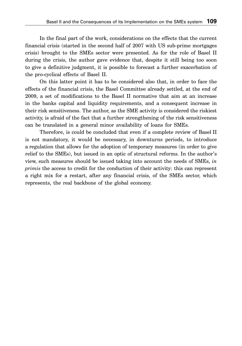In the final part of the work, considerations on the effects that the current financial crisis (started in the second half of 2007 with US sub-prime mortgages crisis) brought to the SMEs sector were presented. As for the role of Basel II during the crisis, the author gave evidence that, despite it still being too soon to give a definitive judgment, it is possible to forecast a further exacerbation of the pro-cyclical effects of Basel II.

On this latter point it has to be considered also that, in order to face the effects of the financial crisis, the Basel Committee already settled, at the end of 2009, a set of modifications to the Basel II normative that aim at an increase in the banks capital and liquidity requirements, and a consequent increase in their risk sensitiveness. The author, as the SME activity is considered the riskiest activity, is afraid of the fact that a further strengthening of the risk sensitiveness can be translated in a general minor availability of loans for SMEs.

Therefore, is could be concluded that even if a complete review of Basel II is not mandatory, it would be necessary, in downturns periods, to introduce a regulation that allows for the adoption of temporary measures (in order to give relief to the SMEs), but issued in an optic of structural reforms. In the author's view, such measures should be issued taking into account the needs of SMEs, *in primis* the access to credit for the conduction of their activity: this can represent a right mix for a restart, after any financial crisis, of the SMEs sector, which represents, the real backbone of the global economy.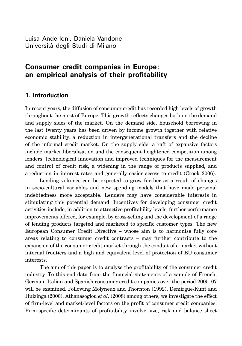Luisa Anderloni, Daniela Vandone Università degli Studi di Milano

# **Consumer credit companies in Europe: an empirical analysis of their profitability**

# **1. Introduction**

In recent years, the diffusion of consumer credit has recorded high levels of growth throughout the most of Europe. This growth reflects changes both on the demand and supply sides of the market. On the demand side, household borrowing in the last twenty years has been driven by income growth together with relative economic stability, a reduction in intergenerational transfers and the decline of the informal credit market. On the supply side, a raft of expansive factors include market liberalisation and the consequent heightened competition among lenders, technological innovation and improved techniques for the measurement and control of credit risk, a widening in the range of products supplied, and a reduction in interest rates and generally easier access to credit (Crook 2006).

Lending volumes can be expected to grow further as a result of changes in socio-cultural variables and new spending models that have made personal indebtedness more acceptable. Lenders may have considerable interests in stimulating this potential demand. Incentives for developing consumer credit activities include, in addition to attractive profitability levels, further performance improvements offered, for example, by cross-selling and the development of a range of lending products targeted and marketed to specific customer types. The new European Consumer Credit Directive – whose aim is to harmonise fully core areas relating to consumer credit contracts – may further contribute to the expansion of the consumer credit market through the conduit of a market without internal frontiers and a high and equivalent level of protection of EU consumer interests.

The aim of this paper is to analyse the profitability of the consumer credit industry. To this end data from the financial statements of a sample of French, German, Italian and Spanish consumer credit companies over the period 2005–07 will be examined. Following Molyneux and Thornton (1992), Demirgue-Kunt and Huizinga (2000), Athanasoglou *et al*. (2008) among others, we investigate the effect of firm-level and market-level factors on the profit of consumer credit companies. Firm-specific determinants of profitability involve size, risk and balance sheet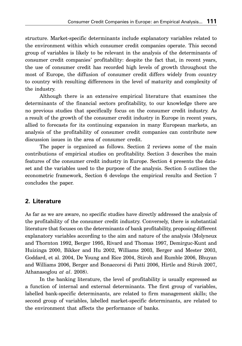structure. Market-specific determinants include explanatory variables related to the environment within which consumer credit companies operate. This second group of variables is likely to be relevant in the analysis of the determinants of consumer credit companies' profitability: despite the fact that, in recent years, the use of consumer credit has recorded high levels of growth throughout the most of Europe, the diffusion of consumer credit differs widely from country to country with resulting differences in the level of maturity and complexity of the industry.

Although there is an extensive empirical literature that examines the determinants of the financial sectors profitability, to our knowledge there are no previous studies that specifically focus on the consumer credit industry. As a result of the growth of the consumer credit industry in Europe in recent years, allied to forecasts for its continuing expansion in many European markets, an analysis of the profitability of consumer credit companies can contribute new discussion issues in the area of consumer credit.

The paper is organized as follows. Section 2 reviews some of the main contributions of empirical studies on profitability. Section 3 describes the main features of the consumer credit industry in Europe. Section 4 presents the dataset and the variables used to the purpose of the analysis. Section 5 outlines the econometric framework, Section 6 develops the empirical results and Section 7 concludes the paper.

# **2. Literature**

As far as we are aware, no specific studies have directly addressed the analysis of the profitability of the consumer credit industry. Conversely, there is substantial literature that focuses on the determinants of bank profitability, proposing different explanatory variables according to the aim and nature of the analysis (Molyneux and Thornton 1992, Berger 1995, Rivard and Thomas 1997, Demirguc-Kunt and Huizinga 2000, Bikker and Hu 2002, Williams 2003, Berger and Mester 2003, Goddard, et al. 2004, De Young and Rice 2004, Stiroh and Rumble 2006, Bhuyan and Williams 2006, Berger and Bonaccorsi di Patti 2006, Hirtle and Stiroh 2007, Athanasoglou *at al*. 2008).

In the banking literature, the level of profitability is usually expressed as a function of internal and external determinants. The first group of variables, labelled bank-specific determinants, are related to firm management skills; the second group of variables, labelled market-specific determinants, are related to the environment that affects the performance of banks.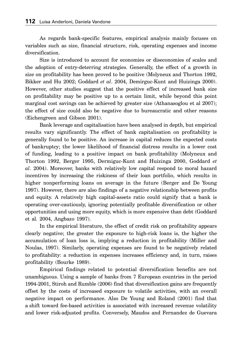As regards bank-specific features, empirical analysis mainly focuses on variables such as size, financial structure, risk, operating expenses and income diversification.

Size is introduced to account for economies or diseconomies of scales and the adoption of entry-deterring strategies. Generally, the effect of a growth in size on profitability has been proved to be positive (Molyneux and Thorton 1992, Bikker and Hu 2002; Goddard *et al*. 2004, Demirguc-Kunt and Huizinga 2000). However, other studies suggest that the positive effect of increased bank size on profitability may be positive up to a certain limit, while beyond this point marginal cost savings can be achieved by greater size (Athanasoglou et al 2007); the effect of size could also be negative due to bureaucratic and other reasons (Eichengreen and Gibson 2001).

Bank leverage and capitalisation have been analysed in depth, but empirical results vary significantly. The effect of bank capitalisation on profitability is generally found to be positive. An increase in capital reduces the expected costs of bankruptcy; the lower likelihood of financial distress results in a lower cost of funding, leading to a positive impact on bank profitability (Molyneux and Thorton 1992, Berger 1995, Dermiguc-Kunt and Huizinga 2000, Goddard *et al*. 2004). Moreover, banks with relatively low capital respond to moral hazard incentives by increasing the riskiness of their loan portfolio, which results in higher nonperforming loans on average in the future (Berger and De Young 1997). However, there are also findings of a negative relationship between profits and equity. A relatively high capital-assets ratio could signify that a bank is operating over-cautiously, ignoring potentially profitable diversification or other opportunities and using more equity, which is more expensive than debt (Goddard et al. 2004, Angbazo 1997).

In the empirical literature, the effect of credit risk on profitability appears clearly negative; the greater the exposure to high-risk loans is, the higher the accumulation of loan loss is, implying a reduction in profitability (Miller and Noulas, 1997). Similarly, operating expenses are found to be negatively related to profitability: a reduction in expenses increases efficiency and, in turn, raises profitability (Bourke 1989).

Empirical findings related to potential diversification benefits are not unambiguous. Using a sample of banks from 7 European countries in the period 1994-2001, Stiroh and Rumble (2006) find that diversification gains are frequently offset by the costs of increased exposure to volatile activities, with an overall negative impact on performance. Also De Young and Roland (2001) find that a shift toward fee-based activities is associated with increased revenue volatility and lower risk-adjusted profits. Conversely, Maudos and Fernandez de Guevara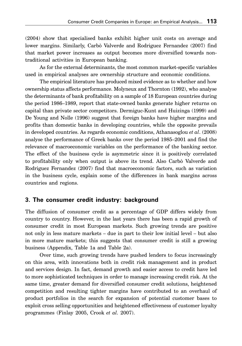(2004) show that specialised banks exhibit higher unit costs on average and lower margins. Similarly, Carbò Valverde and Rodriguez Fernandez (2007) find that market power increases as output becomes more diversified towards nontraditional activities in European banking.

As for the external determinants, the most common market-specific variables used in empirical analyses are ownership structure and economic conditions.

The empirical literature has produced mixed evidence as to whether and how ownership status affects performance. Molyneux and Thornton (1992), who analyse the determinants of bank profitability on a sample of 18 European countries during the period 1986–1989, report that state-owned banks generate higher returns on capital than private sector competitors. Dermiguc-Kunt and Huizinga (1999) and De Young and Nolle (1996) suggest that foreign banks have higher margins and profits than domestic banks in developing countries, while the opposite prevails in developed countries. As regards economic conditions, Athanasoglou *et al*. (2008) analyse the performance of Greek banks over the period 1985–2001 and find the relevance of macroeconomic variables on the performance of the banking sector. The effect of the business cycle is asymmetric since it is positively correlated to profitability only when output is above its trend. Also Carbò Valverde and Rodriguez Fernandez (2007) find that macroeconomic factors, such as variation in the business cycle, explain some of the differences in bank margins across countries and regions.

# **3. The consumer credit industry: background**

The diffusion of consumer credit as a percentage of GDP differs widely from country to country. However, in the last years there has been a rapid growth of consumer credit in most European markets. Such growing trends are positive not only in less mature markets – due in part to their low initial level – but also in more mature markets; this suggests that consumer credit is still a growing business (Appendix, Table 1a and Table 2a).

Over time, such growing trends have pushed lenders to focus increasingly on this area, with innovations both in credit risk management and in product and services design. In fact, demand growth and easier access to credit have led to more sophisticated techniques in order to manage increasing credit risk. At the same time, greater demand for diversified consumer credit solutions, heightened competition and resulting tighter margins have contributed to an overhaul of product portfolios in the search for expansion of potential customer bases to exploit cross selling opportunities and heightened effectiveness of customer loyalty programmes (Finlay 2005, Crook *et al.* 2007).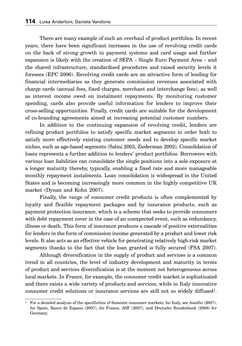There are many example of such an overhaul of product portfolios. In recent years, there have been significant increases in the use of revolving credit cards on the back of strong growth in payment systems and card usage and further expansion is likely with the creation of SEPA – Single Euro Payment Area – and the shared infrastructure, standardised procedures and raised security levels it foresees (EPC 2006). Revolving credit cards are an attractive form of lending for financial intermediaries as they generate commission revenues associated with charge cards (annual fees, fixed charges, merchant and interchange fees), as well as interest income owed on instalment repayments. By monitoring customer spending, cards also provide useful information for lenders to improve their cross-selling opportunities. Finally, credit cards are suitable for the development of co-branding agreements aimed at increasing potential customer numbers.

In addition to the continuing expansion of revolving credit, lenders are refining product portfolios to satisfy specific market segments in order both to satisfy more effectively existing customer needs and to develop specific market niches, such as age-based segments (Salmi 2003, Ziederman 2002). Consolidation of loans represents a further addition to lenders' product portfolios. Borrowers with various loan liabilities can consolidate the single positions into a sole exposure at a longer maturity thereby, typically, enabling a fixed rate and more manageable monthly repayment instalments. Loan consolidation is widespread in the United States and is becoming increasingly more common in the highly competitive UK market (Dynan and Kohn 2007).

Finally, the range of consumer credit products is often complemented by loyalty and flexible repayment packages and by insurance products, such as payment protection insurance, which is a scheme that seeks to provide consumers with debt repayment cover in the case of an unexpected event, such as redundancy, illness or death. This form of insurance produces a cascade of positive externalities for lenders in the form of commission income generated by a product and lower risk levels. It also acts as an effective vehicle for penetrating relatively high-risk market segments thanks to the fact that the loan granted is fully secured (FSA 2007).

Although diversification in the supply of product and services is a common trend in all countries, the level of industry development and maturity in terms of product and services diversification is at the moment not heterogeneous across local markets. In France, for example, the consumer credit market is sophisticated and there exists a wide variety of products and services, while in Italy innovative consumer credit solutions or insurance services are still not so widely diffused1.

<sup>1</sup> For a detailed analysis of the specificities of domestic consumer markets, for Italy, see Assofin (2007), for Spain, Banco de Espana (2007), for France, ASF (2007), and Deutsche Bundesbank (2008) for Germany.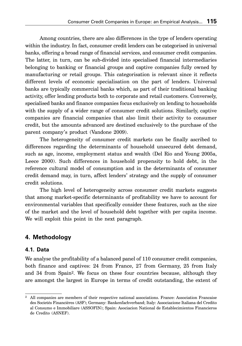Among countries, there are also differences in the type of lenders operating within the industry. In fact, consumer credit lenders can be categorised in universal banks, offering a broad range of financial services, and consumer credit companies. The latter, in turn, can be sub-divided into specialised financial intermediaries belonging to banking or financial groups and captive companies fully owned by manufacturing or retail groups. This categorisation is relevant since it reflects different levels of economic specialisation on the part of lenders. Universal banks are typically commercial banks which, as part of their traditional banking activity, offer lending products both to corporate and retail customers. Conversely, specialised banks and finance companies focus exclusively on lending to households with the supply of a wider range of consumer credit solutions. Similarly, captive companies are financial companies that also limit their activity to consumer credit, but the amounts advanced are destined exclusively to the purchase of the parent company's product (Vandone 2009).

The heterogeneity of consumer credit markets can be finally ascribed to differences regarding the determinants of household unsecured debt demand, such as age, income, employment status and wealth (Del Rio and Young 2005a, Leece 2000). Such differences in household propensity to hold debt, in the reference cultural model of consumption and in the determinants of consumer credit demand may, in turn, affect lenders' strategy and the supply of consumer credit solutions.

The high level of heterogeneity across consumer credit markets suggests that among market-specific determinants of profitability we have to account for environmental variables that specifically consider these features, such as the size of the market and the level of household debt together with per capita income. We will exploit this point in the next paragraph.

# **4. Methodology**

# **4.1. Data**

We analyse the profitability of a balanced panel of 110 consumer credit companies, both finance and captives: 24 from France, 27 from Germany, 25 from Italy and 34 from Spain2. We focus on these four countries because, although they are amongst the largest in Europe in terms of credit outstanding, the extent of

<sup>2</sup> All companies are members of their respective national associations. France: Association Francaise des Societés Financières (ASF); Germany: Bankenfachverband; Italy: Associazione Italiana del Credito al Consumo e Immobiliare (ASSOFIN); Spain: Asociacion National de Establecimientos Financieros de Credito (ASNEF).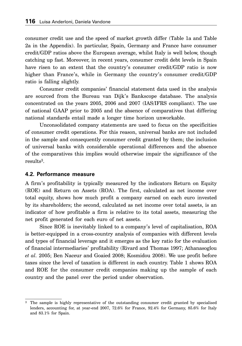consumer credit use and the speed of market growth differ (Table 1a and Table 2a in the Appendix). In particular, Spain, Germany and France have consumer credit/GDP ratios above the European average, whilst Italy is well below, though catching up fast. Moreover, in recent years, consumer credit debt levels in Spain have risen to an extent that the country's consumer credit/GDP ratio is now higher than France's, while in Germany the country's consumer credit/GDP ratio is falling slightly.

Consumer credit companies' financial statement data used in the analysis are sourced from the Bureau van Dijk's Bankscope database. The analysis concentrated on the years 2005, 2006 and 2007 (IAS/IFRS compliant). The use of national GAAP prior to 2005 and the absence of comparatives that differing national standards entail made a longer time horizon unworkable.

Unconsolidated company statements are used to focus on the specificities of consumer credit operations. For this reason, universal banks are not included in the sample and consequently consumer credit granted by them; the inclusion of universal banks with considerable operational differences and the absence of the comparatives this implies would otherwise impair the significance of the results3.

#### **4.2. Performance measure**

A firm's profitability is typically measured by the indicators Return on Equity (ROE) and Return on Assets (ROA). The first, calculated as net income over total equity, shows how much profit a company earned on each euro invested by its shareholders; the second, calculated as net income over total assets, is an indicator of how profitable a firm is relative to its total assets, measuring the net profit generated for each euro of net assets.

Since ROE is inevitably linked to a company's level of capitalisation, ROA is better-equipped in a cross-country analysis of companies with different levels and types of financial leverage and it emerges as the key ratio for the evaluation of financial intermediaries' profitability (Rivard and Thomas 1997; Athanasoglou *et al.* 2005; Ben Naceur and Goaied 2008; Kosmidou 2008). We use profit before taxes since the level of taxation is different in each country. Table 1 shows ROA and ROE for the consumer credit companies making up the sample of each country and the panel over the period under observation.

<sup>&</sup>lt;sup>3</sup> The sample is highly representative of the outstanding consumer credit granted by specialised lenders, accounting for, at year-end 2007, 72.6% for France, 92.4% for Germany, 85.6% for Italy and 83.1% for Spain.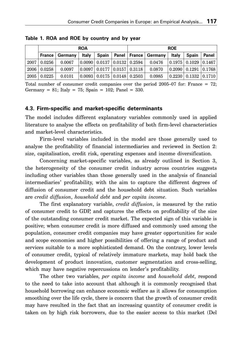|                 |                         | <b>ROA</b> |  |                                                             |                                                                                                                 | <b>ROE</b> |                                                |  |
|-----------------|-------------------------|------------|--|-------------------------------------------------------------|-----------------------------------------------------------------------------------------------------------------|------------|------------------------------------------------|--|
|                 | <b>France   Germany</b> | Italy      |  |                                                             | Spain   Panel   France   Germany   Italy                                                                        |            | Spain   Panel                                  |  |
| 2007   0.0256   | 0.0067                  |            |  |                                                             | $\vert 0.0090 \vert 0.0137 \vert 0.0132 \vert 0.2594 \vert 0.0476 \vert 0.1975 \vert 0.1029 \vert 0.1467 \vert$ |            |                                                |  |
| $2006$   0.0258 | 0.0097                  |            |  | $\vert 0.0097 \vert 0.0177 \vert 0.0157 \vert 0.3118 \vert$ | 0.0870                                                                                                          |            | $\vert 0.2090 \vert 0.1291 \vert 0.1768 \vert$ |  |
| 2005   0.0225   | 0.0101                  |            |  | $\vert 0.0093 \vert 0.0175 \vert 0.0148 \vert 0.2503 \vert$ | ${0.0985}$                                                                                                      |            | $\vert 0.2230 \vert 0.1332 \vert 0.1710 \vert$ |  |

**Table 1. ROA and ROE by country and by year**

Total number of consumer credit companies over the period 2005–07 for: France = 72; Germany = 81; Italy = 75; Spain = 102; Panel = 330.

#### **4.3. Firm-specific and market-specific determinants**

The model includes different explanatory variables commonly used in applied literature to analyse the effects on profitability of both firm-level characteristics and market-level characteristics.

Firm-level variables included in the model are those generally used to analyse the profitability of financial intermediaries and reviewed in Section 2: size, capitalisation, credit risk, operating expenses and income diversification.

Concerning market-specific variables, as already outlined in Section 3, the heterogeneity of the consumer credit industry across countries suggests including other variables than those generally used in the analysis of financial intermediaries' profitability, with the aim to capture the different degrees of diffusion of consumer credit and the household debt situation. Such variables are *credit diffusion*, *household debt* and *per capita income*.

The first explanatory variable, *credit diffusion*, is measured by the ratio of consumer credit to GDP, and captures the effects on profitability of the size of the outstanding consumer credit market. The expected sign of this variable is positive; when consumer credit is more diffused and commonly used among the population, consumer credit companies may have greater opportunities for scale and scope economies and higher possibilities of offering a range of product and services suitable to a more sophisticated demand. On the contrary, lower levels of consumer credit, typical of relatively immature markets, may hold back the development of product innovation, customer segmentation and cross-selling, which may have negative repercussions on lender's profitability.

The other two variables, *per capita income* and *household debt*, respond to the need to take into account that although it is commonly recognised that household borrowing can enhance economic welfare as it allows for consumption smoothing over the life cycle, there is concern that the growth of consumer credit may have resulted in the fact that an increasing quantity of consumer credit is taken on by high risk borrowers, due to the easier access to this market (Del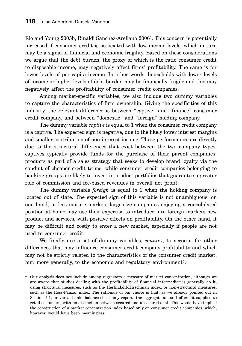Rio and Young 2005b, Rinaldi Sanchez-Arellano 2006). This concern is potentially increased if consumer credit is associated with low income levels, which in turn may be a signal of financial and economic fragility. Based on these considerations we argue that the debt burden, the proxy of which is the ratio consumer credit to disposable income, may negatively affect firms' profitability. The same is for lower levels of per capita income. In other words, households with lower levels of income or higher levels of debt burden may be financially fragile and this may negatively affect the profitability of consumer credit companies.

Among market-specific variables, we also include two dummy variables to capture the characteristics of firm ownership. Giving the specificities of this industry, the relevant difference is between "captive" and "finance" consumer credit company, and between "domestic" and "foreign" holding company.

The dummy variable *captive* is equal to 1 when the consumer credit company is a captive. The expected sign is negative, due to the likely lower interest margins and smaller contribution of non-interest income. These performances are directly due to the structural differences that exist between the two company types: captives typically provide funds for the purchase of their parent companies' products as part of a sales strategy that seeks to develop brand loyalty via the conduit of cheaper credit terms, while consumer credit companies belonging to banking groups are likely to invest in product portfolios that guarantee a greater role of commission and fee-based revenues in overall net profit.

The dummy variable *foreign* is equal to 1 when the holding company is located out of state. The expected sign of this variable is not unambiguous: on one hand, in less mature markets large-size companies enjoying a consolidated position at home may use their expertise to introduce into foreign markets new product and services, with positive effects on profitability. On the other hand, it may be difficult and costly to enter a new market, especially if people are not used to consumer credit.

We finally use a set of dummy variables, *country*, to account for other differences that may influence consumer credit company profitability and which may not be strictly related to the characteristics of the consumer credit market, but, more generally, to the economic and regulatory environment<sup>4</sup>.

<sup>4</sup> Our analysis does not include among regressors a measure of market concentration, although we are aware that studies dealing with the profitability of financial intermediaries generally do it, using structural measures, such as the Herfindahl-Hirschman index, or non-structural measures, such as the Ross-Panzar index. The rationale of our choice is that, as we already pointed out in Section 4.1, universal banks balance sheet only reports the aggregate amount of credit supplied to retail customers, with no distinction between secured and unsecured debt. This would have implied the construction of a market concentration index based only on consumer credit companies, which, however, would have been meaningless.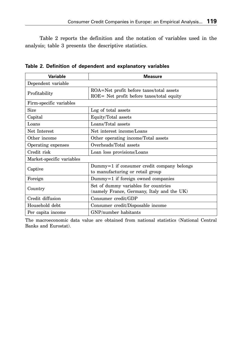Table 2 reports the definition and the notation of variables used in the analysis; table 3 presents the descriptive statistics.

| Variable                  | <b>Measure</b>                                                                           |
|---------------------------|------------------------------------------------------------------------------------------|
| Dependent variable        |                                                                                          |
| Profitability             | ROA=Net profit before taxes/total assets<br>$ROE = Net profit before taxes/total equity$ |
| Firm-specific variables   |                                                                                          |
| <b>Size</b>               | Log of total assets                                                                      |
| Capital                   | Equity/Total assets                                                                      |
| Loans                     | Loans/Total assets                                                                       |
| Net Interest              | Net interest income/Loans                                                                |
| Other income              | Other operating income/Total assets                                                      |
| Operating expenses        | Overheads/Total assets                                                                   |
| Credit risk               | Loan loss provisions/Loans                                                               |
| Market-specific variables |                                                                                          |
| Captive                   | Dummy=1 if consumer credit company belongs<br>to manufacturing or retail group           |
| Foreign                   | Dummy=1 if foreign owned companies                                                       |
| Country                   | Set of dummy variables for countries<br>(namely France, Germany, Italy and the UK)       |
| Credit diffusion          | Consumer credit/GDP                                                                      |
| Household debt            | Consumer credit/Disposable income                                                        |
| Per capita income         | GNP/number habitants                                                                     |

**Table 2. Definition of dependent and explanatory variables**

The macroeconomic data value are obtained from national statistics (National Central Banks and Eurostat).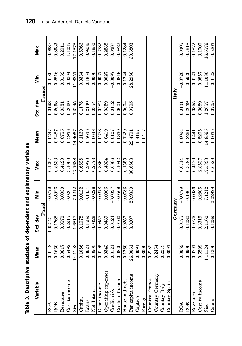| Variable           | Mean    | Std dev | im        | Max     | Mean    | Std dev | in<br>Min | Max     |
|--------------------|---------|---------|-----------|---------|---------|---------|-----------|---------|
|                    |         | Panel   |           |         |         |         | France    |         |
| $_{\rm{ROA}}$      | 0.0148  | 0.02121 | $-0.0779$ | 0.1257  | 0.0247  | 0.0193  | $-0.0130$ | 0.0687  |
| <b>ROE</b>         | 0.1660  | 0.1768  | $-0.5926$ | 0.8533  | 0.2487  | 0.2058  | $-0.2816$ | 0.8533  |
| Revenues           | 0.0617  | 0.0570  | 0.0030    | 0.4120  | 0.0755  | 0.0531  | 0.0189    | 0.2911  |
| Cost to income     | 0.5492  | 0.2915  | 0.0204    | 3.1000  | 0.5938  | 0.2060  | 0.0204    | 1.1035  |
| Size               | 14.1193 | 1.6817  | 7.1212    | 17.7688 | 14.4067 | 1.3245  | 11.8851   | 17.1878 |
| Capital            | 0.1086  | 0.1078  | 0.0122    | 0.6528  | 0.1160  | 0.1175  | 0.0334    | 0.5966  |
| Loans              | 0.8621  | 0.1589  | 0.1854    | 0.9970  | 0.7638  | 0.2140  | 0.1854    | 0.9936  |
| Net Interest       | 0.0505  | 0.0426  | $-0.0226$ | 0.2773  | 0.0648  | 0.0354  | 0.0000    | 0.1650  |
| Other income       | 0.0195  | 0.0457  | $-0.0278$ | 0.3864  | 0.0278  | 0.0482  | $-0.0027$ | 0.2782  |
| Operating expenses | 0.0343  | 0.0439  | 0.0006    | 0.4034  | 0.0419  | 0.0329  | 0.0027    | 0.2238  |
| Credit risk        | 0.0121  | 0.0124  | $-0.0097$ | 0.0866  | 0.0127  | 0.0112  | 7600.0    | 0.0387  |
| Credit diffusion   | 0.0836  | 0.0160  | 0.0509    | 0.1042  | 0.0830  | 0.0001  | 0.0819    | 0.0822  |
| Household debt     | 0.1260  | 0.0257  | 0.0733    | 0.1555  | 0.1229  | 0.0004  | 0.1224    | 0.1234  |
| Per capita income  | 26.0061 | 3.0607  | 20.9330   | 30.6803 | 29.4791 | 0.9795  | 28.2980   | 30.6803 |
| Captive            | 0.3091  |         |           |         | 0.4167  |         |           |         |
| Foreign            | 0.3000  |         |           |         | 0.0417  |         |           |         |
| Country France     | 0.2182  |         |           |         |         |         |           |         |
| Country Germany    | 0.2454  |         |           |         |         |         |           |         |
| Country Italy      | 0.2273  |         |           |         |         |         |           |         |
| Country Spain      | 0.3091  |         |           |         |         |         |           |         |
|                    |         |         | Germany   |         |         |         | Italy     |         |
| ROA                | 0.0089  | 0.0175  | $-0.0779$ | 0.0714  | 0.0094  | 0.0131  | $-0.0720$ | 0.0305  |
| <b>ROE</b>         | 0.0906  | 0.1080  | $-0.1864$ | 0.3788  | 0.2261  | 0.2039  | $-0.5926$ | 0.7618  |
| Revenues           | 0.0791  | 0.0775  | 0.0086    | 0.4120  | 0.0441  | 0.0355  | 0.0121    | 0.1872  |
| Cost to income     | 0.6292  | 0.3315  | 0.2805    | 2.8537  | 0.5205  | 0.3689  | 0.0857    | 3.1000  |
| Size               | 14.1124 | 2.1160  | 7.1212    | 17.5333 | 14.8565 | 1.2657  | 11.1080   | 16.6576 |
| Capital            | 0.1206  | 0.1089  | 0.02928   | 0.6528  | 0.0635  | 0.0705  | 0.0122    | 0.5263  |

| ;<br>;                 |  |
|------------------------|--|
| ί                      |  |
| S<br>S<br>S<br>י<br>הי |  |
|                        |  |
| $\overline{a}$         |  |
|                        |  |
|                        |  |
|                        |  |
| ٦<br>ľ                 |  |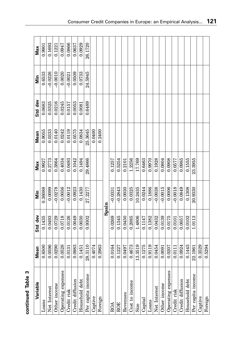| ო      |  |
|--------|--|
| t<br>г |  |
|        |  |

| Variable           | Mean    | Std dev | İm        | Max     | Mean    | Std dev | im        | Max     |
|--------------------|---------|---------|-----------|---------|---------|---------|-----------|---------|
| Loans              | 0.8500  | 0.1435  | 0.36088   | 0.9927  | 0.9055  | 0.0683  | 0.6533    | 0.9901  |
| Net Interest       | 0.0596  | 0.0493  | 0.0099    | 0.2773  | 0.0333  | 0.0325  | $-0.0226$ | 0.1693  |
| Other income       | 0.0290  | 0.0729  | $-0.0278$ | 0.3864  | 0.0140  | 0.0216  | $-0.0010$ | 0.1221  |
| Operating expenses | 0.0528  | 0.0718  | 0.0056    | 0.4034  | 0.0242  | 0.0245  | 0.0020    | 0.0947  |
| Credit risk        | 0.0131  | 0.0126  | $-0.0012$ | 0.0493  | 0.0119  | 0.0157  | $-0.0021$ | 0.0866  |
| Credit diffusion   | 0.0983  | 0.0049  | 0.0923    | 0.1042  | 0.0575  | 0.0053  | 0.0509    | 0.0637  |
| Household debt     | 0.1451  | 0.0030  | 0.1430    | 0.1494  | 0.0834  | 0.0081  | 0.0733    | 0.0929  |
| Per capita income  | 28.3110 | 0.9302  | 27.2277   | 29.4866 | 25.3645 | 0.6489  | 24.5945   | 26.1720 |
| Captive            | 0.4074  |         |           |         | 0.0400  |         |           |         |
| Foreign            | 0.2963  |         |           |         | 0.2400  |         |           |         |
|                    |         | Spain   |           |         |         |         |           |         |
| ROA                | 0.0164  | 0.0269  | $-0.0331$ | 0.1257  |         |         |           |         |
| ROE                | 0.1227  | 0.1345  | $-0.2843$ | 0.5254  |         |         |           |         |
| Revenues           | 0.0497  | 0.0450  | 0.0030    | 0.2101  |         |         |           |         |
| Cost to income     | 0.4673  | 0.2085  | 0.0325    | 1.2256  |         |         |           |         |
| Size               | 13.3519 | 1.4806  | 10.2435   | 17.769  |         |         |           |         |
| Capital            | 0.1275  | 0.1147  | 0.0244    | 0.6463  |         |         |           |         |
| Loans              | 0.9119  | 0.1382  | 0.1886    | 0.9970  |         |         |           |         |
| Net Interest       | 0.0454  | 0.0432  | $-0.0038$ | 0.1928  |         |         |           |         |
| Other income       | 0.0091  | 0.0139  | $-0.0015$ | 0.0804  |         |         |           |         |
| Operating expenses | 0.0207  | 0.0175  | 0.0006    | 0.0908  |         |         |           |         |
| Credit risk        | 0.0111  | 0.0101  | $-0.0018$ | 0.0577  |         |         |           |         |
| Credit diffusion   | 0.0924  | 0.0057  | 0.0849    | 0.0985  |         |         |           |         |
| Household debt     | 0.1443  | 0.0102  | 0.1308    | 0.1555  |         |         |           |         |
| Per capita income  | 22.1961 | 1.0113  | 20.9330   | 23.3955 |         |         |           |         |
| Captive            | 0.3529  |         |           |         |         |         |           |         |
| Foreign            | 0.5294  |         |           |         |         |         |           |         |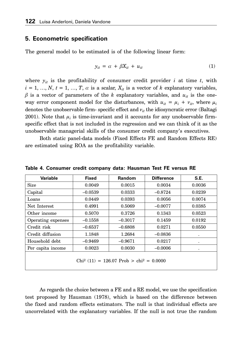#### **5. Econometric specification**

The general model to be estimated is of the following linear form:

$$
y_{it} = \alpha + \beta X_{it} + u_{it} \tag{1}
$$

where  $y_{it}$  is the profitability of consumer credit provider *i* at time *t*, with  $i = 1, ..., N$ ,  $t = 1, ..., T$ ,  $\alpha$  is a scalar,  $X_{it}$  is a vector of *k* explanatory variables,  $\beta$  is a vector of parameters of the *k* explanatory variables, and  $u_{it}$  is the oneway error component model for the disturbances, with  $u_{it} = \mu_i + v_{it}$ , where  $\mu_i$ denotes the unobservable firm- specific effect and  $v_{it}$  the idiosyncratic error (Baltagi 2001). Note that  $\mu_i$  is time-invariant and it accounts for any unobservable firmspecific effect that is not included in the regression and we can think of it as the unobservable managerial skills of the consumer credit company's executives.

Both static panel-data models (Fixed Effects FE and Random Effects RE) are estimated using ROA as the profitability variable.

| <b>Variable</b>    | <b>Fixed</b> | <b>Random</b>                                | <b>Difference</b> | S.E.   |
|--------------------|--------------|----------------------------------------------|-------------------|--------|
| <b>Size</b>        | 0.0049       | 0.0015                                       | 0.0034            | 0.0036 |
| Capital            | $-0.0539$    | 0.0333                                       | $-0.8724$         | 0.0239 |
| Loans              | 0.0449       | 0.0393                                       | 0.0056            | 0.0074 |
| Net Interest       | 0.4991       | 0.5069                                       | $-0.0077$         | 0.0385 |
| Other income       | 0.5070       | 0.3726                                       | 0.1343            | 0.0523 |
| Operating expenses | $-0.1558$    | $-0.3017$                                    | 0.1459            | 0.0192 |
| Credit risk        | $-0.6537$    | $-0.6808$                                    | 0.0271            | 0.0550 |
| Credit diffusion   | 1.1848       | 1.2684                                       | $-0.0836$         |        |
| Household debt     | $-0.9469$    | $-0.9671$                                    | 0.0217            | ٠      |
| Per capita income  | 0.0023       | 0.0030                                       | $-0.0006$         | ٠      |
|                    |              | $Chi^2(11) = 126.07$ Prob > $chi^2 = 0.0000$ |                   |        |

**Table 4. Consumer credit company data: Hausman Test FE versus RE**

As regards the choice between a FE and a RE model, we use the specification test proposed by Hausman (1978), which is based on the difference between the fixed and random effects estimators. The null is that individual effects are uncorrelated with the explanatory variables. If the null is not true the random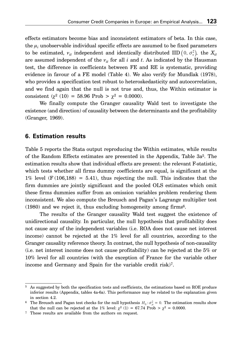effects estimators become bias and inconsistent estimators of beta. In this case, the  $\mu_i$  unobservable individual specific effects are assumed to be fixed parameters to be estimated,  $v_{it}$  independent and identically distributed IID  $(0, \sigma_v^2)$ , the  $X_{it}$ are assumed independent of the  $v_i$  for all *i* and *t*. As indicated by the Hausman test, the difference in coefficients between FE and RE is systematic, providing evidence in favour of a FE model (Table 4). We also verify for Mundlak (1978), who provides a specification test robust to heteroskedasticity and autocorrelation, and we find again that the null is not true and, thus, the Within estimator is consistent ( $\gamma^2$  (10) = 58.96 Prob >  $\gamma^2$  = 0.0000).

We finally compute the Granger causality Wald test to investigate the existence (and direction) of causality between the determinants and the profitability (Granger, 1969).

### **6. Estimation results**

Table 5 reports the Stata output reproducing the Within estimates, while results of the Random Effects estimates are presented in the Appendix, Table  $3a^5$ . The estimation results show that individual effects are present: the relevant F-statistic, which tests whether all firms dummy coefficients are equal, is significant at the  $1\%$  level (F (106,188) = 5.41), thus rejecting the null. This indicates that the firm dummies are jointly significant and the pooled OLS estimates which omit these firms dummies suffer from an omission variables problem rendering them inconsistent. We also compute the Breusch and Pagan's Lagrange multiplier test (1980) and we reject it, thus excluding homogeneity among firms6.

The results of the Granger causality Wald test suggest the existence of unidirectional causality. In particular, the null hypothesis that profitability does not cause any of the independent variables (i.e. ROA does not cause net interest income) cannot be rejected at the 1% level for all countries, according to the Granger causality reference theory. In contrast, the null hypothesis of non-causality (i.e. net interest income does not cause profitability) can be rejected at the 5% or 10% level for all countries (with the exception of France for the variable other income and Germany and Spain for the variable credit risk)7.

<sup>&</sup>lt;sup>5</sup> As suggested by both the specification tests and coefficients, the estimations based on ROE produce inferior results (Appendix, tables 4a-6a). This performance may be related to the explanation given in section 4.2.

<sup>&</sup>lt;sup>6</sup> The Breusch and Pagan test checks for the null hypothesis  $H_0: \sigma_n^2 = 0$ . The estimation results show that the null can be rejected at the 1% level:  $\chi^2$  (1) = 67.74 Prob >  $\chi^2$  = 0.0000.

<sup>7</sup> These results are available from the authors on request.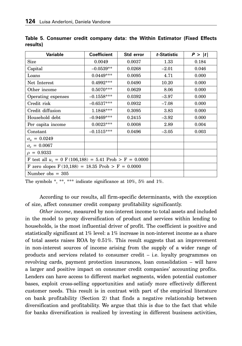| Variable                                                  | <b>Coefficient</b> | <b>Std error</b> | t-Statistic | P >  t |
|-----------------------------------------------------------|--------------------|------------------|-------------|--------|
| Size                                                      | 0.0049             | 0.0037           | 1.33        | 0.184  |
| Capital                                                   | $-0.0539**$        | 0.0268           | $-2.01$     | 0.046  |
| Loans                                                     | $0.0449***$        | 0.0095           | 4.71        | 0.000  |
| Net Interest                                              | $0.4992***$        | 0.0490           | 10.20       | 0.000  |
| Other income                                              | $0.5070***$        | 0.0629           | 8.06        | 0.000  |
| Operating expenses                                        | $-0.1558***$       | 0.0392           | $-3.97$     | 0.000  |
| Credit risk                                               | $-0.6537***$       | 0.0932           | $-7.08$     | 0.000  |
| Credit diffusion                                          | 1.1848***          | 0.3095           | 3.83        | 0.000  |
| Household debt                                            | $-0.9469***$       | 0.2415           | $-3.92$     | 0.000  |
| Per capita income                                         | $0.0023***$        | 0.0008           | 2.89        | 0.004  |
| Constant                                                  | $-0.1515***$       | 0.0496           | $-3.05$     | 0.003  |
| $\sigma_u = 0.0249$                                       |                    |                  |             |        |
| $\sigma_e = 0.0067$                                       |                    |                  |             |        |
| $\rho = 0.9333$                                           |                    |                  |             |        |
| F test all $u_i = 0$ F (106,188) = 5.41 Prob > F = 0.0000 |                    |                  |             |        |
| F zero slopes $F(10,188) = 18.35$ Prob > F = 0.0000       |                    |                  |             |        |
| Number $obs = 305$                                        |                    |                  |             |        |

**Table 5. Consumer credit company data: the Within Estimator (Fixed Effects results)**

The symbols \*, \*\*, \*\*\* indicate significance at 10%, 5% and 1%.

According to our results, all firm-specific determinants, with the exception of size, affect consumer credit company profitability significantly.

*Other income*, measured by non-interest income to total assets and included in the model to proxy diversification of product and services within lending to households, is the most influential driver of profit. The coefficient is positive and statistically significant at 1% level: a 1% increase in non-interest income as a share of total assets raises ROA by 0.51%. This result suggests that an improvement in non-interest sources of income arising from the supply of a wider range of products and services related to consumer credit – i.e. loyalty programmes on revolving cards, payment protection insurances, loan consolidation – will have a larger and positive impact on consumer credit companies' accounting profits. Lenders can have access to different market segments, widen potential customer bases, exploit cross-selling opportunities and satisfy more effectively different customer needs. This result is in contrast with part of the empirical literature on bank profitability (Section 2) that finds a negative relationship between diversification and profitability. We argue that this is due to the fact that while for banks diversification is realized by investing in different business activities,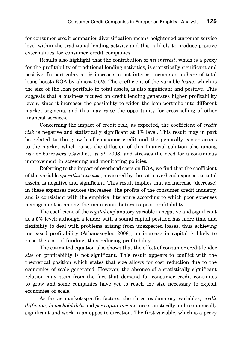for consumer credit companies diversification means heightened customer service level within the traditional lending activity and this is likely to produce positive externalities for consumer credit companies.

Results also highlight that the contribution of *net interest*, which is a proxy for the profitability of traditional lending activities, is statistically significant and positive. In particular, a 1% increase in net interest income as a share of total loans boosts ROA by almost 0.5%. The coefficient of the variable *loans*, which is the size of the loan portfolio to total assets, is also significant and positive. This suggests that a business focused on credit lending generates higher profitability levels, since it increases the possibility to widen the loan portfolio into different market segments and this may raise the opportunity for cross-selling of other financial services.

Concerning the impact of credit risk, as expected, the coefficient of *credit risk* is negative and statistically significant at 1% level. This result may in part be related to the growth of consumer credit and the generally easier access to the market which raises the diffusion of this financial solution also among riskier borrowers (Cavalletti *et al.* 2008) and stresses the need for a continuous improvement in screening and monitoring policies.

Referring to the impact of overhead costs on ROA, we find that the coefficient of the variable *operating expense*, measured by the ratio overhead expenses to total assets, is negative and significant. This result implies that an increase (decrease) in these expenses reduces (increases) the profits of the consumer credit industry, and is consistent with the empirical literature according to which poor expenses management is among the main contributors to poor profitability.

The coefficient of the *capital* explanatory variable is negative and significant at a 5% level; although a lender with a sound capital position has more time and flexibility to deal with problems arising from unexpected losses, thus achieving increased profitability (Athanasoglou 2008), an increase in capital is likely to raise the cost of funding, thus reducing profitability.

The estimated equation also shows that the effect of consumer credit lender *size* on profitability is not significant. This result appears to conflict with the theoretical position which states that size allows for cost reduction due to the economies of scale generated. However, the absence of a statistically significant relation may stem from the fact that demand for consumer credit continues to grow and some companies have yet to reach the size necessary to exploit economies of scale.

As far as market-specific factors, the three explanatory variables, *credit diffusion, household debt* and *per capita income*, are statistically and economically significant and work in an opposite direction. The first variable, which is a proxy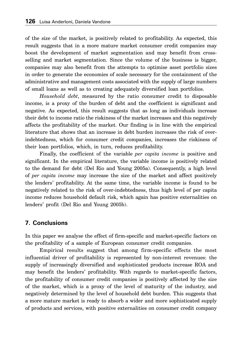of the size of the market, is positively related to profitability. As expected, this result suggests that in a more mature market consumer credit companies may boost the development of market segmentation and may benefit from crossselling and market segmentation. Since the volume of the business is bigger, companies may also benefit from the attempts to optimise asset portfolio sizes in order to generate the economies of scale necessary for the containment of the administrative and management costs associated with the supply of large numbers of small loans as well as to creating adequately diversified loan portfolios.

*Household debt*, measured by the ratio consumer credit to disposable income, is a proxy of the burden of debt and the coefficient is significant and negative. As expected, this result suggests that as long as individuals increase their debt to income ratio the riskiness of the market increases and this negatively affects the profitability of the market. Our finding is in line with the empirical literature that shows that an increase in debt burden increases the risk of overindebtedness, which for consumer credit companies, increases the riskiness of their loan portfolios, which, in turn, reduces profitability.

Finally, the coefficient of the variable *per capita income* is positive and significant. In the empirical literature, the variable income is positively related to the demand for debt (Del Rio and Young 2005a). Consequently, a high level of *per capita income* may increase the size of the market and affect positively the lenders' profitability. At the same time, the variable income is found to be negatively related to the risk of over-indebtedness, thus high level of per capita income reduces household default risk, which again has positive externalities on lenders' profit (Del Rio and Young 2005b).

# **7. Conclusions**

In this paper we analyse the effect of firm-specific and market-specific factors on the profitability of a sample of European consumer credit companies.

Empirical results suggest that among firm-specific effects the most influential driver of profitability is represented by non-interest revenues: the supply of increasingly diversified and sophisticated products increase ROA and may benefit the lenders' profitability. With regards to market-specific factors, the profitability of consumer credit companies is positively affected by the size of the market, which is a proxy of the level of maturity of the industry, and negatively determined by the level of household debt burden. This suggests that a more mature market is ready to absorb a wider and more sophisticated supply of products and services, with positive externalities on consumer credit company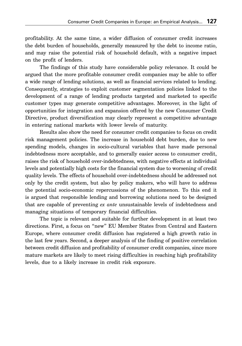profitability. At the same time, a wider diffusion of consumer credit increases the debt burden of households, generally measured by the debt to income ratio, and may raise the potential risk of household default, with a negative impact on the profit of lenders.

The findings of this study have considerable policy relevance. It could be argued that the more profitable consumer credit companies may be able to offer a wide range of lending solutions, as well as financial services related to lending. Consequently, strategies to exploit customer segmentation policies linked to the development of a range of lending products targeted and marketed to specific customer types may generate competitive advantages. Moreover, in the light of opportunities for integration and expansion offered by the new Consumer Credit Directive, product diversification may clearly represent a competitive advantage in entering national markets with lower levels of maturity.

Results also show the need for consumer credit companies to focus on credit risk management policies. The increase in household debt burden, due to new spending models, changes in socio-cultural variables that have made personal indebtedness more acceptable, and to generally easier access to consumer credit, raises the risk of household over-indebtedness, with negative effects at individual levels and potentially high costs for the financial system due to worsening of credit quality levels. The effects of household over-indebtedness should be addressed not only by the credit system, but also by policy makers, who will have to address the potential socio-economic repercussions of the phenomenon. To this end it is argued that responsible lending and borrowing solutions need to be designed that are capable of preventing *ex ante* unsustainable levels of indebtedness and managing situations of temporary financial difficulties.

The topic is relevant and suitable for further development in at least two directions. First, a focus on "new" EU Member States from Central and Eastern Europe, where consumer credit diffusion has registered a high growth ratio in the last few years. Second, a deeper analysis of the finding of positive correlation between credit diffusion and profitability of consumer credit companies, since more mature markets are likely to meet rising difficulties in reaching high profitability levels, due to a likely increase in credit risk exposure.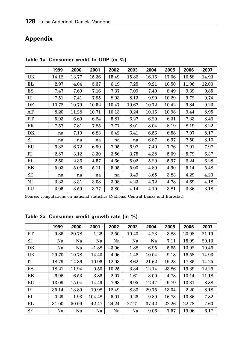# **Appendix**

|           | 1999     | 2000     | 2001  | 2002  | 2003  | 2004  | 2005  | 2006  | 2007  |
|-----------|----------|----------|-------|-------|-------|-------|-------|-------|-------|
| UK.       | 14.12    | 13.77    | 15.36 | 15.49 | 15.86 | 16.16 | 17.06 | 16.58 | 14.93 |
| EL        | 2.97     | 4.04     | 5.37  | 6.19  | 7.25  | 9.21  | 10.50 | 11.96 | 12.00 |
| <b>ES</b> | 7.47     | 7.69     | 7.16  | 7.37  | 7.09  | 7.40  | 8.49  | 9.39  | 9.85  |
| IE        | 7.51     | 7.41     | 7.95  | 8.03  | 8.13  | 9.90  | 10.29 | 9.72  | 9.74  |
| DE        | 10.72    | 10.79    | 10.52 | 10.47 | 10.67 | 10.72 | 10.42 | 9.84  | 9.23  |
| AT        | 8.20     | 11.28    | 10.71 | 10.13 | 9.24  | 10.16 | 10.98 | 9.44  | 8.95  |
| PT        | 5.93     | 6.69     | 6.24  | 5.81  | 6.27  | 6.29  | 6.31  | 7.33  | 8.46  |
| FR        | 7.57     | 7.81     | 7.85  | 7.77  | 8.01  | 8.04  | 8.19  | 8.19  | 8.22  |
| DK        | na       | 7.19     | 6.83  | 6.42  | 6.41  | 6.56  | 6.58  | 7.07  | 8.17  |
| $\rm SI$  | na       | na       | na    | na    | na    | 6.87  | 6.97  | 7.50  | 8.16  |
| EU        | 6.32     | 6.72     | 6.99  | 7.05  | 6.97  | 7.40  | 7.76  | 7.91  | 7.97  |
| <b>IT</b> | 2.87     | $3.12\,$ | 3.30  | 3.56  | 3.75  | 4.38  | 5.09  | 5.79  | 6.37  |
| FI        | 2.50     | $2.36\,$ | 4.57  | 4.66  | 5.02  | 5.29  | 5.97  | 6.24  | 6.28  |
| BЕ        | 5.03     | 5.06     | 5.11  | 5.05  | 5.00  | 4.89  | 4.90  | 5.14  | 5.48  |
| SE        | na       | na       | na    | na    | 3.49  | 3.65  | 3.83  | 4.29  | 4.29  |
| NL        | $3.33\,$ | $3.31\,$ | 3.08  | 3.98  | 4.23  | 4.72  | 4.78  | 4.69  | 4.18  |
| LU        | $3.95\,$ | 3.59     | 3.77  | 3.80  | 4.14  | 4.10  | 3.81  | 3.36  | 3.18  |

**Table 1a. Consumer credit to GDP (in %)**

Source: computations on national statistics (National Central Banks and Eurostat).

# **Table 2a. Consumer credit growth rate (in %)**

|           | 1999  | 2000  | 2001    | 2002    | 2003    | 2004  | 2005  | 2006  | 2007  |
|-----------|-------|-------|---------|---------|---------|-------|-------|-------|-------|
| PT        | 9.35  | 20.78 | $-1.26$ | $-2.50$ | 10.40   | 4.23  | 3.83  | 20.98 | 21.19 |
| SI        | Na    | Na    | Na      | Na      | Na      | Na    | 7.11  | 15.99 | 20.13 |
| DK        | Na    | Na    | $-1.88$ | $-3.06$ | 1.88    | 6.95  | 5.65  | 13.92 | 19.46 |
| UK        | 29.70 | 10.78 | 14.43   | 4.96    | $-1.46$ | 10.04 | 9.18  | 16.58 | 14.93 |
| IT        | 18.79 | 14.86 | 10.96   | 12.03   | 8.62    | 21.62 | 19.23 | 17.85 | 14.25 |
| ES        | 18.21 | 11.94 | 0.50    | 10.25   | 3.34    | 12.14 | 23.86 | 19.39 | 12.26 |
| BE        | 6.96  | 6.53  | 3.86    | 2.07    | 1.61    | 3.00  | 4.78  | 10.14 | 11.18 |
| EU        | 13.09 | 15.04 | 14.49   | 7.63    | 6.95    | 12.47 | 9.79  | 10.31 | 8.88  |
| IE        | 35.14 | 13.80 | 19.98   | 12.49   | 8.30    | 29.75 | 13.04 | 2.20  | 8.18  |
| FI        | 0.29  | 1.93  | 104.48  | 5.01    | 9.26    | 9.89  | 16.73 | 10.86 | 7.82  |
| EL        | 31.00 | 50.09 | 42.47   | 24.24   | 27.21   | 37.42 | 22.26 | 22.78 | 7.60  |
| <b>SE</b> | Na    | Na    | Na      | Na      | Na      | 9.06  | 7.57  | 19.06 | 6.17  |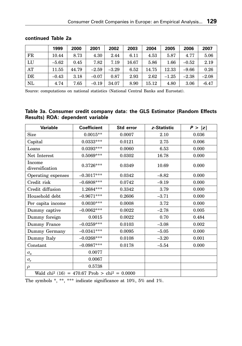|             | 1999    | 2000  | 2001    | 2002    | 2003  | 2004  | 2005    | 2006    | 2007    |
|-------------|---------|-------|---------|---------|-------|-------|---------|---------|---------|
| $_{\rm FR}$ | 10.44   | 8.73  | 4.30    | 2.44    | 6.11  | 4.53  | 5.87    | 4.77    | 5.06    |
| LU          | $-5.62$ | 0.45  | 7.82    | 7.19    | 16.67 | 5.86  | 1.66    | $-0.52$ | 2.19    |
| AT          | 11.55   | 44.79 | $-2.59$ | $-3.29$ | 6.52  | 14.75 | 12.33   | $-9.66$ | 0.26    |
| DE          | $-0.43$ | 3.18  | $-0.07$ | 0.87    | 2.93  | 2.62  | $-1.25$ | $-2.38$ | $-2.08$ |
| <b>NL</b>   | 4.74    | 7.65  | $-0.19$ | 34.07   | 8.90  | 15.12 | 4.80    | 3.06    | $-6.47$ |

#### **continued Table 2a**

Source: computations on national statistics (National Central Banks and Eurostat).

#### **Table 3a. Consumer credit company data: the GLS Estimator (Random Effects Results) ROA: dependent variable**

| Variable                                                             | <b>Coefficient</b> | Std error | z-Statistic | P >  z |
|----------------------------------------------------------------------|--------------------|-----------|-------------|--------|
| <b>Size</b>                                                          | $0.0015**$         | 0.0007    | 2.10        | 0.036  |
| Capital                                                              | $0.0333***$        | 0.0121    | 2.75        | 0.006  |
| Loans                                                                | $0.0393***$        | 0.0060    | 6.53        | 0.000  |
| Net Interest                                                         | $0.5069***$        | 0.0302    | 16.78       | 0.000  |
| Income<br>diversification                                            | $0.3726***$        | 0.0349    | 10.69       | 0.000  |
| Operating expenses                                                   | $-0.3017***$       | 0.0342    | $-8.82$     | 0.000  |
| Credit risk                                                          | $-0.6808***$       | 0.0742    | $-9.19$     | 0.000  |
| Credit diffusion                                                     | 1.2684***          | 0.3342    | 3.79        | 0.000  |
| Household debt                                                       | $-0.9671***$       | 0.2606    | $-3.71$     | 0.000  |
| Per capita income                                                    | $0.0030***$        | 0.0008    | 3.72        | 0.000  |
| Dummy captive                                                        | $-0.0062***$       | 0.0022    | $-2.78$     | 0.005  |
| Dummy foreign                                                        | 0.0015             | 0.0022    | 0.70        | 0.484  |
| Dummy France                                                         | $-0.0259***$       | 0.0103    | $-3.08$     | 0.002  |
| Dummy Germany                                                        | $-0.0341***$       | 0.0095    | $-5.05$     | 0.000  |
| Dummy Italy                                                          | $-0.0268***$       | 0.0108    | $-3.20$     | 0.001  |
| Constant                                                             | $-0.0987***$       | 0.0178    | $-5.54$     | 0.000  |
| $\sigma_u$                                                           | 0.0077             |           |             |        |
| $\sigma_e$                                                           | 0.0067             |           |             |        |
| $\rho$                                                               | 0.5738             |           |             |        |
| Wald chi <sup>2</sup> (16) = 470.67 Prob > chi <sup>2</sup> = 0.0000 |                    |           |             |        |

The symbols \*, \*\*, \*\*\* indicate significance at 10%, 5% and 1%.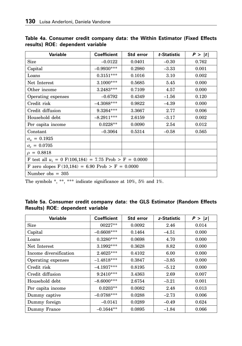| <b>Variable</b>                                          | Coefficient  | Std error | t-Statistic | P >  t |
|----------------------------------------------------------|--------------|-----------|-------------|--------|
| Size                                                     | $-0.0122$    | 0.0401    | $-0.30$     | 0.762  |
| Capital                                                  | $-0.9930***$ | 0.2980    | $-3.33$     | 0.001  |
| Loans                                                    | $0.3151***$  | 0.1016    | 3.10        | 0.002  |
| Net Interest                                             | $3.1000***$  | 0.5685    | 5.45        | 0.000  |
| Other income                                             | $3.2483***$  | 0.7109    | 4.57        | 0.000  |
| Operating expenses                                       | $-0.6792$    | 0.4349    | $-1.56$     | 0.120  |
| Credit risk                                              | $-4.3088***$ | 0.9822    | $-4.39$     | 0.000  |
| Credit diffusion                                         | 9.3264***    | 3.3667    | 2.77        | 0.006  |
| Household debt                                           | $-8.2911***$ | 2.6159    | $-3.17$     | 0.002  |
| Per capita income                                        | $0.0228**$   | 0.0090    | 2.54        | 0.012  |
| Constant                                                 | $-0.3064$    | 0.5314    | $-0.58$     | 0.565  |
| $\sigma_{\rm u} = 0.1925$                                |              |           |             |        |
| $\sigma_e = 0.0705$                                      |              |           |             |        |
| $\rho = 0.8818$                                          |              |           |             |        |
| F test all $u_i = 0$ F(106,184) = 7.75 Prob > F = 0.0000 |              |           |             |        |
| F zero slopes $F(10,184) = 6.90$ Prob > $F = 0.0000$     |              |           |             |        |
| Number $obs = 305$                                       |              |           |             |        |

**Table 4a. Consumer credit company data: the Within Estimator (Fixed Effects results) ROE: dependent variable**

The symbols \*, \*\*, \*\*\* indicate significance at 10%, 5% and 1%.

| Table 5a. Consumer credit company data: the GLS Estimator (Random Effects |  |  |  |
|---------------------------------------------------------------------------|--|--|--|
| <b>Results) ROE: dependent variable</b>                                   |  |  |  |

| Variable               | <b>Coefficient</b> | <b>Std error</b> | z-Statistic | P >  z |
|------------------------|--------------------|------------------|-------------|--------|
| <b>Size</b>            | $00227**$          | 0.0092           | 2.46        | 0.014  |
| Capital                | $-0.6608***$       | 0.1464           | $-4.51$     | 0.000  |
| Loans                  | $0.3280***$        | 0.0698           | 4.70        | 0.000  |
| Net Interest           | 3.1992***          | 0.3628           | 8.82        | 0.000  |
| Income diversification | $2.4625***$        | 0.4102           | 6.00        | 0.000  |
| Operating expenses     | $-1.4818***$       | 0.3847           | $-3.85$     | 0.000  |
| Credit risk            | $-4.1937***$       | 0.8195           | $-5.12$     | 0.000  |
| Credit diffusion       | $9.2410***$        | 3.4363           | 2.69        | 0.007  |
| Household debt         | $-8.6000***$       | 2.6754           | $-3.21$     | 0.001  |
| Per capita income      | $0.0203**$         | 0.0082           | 2.48        | 0.013  |
| Dummy captive          | $-0.0788***$       | 0.0288           | $-2.73$     | 0.006  |
| Dummy foreign          | $-0.0141$          | 0.0289           | $-0.49$     | 0.624  |
| Dummy France           | $-0.1644**$        | 0.0895           | $-1.84$     | 0.066  |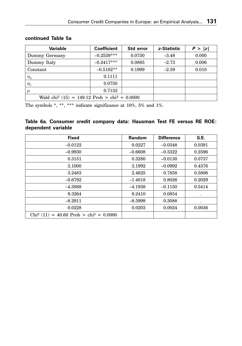| Variable                                                             | <b>Coefficient</b> | Std error | z-Statistic | P >  z |
|----------------------------------------------------------------------|--------------------|-----------|-------------|--------|
| Dummy Germany                                                        | $-0.2539***$       | 0.0730    | $-3.48$     | 0.000  |
| Dummy Italy                                                          | $-0.2417***$       | 0.0885    | $-2.73$     | 0.006  |
| Constant                                                             | $-0.5182**$        | 0.1999    | $-2.59$     | 0.010  |
| $\sigma_u$                                                           | 0.1111             |           |             |        |
| $\sigma_e$                                                           | 0.0750             |           |             |        |
| $\rho$                                                               | 0.7132             |           |             |        |
| Wald chi <sup>2</sup> (15) = 149.12 Prob > chi <sup>2</sup> = 0.0000 |                    |           |             |        |

# **continued Table 5a**

The symbols \*, \*\*, \*\*\* indicate significance at 10%, 5% and 1%.

### **Table 6a. Consumer credit company data: Hausman Test FE versus RE ROE: dependent variable**

| <b>Fixed</b>                                | <b>Random</b> | <b>Difference</b> | S.E.   |
|---------------------------------------------|---------------|-------------------|--------|
| $-0.0122$                                   | 0.0227        | $-0.0348$         | 0.0391 |
| $-0.9930$                                   | $-0.6608$     | $-0.3322$         | 0.2596 |
| 0.3151                                      | 0.3280        | $-0.0130$         | 0.0737 |
| 3.1000                                      | 3.1992        | $-0.0992$         | 0.4376 |
| 3.2483                                      | 2.4625        | 0.7858            | 0.5806 |
| $-0.6792$                                   | $-1.4818$     | 0.8026            | 0.2029 |
| $-4.3088$                                   | $-4.1938$     | $-0.1150$         | 0.5414 |
| 9.3264                                      | 9.2410        | 0.0854            | ٠      |
| $-8.2911$                                   | $-8.5999$     | 0.3088            | ٠      |
| 0.0228                                      | 0.0203        | 0.0024            | 0.0036 |
| $Chi^2(11) = 40.60$ Prob > $chi^2 = 0.0000$ |               |                   |        |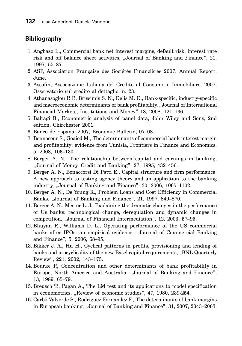# **Bibliography**

- 1. Angbazo L., Commercial bank net interest margins, default risk, interest rate risk and off balance sheet activities, "Journal of Banking and Finance", 21, 1997, 55–87.
- 2. ASF, Association Française des Sociétés Financières 2007, Annual Report, June.
- 3. Assofin, Associazione Italiana del Credito al Consumo e Immobiliare, 2007, Osservatorio sul credito al dettaglio, n. 23.
- 4. Athanasoglou P. P., Brissimis S. N., Delis M. D., Bank-specific, industry-specific and macroeconomic determinants of bank profitability, "Journal of International Financial Markets, Institutions and Money" 18, 2008, 121–136.
- 5. Baltagi B., Econometric analysis of panel data, John Wiley and Sons, 2nd edition, Chirchester 2001.
- 6. Banco de España, 2007, Economic Bulletin, 07–08.
- 7. Bennaceur S., Goaied M., The determinants of commercial bank interest margin and profitability: evidence from Tunisia, Frontiers in Finance and Economics, 5, 2008, 106–130.
- 8. Berger A. N., The relationship between capital and earnings in banking, "Journal of Money, Credit and Banking", 27, 1995, 432–456.
- 9. Berger A. N., Bonaccorsi Di Patti E., Capital structure and firm performance: A new approach to testing agency theory and an application to the banking industry, "Journal of Banking and Finance", 30, 2006, 1065-1102.
- 10. Berger A. N., De Young R., Problem Loans and Cost Efficiency in Commercial Banks, "Journal of Banking and Finance", 21, 1997, 849–870.
- 11. Berger A. N., Mester L. J., Explaining the dramatic changes in the performance of Us banks: technological change, deregulation and dynamic changes in competition, "Journal of Financial Intermediation", 12, 2003, 57-95.
- 12. Bhuyan R., Williams D. L., Operating performance of the US commercial banks after IPOs: an empirical evidence, "Journal of Commercial Banking and Finance", 5, 2006, 68–95.
- 13. Bikker J. A., Hu H., Cyclical patterns in profits, provisioning and lending of banks and procyclicality of the new Basel capital requirements, "BNL Quarterly Review", 221, 2002, 143–175.
- 14. Bourke P., Concentration and other determinants of bank profitability in Europe, North America and Australia, "Journal of Banking and Finance", 13, 1989, 65–79.
- 15. Breusch T., Pagan A., The LM test and its applications to model specification in econometrics, "Review of economic studies", 47, 1980, 239-254.
- 16. Carbó Valverde S., Rodriguez Fernandez F., The determinants of bank margins in European banking, "Journal of Banking and Finance", 31, 2007, 2043–2063.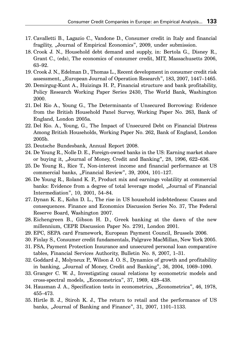- 17. Cavalletti B., Lagazio C., Vandone D., Consumer credit in Italy and financial fragility, "Journal of Empirical Economics", 2009, under submission.
- 18. Crook J. N., Household debt demand and supply, in: Bertola G., Disney R., Grant C., (eds), The economics of consumer credit, MIT, Massachusetts 2006, 63–92.
- 19. Crook J. N., Edelman D., Thomas L., Recent development in consumer credit risk assessment, "European Journal of Operation Research", 183, 2007, 1447-1465.
- 20. Demirgug-Kunt A., Huizinga H. P., Financial structure and bank profitability, Policy Research Working Paper Series 2430, The World Bank, Washington 2000.
- 21. Del Rio A., Young G., The Determinants of Unsecured Borrowing: Evidence from the British Household Panel Survey, Working Paper No. 263, Bank of England, London 2005a.
- 22. Del Rio. A., Young, G., The Impact of Unsecured Debt on Financial Distress Among British Households, Working Paper No. 262, Bank of England, London 2005b.
- 23. Deutsche Bundesbank, Annual Report 2008.
- 24. De Young R., Nolle D. E., Foreign-owned banks in the US: Earning market share or buying it, "Journal of Money, Credit and Banking", 28, 1996, 622–636.
- 25. De Young R., Rice T., Non-interest income and financial performance at US commercial banks, "Financial Review", 39, 2004, 101-127.
- 26. De Young R., Roland K. P., Product mix and earnings volatility at commercial banks: Evidence from a degree of total leverage model, "Journal of Financial Intermediation", 10, 2001, 54–84.
- 27. Dynan K. E., Kohn D. L., The rise in US household indebtedness: Causes and consequences. Finance and Economics Discussion Series No. 37, The Federal Reserve Board, Washington 2007.
- 28. Eichengreen B., Gibson H. D., Greek banking at the dawn of the new millennium, CEPR Discussion Paper No. 2791, London 2001.
- 29. EPC, SEPA card Framework, European Payment Council, Brussels 2006.
- 30. Finlay S., Consumer credit fundamentals, Palgrave MacMillan, New York 2005.
- 31. FSA, Payment Protection Insurance and unsecured personal loan comparative tables, Financial Services Authority, Bulletin No. 8, 2007, 1–31.
- 32. Goddard J., Molyneux P., Wilson J. O. S., Dynamics of growth and profitability in banking, "Journal of Money, Credit and Banking", 36, 2004, 1069–1090.
- 33. Granger C. W. J., Investigating causal relations by econometric models and cross-spectral models, "Econometrica", 37, 1969, 428–438.
- 34. Hausman J. A., Specification tests in econometrics, "Econometrica", 46, 1978, 455–473.
- 35. Hirtle B. J., Stiroh K. J., The return to retail and the performance of US banks, "Journal of Banking and Finance", 31, 2007, 1101–1133.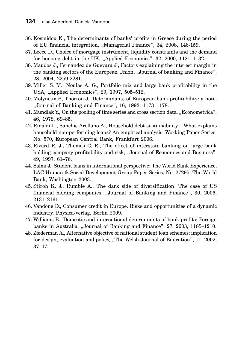- 36. Kosmidou K., The determinants of banks' profits in Greece during the period of EU financial integration, "Managerial Finance", 34, 2008, 146-159.
- 37. Leece D., Choice of mortgage instrument, liquidity constraints and the demand for housing debt in the UK, "Applied Economics", 32, 2000, 1121–1132.
- 38. Maudos J., Fernandez de Guevara J., Factors explaining the interest margin in the banking sectors of the European Union, "Journal of banking and Finance", 28, 2004, 2259-2281.
- 39. Miller S. M., Noulas A. G., Portfolio mix and large bank profitability in the USA, "Applied Economics", 29, 1997, 505-512.
- 40. Molyneux P., Thorton J., Determinants of European bank profitability: a note, "Journal of Banking and Finance", 16, 1992, 1173-1178.
- 41. Mundlak Y., On the pooling of time series and cross section data, "Econometrica", 46, 1978, 69–85.
- 42. Rinaldi L., Sanchis-Arellano A., Household debt sustainability What explains household non-performing loans? An empirical analysis, Working Paper Series, No. 570, European Central Bank, Frankfurt 2006.
- 43. Rivard R. J., Thomas C. R., The effect of interstate banking on large bank holding company profitability and risk, "Journal of Economics and Business", 49, 1997, 61–76.
- 44. Salmi J., Student loans in international perspective: The World Bank Experience, LAC Human & Social Development Group Paper Series, No. 27295, The World Bank, Washington 2003.
- 45. Stiroh K. J., Rumble A., The dark side of diversification: The case of US financial holding companies, "Journal of Banking and Finance", 30, 2006, 2131–2161.
- 46. Vandone D., Consumer credit in Europe. Risks and opportunities of a dynamic industry, Physica-Verlag, Berlin 2009.
- 47. Williams B., Domestic and international determinants of bank profits: Foreign banks in Australia, "Journal of Banking and Finance", 27, 2003, 1185–1210.
- 48. Ziederman A., Alternative objective of national student loan schemes: implication for design, evaluation and policy, "The Welsh Journal of Education", 11, 2002, 37–47.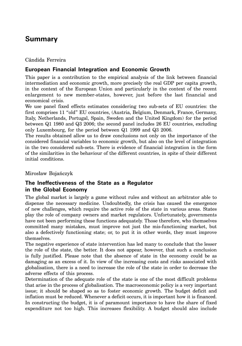# **Summary**

#### Cândida Ferreira

# **European Financial Integration and Economic Growth**

This paper is a contribution to the empirical analysis of the link between financial intermediation and economic growth, more precisely the real GDP per capita growth, in the context of the European Union and particularly in the context of the recent enlargement to new member-states, however, just before the last financial and economical crisis.

We use panel fixed effects estimates considering two sub-sets of EU countries: the first comprises 11 "old" EU countries, (Austria, Belgium, Denmark, France, Germany, Italy, Netherlands, Portugal, Spain, Sweden and the United Kingdom) for the period between Q1 1980 and Q3 2006; the second panel includes 26 EU countries, excluding only Luxembourg, for the period between Q1 1999 and Q3 2006.

The results obtained allow us to draw conclusions not only on the importance of the considered financial variables to economic growth, but also on the level of integration in the two considered sub-sets. There is evidence of financial integration in the form of the similarities in the behaviour of the different countries, in spite of their different initial conditions.

Mirosław Bojańczyk

# **The Ineffectiveness of the State as a Regulator in the Global Economy**

The global market is largely a game without rules and without an arbitrator able to dispense the necessary medicine. Undoubtedly, the crisis has caused the emergence of new challenges, which require the active role of the state in various areas. States play the role of company owners and market regulators. Unfortunately, governments have not been performing these functions adequately. Those therefore, who themselves committed many mistakes, must improve not just the mis-functioning market, but also a defectively functioning state; or, to put it in other words, they must improve themselves.

The negative experience of state intervention has led many to conclude that the lesser the role of the state, the better. It does not appear, however, that such a conclusion is fully justified. Please note that the absence of state in the economy could be as damaging as an excess of it. In view of the increasing costs and risks associated with globalisation, there is a need to increase the role of the state in order to decrease the adverse effects of this process.

Determination of the adequate role of the state is one of the most difficult problems that arise in the process of globalisation. The macroeconomic policy is a very important issue; it should be shaped so as to foster economic growth. The budget deficit and inflation must be reduced. Whenever a deficit occurs, it is important how it is financed. In constructing the budget, it is of paramount importance to have the share of fixed expenditure not too high. This increases flexibility. A budget should also include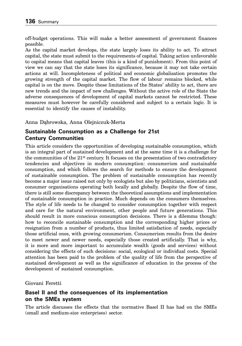off-budget operations. This will make a better assessment of government finances possible.

As the capital market develops, the state largely loses its ability to act. To attract capital, the state must submit to the requirements of capital. Taking action unfavorable to capital means that capital leaves (this is a kind of punishment). From this point of view we can say that the state loses its significance, because it may not take certain actions at will. Incompleteness of political and economic globalisation promotes the growing strength of the capital market. The flow of labour remains blocked, while capital is on the move. Despite these limitations of the States' ability to act, there are new trends and the impact of new challenges. Without the active role of the State the adverse consequences of development of capital markets cannot be restricted. These measures must however be carefully considered and subject to a certain logic. It is essential to identify the causes of instability.

Anna Dąbrowska, Anna Olejniczuk-Merta

# **Sustainable Consumption as a Challenge for 21st Century Communities**

This article considers the opportunities of developing sustainable consumption, which is an integral part of sustained development and at the same time it is a challenge for the communities of the  $21<sup>st</sup>$  century. It focuses on the presentation of two contradictory tendencies and objectives in modern consumption: consumerism and sustainable consumption, and which follows the search for methods to ensure the development of sustainable consumption. The problem of sustainable consumption has recently become a major issue raised not only by ecologists but also by politicians, scientists and consumer organisations operating both locally and globally. Despite the flow of time, there is still some discrepancy between the theoretical assumptions and implementation of sustainable consumption in practice. Much depends on the consumers themselves. The style of life needs to be changed to consider consumption together with respect and care for the natural environment, other people and future generations. This should result in more conscious consumption decisions. There is a dilemma though: how to reconcile sustainable consumption and the corresponding higher prices or resignation from a number of products, thus limited satisfaction of needs, especially those artificial ones, with growing consumerism. Consumerism results from the desire to meet newer and newer needs, especially those created artificially. That is why, it is more and more important to accumulate wealth (goods and services) without considering the effects of such decisions: social, ecological or individual costs. Special attention has been paid to the problem of the quality of life from the perspective of sustained development as well as the significance of education in the process of the development of sustained consumption.

Giovani Feretti

# **Basel II and the consequences of its implementation on the SMEs system**

The article discusses the effects that the normative Basel II has had on the SMEs (small and medium-size enterprises) sector.